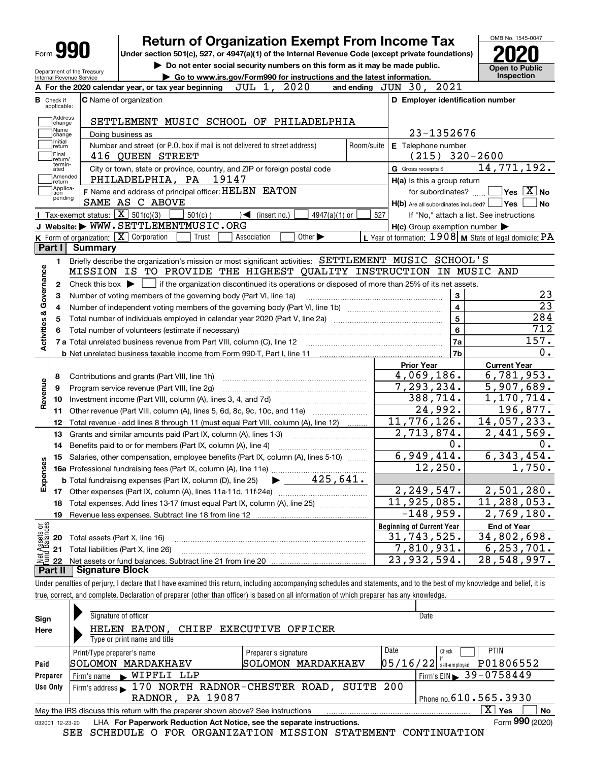|                                                        | <b>Return of Organization Exempt From Income Tax</b>                                                                                        |            |                                                           | OMB No. 1545-0047                                                                    |
|--------------------------------------------------------|---------------------------------------------------------------------------------------------------------------------------------------------|------------|-----------------------------------------------------------|--------------------------------------------------------------------------------------|
| Form 990                                               | Under section 501(c), 527, or 4947(a)(1) of the Internal Revenue Code (except private foundations)                                          |            |                                                           |                                                                                      |
|                                                        | Do not enter social security numbers on this form as it may be made public.                                                                 |            |                                                           | <b>Open to Public</b>                                                                |
| Department of the Treasury<br>Internal Revenue Service | Go to www.irs.gov/Form990 for instructions and the latest information.                                                                      |            |                                                           | Inspection                                                                           |
|                                                        | JUL 1, 2020<br>A For the 2020 calendar year, or tax year beginning                                                                          |            | and ending $JUN$ $30$ , $2021$                            |                                                                                      |
| <b>B</b> Check if<br>applicable:                       | C Name of organization                                                                                                                      |            | D Employer identification number                          |                                                                                      |
| Address                                                | SETTLEMENT MUSIC SCHOOL OF PHILADELPHIA                                                                                                     |            |                                                           |                                                                                      |
| change<br>Name                                         | Doing business as                                                                                                                           |            | 23-1352676                                                |                                                                                      |
| change<br>Initial<br>return                            | Number and street (or P.O. box if mail is not delivered to street address)                                                                  | Room/suite | E Telephone number                                        |                                                                                      |
| Final<br>return/                                       | 416 QUEEN STREET                                                                                                                            |            | $(215)$ 320-2600                                          |                                                                                      |
| termin-<br>ated                                        | City or town, state or province, country, and ZIP or foreign postal code                                                                    |            | G Gross receipts \$                                       | 14,771,192.                                                                          |
| Amended<br>return                                      | PHILADELPHIA, PA 19147                                                                                                                      |            | H(a) Is this a group return                               |                                                                                      |
| Applica-<br>tion                                       | F Name and address of principal officer: HELEN EATON                                                                                        |            | for subordinates? $\Box \Box$ Yes $\boxed{X}$ No          |                                                                                      |
| pending                                                | SAME AS C ABOVE                                                                                                                             |            | $H(b)$ Are all subordinates included? $\Box$ Yes          | ∣No                                                                                  |
|                                                        | <b>I</b> Tax-exempt status: $\boxed{\mathbf{X}}$ 501(c)(3)<br>$501(c)$ (<br>$4947(a)(1)$ or<br>$\sqrt{\frac{1}{1}}$ (insert no.)            | 527        | If "No," attach a list. See instructions                  |                                                                                      |
|                                                        | J Website: WWW.SETTLEMENTMUSIC.ORG                                                                                                          |            | $H(c)$ Group exemption number $\blacktriangleright$       |                                                                                      |
|                                                        | K Form of organization: X Corporation<br>Association<br>Other $\blacktriangleright$<br>Trust                                                |            | L Year of formation: $1908$ M State of legal domicile: PA |                                                                                      |
| Part I                                                 | <b>Summary</b>                                                                                                                              |            |                                                           |                                                                                      |
| 1.                                                     | Briefly describe the organization's mission or most significant activities: SETTLEMENT MUSIC SCHOOL'S                                       |            |                                                           |                                                                                      |
|                                                        | MISSION IS TO PROVIDE THE HIGHEST QUALITY INSTRUCTION IN MUSIC AND                                                                          |            |                                                           |                                                                                      |
| $\mathbf{2}$                                           | Check this box $\blacktriangleright$ $\Box$ if the organization discontinued its operations or disposed of more than 25% of its net assets. |            |                                                           |                                                                                      |
| 3                                                      | Number of voting members of the governing body (Part VI, line 1a)                                                                           |            | 3                                                         | 23                                                                                   |
| 4                                                      |                                                                                                                                             |            | $\overline{\mathbf{4}}$                                   | $\overline{23}$                                                                      |
| 5                                                      |                                                                                                                                             |            | 5                                                         | 284                                                                                  |
|                                                        |                                                                                                                                             |            | 6                                                         | 712                                                                                  |
| Activities & Governance                                |                                                                                                                                             |            | 7a                                                        | 157.                                                                                 |
|                                                        |                                                                                                                                             |            | 7b                                                        | 0.                                                                                   |
|                                                        |                                                                                                                                             |            | <b>Prior Year</b>                                         | <b>Current Year</b>                                                                  |
| 8                                                      | Contributions and grants (Part VIII, line 1h)                                                                                               |            | 4,069,186.                                                | 6,781,953.                                                                           |
| Revenue<br>9                                           | Program service revenue (Part VIII, line 2g)                                                                                                |            | 7,293,234.                                                | 5,907,689.                                                                           |
| 10                                                     |                                                                                                                                             |            | 388,714.                                                  | $\overline{1,170,714.}$                                                              |
| 11                                                     | Other revenue (Part VIII, column (A), lines 5, 6d, 8c, 9c, 10c, and 11e)                                                                    |            | 24,992.                                                   | 196,877.                                                                             |
| 12                                                     | Total revenue - add lines 8 through 11 (must equal Part VIII, column (A), line 12)                                                          |            | 11,776,126.                                               | 14,057,233.                                                                          |
| 13                                                     | Grants and similar amounts paid (Part IX, column (A), lines 1-3)                                                                            |            | 2,713,874.                                                | 2,441,569.                                                                           |
|                                                        | Benefits paid to or for members (Part IX, column (A), line 4)                                                                               |            | 0.                                                        |                                                                                      |
| 14                                                     | 15 Salaries, other compensation, employee benefits (Part IX, column (A), lines 5-10)                                                        |            |                                                           |                                                                                      |
|                                                        |                                                                                                                                             |            | 6,949,414.                                                |                                                                                      |
|                                                        |                                                                                                                                             |            | 12,250.                                                   |                                                                                      |
|                                                        | $\blacktriangleright$ 425,641.<br><b>b</b> Total fundraising expenses (Part IX, column (D), line 25)                                        |            |                                                           |                                                                                      |
| 8                                                      |                                                                                                                                             |            | 2,249,547.                                                |                                                                                      |
| 18                                                     | Total expenses. Add lines 13-17 (must equal Part IX, column (A), line 25)                                                                   |            | $\overline{11}$ , 925, 085.                               |                                                                                      |
| 19                                                     |                                                                                                                                             |            | $-148,959.$                                               |                                                                                      |
|                                                        |                                                                                                                                             |            | <b>Beginning of Current Year</b>                          | <b>End of Year</b>                                                                   |
| Expense<br>20                                          |                                                                                                                                             |            | 31,743,525.                                               |                                                                                      |
| 21                                                     | Total assets (Part X, line 16)                                                                                                              |            |                                                           | 0.<br>6,343,454.<br>1,750.<br>2,501,280.<br>11,288,053.<br>2,769,180.<br>34,802,698. |
| Net Assets or<br>Eund Balances<br>22                   | Total liabilities (Part X, line 26)                                                                                                         |            | 7,810,931.<br>$\overline{23}$ , 932, 594.                 | 6, 253, 701.<br>$\overline{28,548,997.}$                                             |

Under penalties of perjury, I declare that I have examined this return, including accompanying schedules and statements, and to the best of my knowledge and belief, it is true, correct, and complete. Declaration of preparer (other than officer) is based on all information of which preparer has any knowledge.

| Sign                                                                                                         | Signature of officer                                       | Date                                  |  |  |  |  |  |  |  |  |  |
|--------------------------------------------------------------------------------------------------------------|------------------------------------------------------------|---------------------------------------|--|--|--|--|--|--|--|--|--|
| Here                                                                                                         | HELEN EATON, CHIEF EXECUTIVE OFFICER                       |                                       |  |  |  |  |  |  |  |  |  |
|                                                                                                              | Type or print name and title                               |                                       |  |  |  |  |  |  |  |  |  |
|                                                                                                              | Date<br>Print/Type preparer's name<br>Preparer's signature | <b>PTIN</b><br>Check                  |  |  |  |  |  |  |  |  |  |
| Paid                                                                                                         | SOLOMON MARDAKHAEV<br>SOLOMON MARDAKHAEV                   | P01806552<br>$05/16/22$ self-employed |  |  |  |  |  |  |  |  |  |
| Preparer                                                                                                     | NIPFLI LLP<br>Firm's name                                  | Firm's EIN 39-0758449                 |  |  |  |  |  |  |  |  |  |
| Use Only                                                                                                     | Firm's address 170 NORTH RADNOR-CHESTER ROAD, SUITE 200    |                                       |  |  |  |  |  |  |  |  |  |
|                                                                                                              | Phone no. $610.565.3930$<br><b>RADNOR, PA 19087</b>        |                                       |  |  |  |  |  |  |  |  |  |
| ΧI<br>Yes<br><b>No</b><br>May the IRS discuss this return with the preparer shown above? See instructions    |                                                            |                                       |  |  |  |  |  |  |  |  |  |
| Form 990 (2020)<br>LHA For Paperwork Reduction Act Notice, see the separate instructions.<br>032001 12-23-20 |                                                            |                                       |  |  |  |  |  |  |  |  |  |

SEE SCHEDULE O FOR ORGANIZATION MISSION STATEMENT CONTINUATION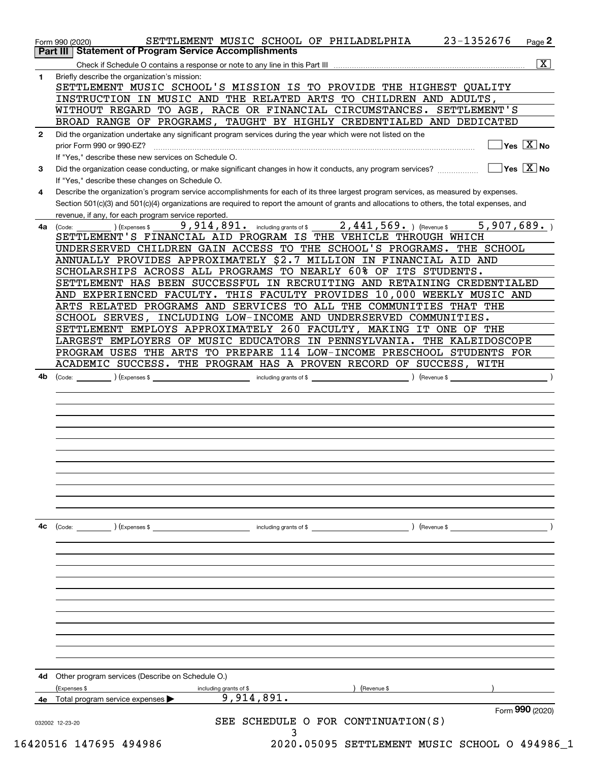|              | <b>Part III   Statement of Program Service Accomplishments</b><br>$\overline{\mathbf{x}}$                                                              |
|--------------|--------------------------------------------------------------------------------------------------------------------------------------------------------|
| 1            | Briefly describe the organization's mission:                                                                                                           |
|              | SETTLEMENT MUSIC SCHOOL'S MISSION IS TO PROVIDE THE HIGHEST QUALITY                                                                                    |
|              | INSTRUCTION IN MUSIC AND THE RELATED ARTS TO CHILDREN AND ADULTS,                                                                                      |
|              | WITHOUT REGARD TO AGE, RACE OR FINANCIAL CIRCUMSTANCES. SETTLEMENT'S                                                                                   |
|              | BROAD RANGE OF PROGRAMS, TAUGHT BY HIGHLY CREDENTIALED AND DEDICATED                                                                                   |
| $\mathbf{2}$ | Did the organization undertake any significant program services during the year which were not listed on the                                           |
|              | $\sqrt{}$ Yes $\sqrt{X}$ No<br>prior Form 990 or 990-EZ?                                                                                               |
|              | If "Yes," describe these new services on Schedule O.                                                                                                   |
| 3            | $\sqrt{}$ Yes $\sqrt{}$ X $\sqrt{}$ No<br>Did the organization cease conducting, or make significant changes in how it conducts, any program services? |
|              | If "Yes," describe these changes on Schedule O.                                                                                                        |
| 4            | Describe the organization's program service accomplishments for each of its three largest program services, as measured by expenses.                   |
|              | Section 501(c)(3) and 501(c)(4) organizations are required to report the amount of grants and allocations to others, the total expenses, and           |
|              | revenue, if any, for each program service reported.                                                                                                    |
| 4a           | 5,907,689.<br>9,914,891. including grants of \$2,441,569. ) (Revenue \$<br>) (Expenses \$<br>(Code:                                                    |
|              | SETTLEMENT'S FINANCIAL AID PROGRAM IS THE VEHICLE THROUGH WHICH                                                                                        |
|              | UNDERSERVED CHILDREN GAIN ACCESS TO THE SCHOOL'S PROGRAMS. THE SCHOOL                                                                                  |
|              | ANNUALLY PROVIDES APPROXIMATELY \$2.7 MILLION IN FINANCIAL AID AND                                                                                     |
|              | SCHOLARSHIPS ACROSS ALL PROGRAMS TO NEARLY 60% OF ITS STUDENTS.                                                                                        |
|              | SETTLEMENT HAS BEEN SUCCESSFUL IN RECRUITING AND RETAINING CREDENTIALED                                                                                |
|              | AND EXPERIENCED FACULTY. THIS FACULTY PROVIDES 10,000 WEEKLY MUSIC AND                                                                                 |
|              | ARTS RELATED PROGRAMS AND SERVICES TO ALL THE COMMUNITIES THAT THE                                                                                     |
|              | SCHOOL SERVES, INCLUDING LOW-INCOME AND UNDERSERVED COMMUNITIES.                                                                                       |
|              | SETTLEMENT EMPLOYS APPROXIMATELY 260 FACULTY, MAKING IT ONE OF THE                                                                                     |
|              | LARGEST EMPLOYERS OF MUSIC EDUCATORS IN PENNSYLVANIA. THE KALEIDOSCOPE                                                                                 |
|              | PROGRAM USES THE ARTS TO PREPARE 114 LOW-INCOME PRESCHOOL STUDENTS FOR                                                                                 |
|              | ACADEMIC SUCCESS. THE PROGRAM HAS A PROVEN RECORD OF SUCCESS, WITH                                                                                     |
|              |                                                                                                                                                        |
|              |                                                                                                                                                        |
|              |                                                                                                                                                        |
| 4c           | $\left($ Revenue \$ $\right)$<br>(Code: ) (Expenses \$<br>including grants of \$                                                                       |
|              |                                                                                                                                                        |
|              |                                                                                                                                                        |
|              |                                                                                                                                                        |
|              |                                                                                                                                                        |
|              |                                                                                                                                                        |
|              |                                                                                                                                                        |
| 4d           | Other program services (Describe on Schedule O.)                                                                                                       |
|              | (Expenses \$<br>Revenue \$<br>including grants of \$                                                                                                   |
|              | 9,914,891.<br>4e Total program service expenses<br>Form 990 (2020)                                                                                     |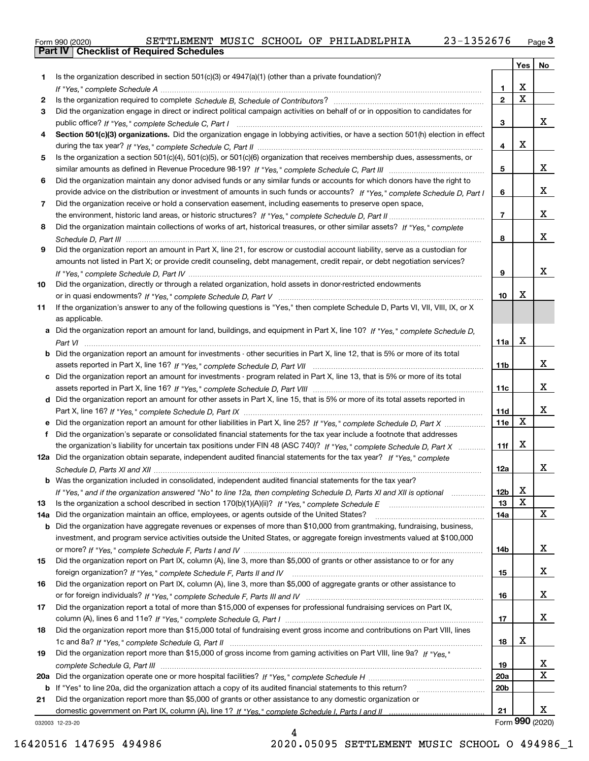|  | Form 990 (2020) |
|--|-----------------|

|     |                                                                                                                                                    |                 | Yes                     | No                      |
|-----|----------------------------------------------------------------------------------------------------------------------------------------------------|-----------------|-------------------------|-------------------------|
| 1   | Is the organization described in section 501(c)(3) or 4947(a)(1) (other than a private foundation)?                                                |                 |                         |                         |
|     |                                                                                                                                                    | 1.              | х                       |                         |
| 2   |                                                                                                                                                    | $\mathbf{2}$    | $\overline{\mathbf{x}}$ |                         |
| 3   | Did the organization engage in direct or indirect political campaign activities on behalf of or in opposition to candidates for                    |                 |                         |                         |
|     |                                                                                                                                                    | 3               |                         | x                       |
| 4   | Section 501(c)(3) organizations. Did the organization engage in lobbying activities, or have a section 501(h) election in effect                   |                 |                         |                         |
|     |                                                                                                                                                    | 4               | X                       |                         |
| 5   | Is the organization a section 501(c)(4), 501(c)(5), or 501(c)(6) organization that receives membership dues, assessments, or                       |                 |                         |                         |
|     |                                                                                                                                                    | 5               |                         | x                       |
| 6   | Did the organization maintain any donor advised funds or any similar funds or accounts for which donors have the right to                          |                 |                         |                         |
|     | provide advice on the distribution or investment of amounts in such funds or accounts? If "Yes," complete Schedule D, Part I                       | 6               |                         | x                       |
| 7   | Did the organization receive or hold a conservation easement, including easements to preserve open space,                                          |                 |                         |                         |
|     |                                                                                                                                                    | $\overline{7}$  |                         | x                       |
| 8   | Did the organization maintain collections of works of art, historical treasures, or other similar assets? If "Yes," complete                       |                 |                         |                         |
|     |                                                                                                                                                    | 8               |                         | x                       |
| 9   | Did the organization report an amount in Part X, line 21, for escrow or custodial account liability, serve as a custodian for                      |                 |                         |                         |
|     | amounts not listed in Part X; or provide credit counseling, debt management, credit repair, or debt negotiation services?                          |                 |                         | x                       |
|     |                                                                                                                                                    | 9               |                         |                         |
| 10  | Did the organization, directly or through a related organization, hold assets in donor-restricted endowments                                       | 10              | х                       |                         |
|     |                                                                                                                                                    |                 |                         |                         |
| 11  | If the organization's answer to any of the following questions is "Yes," then complete Schedule D, Parts VI, VII, VIII, IX, or X<br>as applicable. |                 |                         |                         |
|     |                                                                                                                                                    |                 |                         |                         |
|     | Did the organization report an amount for land, buildings, and equipment in Part X, line 10? If "Yes," complete Schedule D.                        | 11a             | х                       |                         |
| b   | Did the organization report an amount for investments - other securities in Part X, line 12, that is 5% or more of its total                       |                 |                         |                         |
|     |                                                                                                                                                    | 11 <sub>b</sub> |                         | x                       |
|     | Did the organization report an amount for investments - program related in Part X, line 13, that is 5% or more of its total                        |                 |                         |                         |
|     |                                                                                                                                                    | 11c             |                         | x                       |
| d   | Did the organization report an amount for other assets in Part X, line 15, that is 5% or more of its total assets reported in                      |                 |                         |                         |
|     |                                                                                                                                                    | 11d             |                         | x                       |
|     |                                                                                                                                                    | <b>11e</b>      | X                       |                         |
| f   | Did the organization's separate or consolidated financial statements for the tax year include a footnote that addresses                            |                 |                         |                         |
|     | the organization's liability for uncertain tax positions under FIN 48 (ASC 740)? If "Yes," complete Schedule D, Part X                             | 11f             | х                       |                         |
|     | 12a Did the organization obtain separate, independent audited financial statements for the tax year? If "Yes," complete                            |                 |                         |                         |
|     |                                                                                                                                                    | 12a             |                         | x                       |
|     | <b>b</b> Was the organization included in consolidated, independent audited financial statements for the tax year?                                 |                 |                         |                         |
|     | If "Yes," and if the organization answered "No" to line 12a, then completing Schedule D, Parts XI and XII is optional                              | 12 <sub>b</sub> | X                       |                         |
| 13  | Is the organization a school described in section 170(b)(1)(A)(ii)? If "Yes," complete Schedule E                                                  | 13              | X                       |                         |
| 14a | Did the organization maintain an office, employees, or agents outside of the United States?                                                        | 14a             |                         | x                       |
| b   | Did the organization have aggregate revenues or expenses of more than \$10,000 from grantmaking, fundraising, business,                            |                 |                         |                         |
|     | investment, and program service activities outside the United States, or aggregate foreign investments valued at \$100,000                         |                 |                         |                         |
|     |                                                                                                                                                    | 14b             |                         | X                       |
| 15  | Did the organization report on Part IX, column (A), line 3, more than \$5,000 of grants or other assistance to or for any                          |                 |                         |                         |
|     |                                                                                                                                                    | 15              |                         | X                       |
| 16  | Did the organization report on Part IX, column (A), line 3, more than \$5,000 of aggregate grants or other assistance to                           |                 |                         |                         |
|     |                                                                                                                                                    | 16              |                         | X                       |
| 17  | Did the organization report a total of more than \$15,000 of expenses for professional fundraising services on Part IX,                            |                 |                         |                         |
|     |                                                                                                                                                    | 17              |                         | x                       |
| 18  | Did the organization report more than \$15,000 total of fundraising event gross income and contributions on Part VIII, lines                       |                 |                         |                         |
|     |                                                                                                                                                    | 18              | x                       |                         |
| 19  | Did the organization report more than \$15,000 of gross income from gaming activities on Part VIII, line 9a? If "Yes."                             |                 |                         |                         |
|     |                                                                                                                                                    | 19              |                         | X                       |
| 20a |                                                                                                                                                    | 20a             |                         | $\overline{\mathbf{X}}$ |
| b   | If "Yes" to line 20a, did the organization attach a copy of its audited financial statements to this return?                                       | 20 <sub>b</sub> |                         |                         |
| 21  | Did the organization report more than \$5,000 of grants or other assistance to any domestic organization or                                        |                 |                         |                         |
|     |                                                                                                                                                    | 21              |                         | x                       |
|     | 032003 12-23-20                                                                                                                                    |                 |                         | Form 990 (2020)         |

4

032003 12-23-20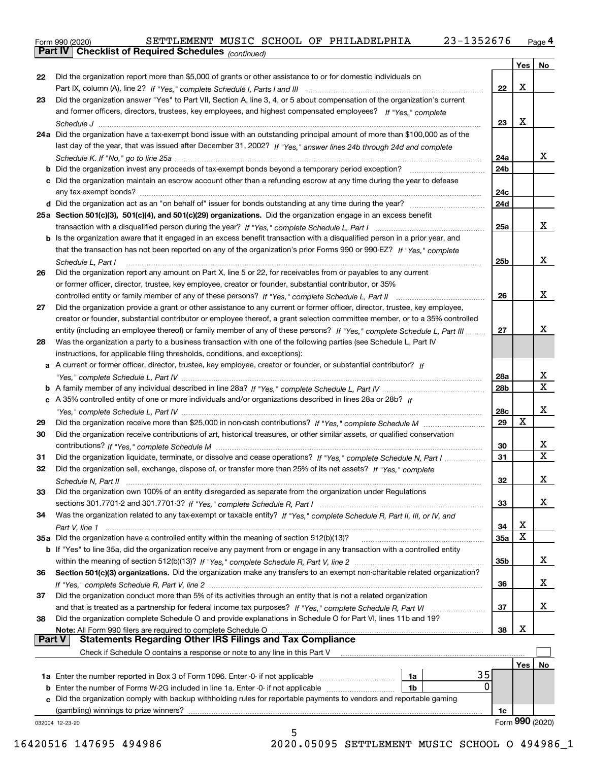| Form 990 (2020) |                                                              |  |  | SETTLEMENT MUSIC SCHOOL OF PHILADELPHIA | 23-1352676 | Page 4 |
|-----------------|--------------------------------------------------------------|--|--|-----------------------------------------|------------|--------|
|                 | <b>Part IV   Checklist of Required Schedules</b> (continued) |  |  |                                         |            |        |

|               | <b>Part IV</b><br>Criecklist of Required Scriedules (continued)                                                                                                                                                                |                 |     |                 |
|---------------|--------------------------------------------------------------------------------------------------------------------------------------------------------------------------------------------------------------------------------|-----------------|-----|-----------------|
|               |                                                                                                                                                                                                                                |                 | Yes | No              |
| 22            | Did the organization report more than \$5,000 of grants or other assistance to or for domestic individuals on                                                                                                                  |                 |     |                 |
|               |                                                                                                                                                                                                                                | 22              | X   |                 |
| 23            | Did the organization answer "Yes" to Part VII, Section A, line 3, 4, or 5 about compensation of the organization's current                                                                                                     |                 |     |                 |
|               | and former officers, directors, trustees, key employees, and highest compensated employees? If "Yes," complete                                                                                                                 |                 |     |                 |
|               |                                                                                                                                                                                                                                | 23              | х   |                 |
|               | 24a Did the organization have a tax-exempt bond issue with an outstanding principal amount of more than \$100,000 as of the                                                                                                    |                 |     |                 |
|               | last day of the year, that was issued after December 31, 2002? If "Yes," answer lines 24b through 24d and complete                                                                                                             |                 |     |                 |
|               |                                                                                                                                                                                                                                | 24a             |     | X.              |
|               | <b>b</b> Did the organization invest any proceeds of tax-exempt bonds beyond a temporary period exception?                                                                                                                     | 24b             |     |                 |
|               | c Did the organization maintain an escrow account other than a refunding escrow at any time during the year to defease                                                                                                         |                 |     |                 |
|               |                                                                                                                                                                                                                                | 24c             |     |                 |
|               |                                                                                                                                                                                                                                | 24d             |     |                 |
|               | 25a Section 501(c)(3), 501(c)(4), and 501(c)(29) organizations. Did the organization engage in an excess benefit                                                                                                               |                 |     |                 |
|               |                                                                                                                                                                                                                                | 25a             |     | x               |
|               | b Is the organization aware that it engaged in an excess benefit transaction with a disqualified person in a prior year, and                                                                                                   |                 |     |                 |
|               | that the transaction has not been reported on any of the organization's prior Forms 990 or 990-EZ? If "Yes," complete                                                                                                          |                 |     |                 |
|               | Schedule L. Part I                                                                                                                                                                                                             | 25b             |     | x               |
| 26            | Did the organization report any amount on Part X, line 5 or 22, for receivables from or payables to any current                                                                                                                |                 |     |                 |
|               | or former officer, director, trustee, key employee, creator or founder, substantial contributor, or 35%                                                                                                                        |                 |     |                 |
|               |                                                                                                                                                                                                                                | 26              |     | x               |
| 27            | Did the organization provide a grant or other assistance to any current or former officer, director, trustee, key employee,                                                                                                    |                 |     |                 |
|               | creator or founder, substantial contributor or employee thereof, a grant selection committee member, or to a 35% controlled                                                                                                    |                 |     |                 |
|               | entity (including an employee thereof) or family member of any of these persons? If "Yes," complete Schedule L, Part III                                                                                                       | 27              |     | x               |
| 28            | Was the organization a party to a business transaction with one of the following parties (see Schedule L, Part IV                                                                                                              |                 |     |                 |
|               | instructions, for applicable filing thresholds, conditions, and exceptions):                                                                                                                                                   |                 |     |                 |
|               | a A current or former officer, director, trustee, key employee, creator or founder, or substantial contributor? If                                                                                                             |                 |     |                 |
|               |                                                                                                                                                                                                                                | 28a             |     | x               |
|               |                                                                                                                                                                                                                                | 28 <sub>b</sub> |     | X               |
|               | c A 35% controlled entity of one or more individuals and/or organizations described in lines 28a or 28b? If                                                                                                                    |                 |     |                 |
|               |                                                                                                                                                                                                                                | 28c             |     | x               |
| 29            |                                                                                                                                                                                                                                | 29              | Χ   |                 |
| 30            | Did the organization receive contributions of art, historical treasures, or other similar assets, or qualified conservation                                                                                                    |                 |     |                 |
|               |                                                                                                                                                                                                                                | 30              |     | x<br>х          |
| 31            | Did the organization liquidate, terminate, or dissolve and cease operations? If "Yes," complete Schedule N, Part I                                                                                                             | 31              |     |                 |
| 32            | Did the organization sell, exchange, dispose of, or transfer more than 25% of its net assets? If "Yes," complete                                                                                                               |                 |     |                 |
|               | Schedule N. Part II                                                                                                                                                                                                            | 32              |     | х               |
| 33            | Did the organization own 100% of an entity disregarded as separate from the organization under Regulations                                                                                                                     |                 |     |                 |
|               |                                                                                                                                                                                                                                | 33              |     | x               |
| 34            | Was the organization related to any tax-exempt or taxable entity? If "Yes," complete Schedule R, Part II, III, or IV, and                                                                                                      |                 | х   |                 |
|               |                                                                                                                                                                                                                                | 34              | х   |                 |
|               | 35a Did the organization have a controlled entity within the meaning of section 512(b)(13)?                                                                                                                                    | <b>35a</b>      |     |                 |
|               | <b>b</b> If "Yes" to line 35a, did the organization receive any payment from or engage in any transaction with a controlled entity                                                                                             |                 |     | x               |
|               |                                                                                                                                                                                                                                | 35b             |     |                 |
| 36            | Section 501(c)(3) organizations. Did the organization make any transfers to an exempt non-charitable related organization?                                                                                                     |                 |     | x               |
|               | Did the organization conduct more than 5% of its activities through an entity that is not a related organization                                                                                                               | 36              |     |                 |
| 37            |                                                                                                                                                                                                                                |                 |     | x               |
| 38            | and that is treated as a partnership for federal income tax purposes? If "Yes," complete Schedule R, Part VI<br>Did the organization complete Schedule O and provide explanations in Schedule O for Part VI, lines 11b and 19? | 37              |     |                 |
|               |                                                                                                                                                                                                                                | 38              | х   |                 |
| <b>Part V</b> | Note: All Form 990 filers are required to complete Schedule O<br><b>Statements Regarding Other IRS Filings and Tax Compliance</b>                                                                                              |                 |     |                 |
|               | Check if Schedule O contains a response or note to any line in this Part V                                                                                                                                                     |                 |     |                 |
|               |                                                                                                                                                                                                                                |                 | Yes | No              |
|               | 35<br>1a                                                                                                                                                                                                                       |                 |     |                 |
|               | $\Omega$<br><b>b</b> Enter the number of Forms W-2G included in line 1a. Enter -0- if not applicable<br>1b                                                                                                                     |                 |     |                 |
|               | c Did the organization comply with backup withholding rules for reportable payments to vendors and reportable gaming                                                                                                           |                 |     |                 |
|               | (gambling) winnings to prize winners?                                                                                                                                                                                          | 1c              |     |                 |
|               | 032004 12-23-20                                                                                                                                                                                                                |                 |     | Form 990 (2020) |
|               | 5                                                                                                                                                                                                                              |                 |     |                 |

16420516 147695 494986 2020.05095 SETTLEMENT MUSIC SCHOOL O 494986\_1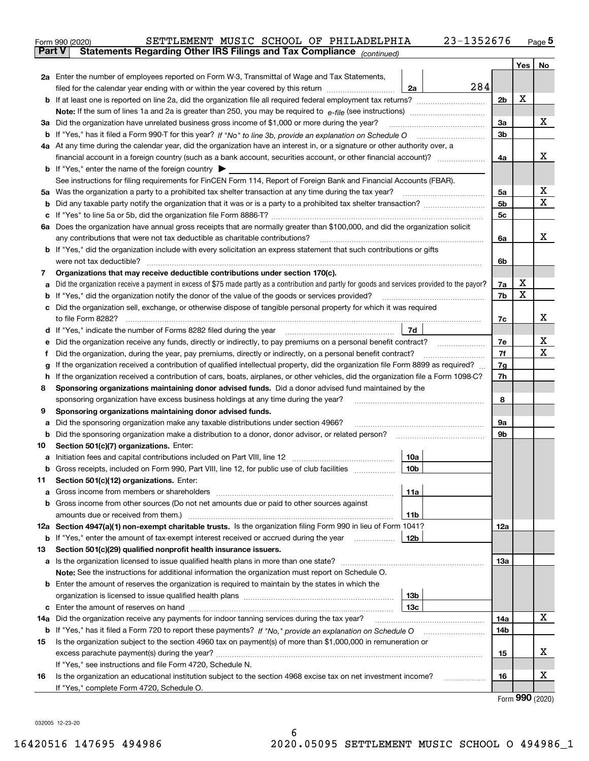|               | SETTLEMENT MUSIC SCHOOL OF PHILADELPHIA<br>23-1352676<br>Form 990 (2020)                                                                                           |                |     | Page $5$                    |  |  |  |
|---------------|--------------------------------------------------------------------------------------------------------------------------------------------------------------------|----------------|-----|-----------------------------|--|--|--|
| <b>Part V</b> | Statements Regarding Other IRS Filings and Tax Compliance (continued)                                                                                              |                |     |                             |  |  |  |
|               |                                                                                                                                                                    |                | Yes | No                          |  |  |  |
|               | 2a Enter the number of employees reported on Form W-3, Transmittal of Wage and Tax Statements,                                                                     |                |     |                             |  |  |  |
|               | 284<br>filed for the calendar year ending with or within the year covered by this return <i>manumumumum</i><br>2a                                                  |                |     |                             |  |  |  |
|               |                                                                                                                                                                    | 2b             | х   |                             |  |  |  |
|               |                                                                                                                                                                    |                |     |                             |  |  |  |
|               | 3a Did the organization have unrelated business gross income of \$1,000 or more during the year?                                                                   | 3a             |     | x                           |  |  |  |
|               |                                                                                                                                                                    | 3b             |     |                             |  |  |  |
|               | 4a At any time during the calendar year, did the organization have an interest in, or a signature or other authority over, a                                       |                |     |                             |  |  |  |
|               |                                                                                                                                                                    | 4a             |     | x                           |  |  |  |
|               | <b>b</b> If "Yes," enter the name of the foreign country $\blacktriangleright$                                                                                     |                |     |                             |  |  |  |
|               | See instructions for filing requirements for FinCEN Form 114, Report of Foreign Bank and Financial Accounts (FBAR).                                                |                |     |                             |  |  |  |
|               | 5a Was the organization a party to a prohibited tax shelter transaction at any time during the tax year?                                                           | 5а             |     | х                           |  |  |  |
|               |                                                                                                                                                                    | 5 <sub>b</sub> |     | X                           |  |  |  |
|               |                                                                                                                                                                    | 5c             |     |                             |  |  |  |
|               | 6a Does the organization have annual gross receipts that are normally greater than \$100,000, and did the organization solicit                                     |                |     |                             |  |  |  |
|               | any contributions that were not tax deductible as charitable contributions?                                                                                        | 6a             |     | х                           |  |  |  |
|               | <b>b</b> If "Yes," did the organization include with every solicitation an express statement that such contributions or gifts                                      |                |     |                             |  |  |  |
|               | were not tax deductible?                                                                                                                                           | 6b             |     |                             |  |  |  |
| 7             | Organizations that may receive deductible contributions under section 170(c).                                                                                      |                |     |                             |  |  |  |
|               | a Did the organization receive a payment in excess of \$75 made partly as a contribution and partly for goods and services provided to the payor?                  | 7a             | х   |                             |  |  |  |
|               | <b>b</b> If "Yes," did the organization notify the donor of the value of the goods or services provided?                                                           | 7b             | X   |                             |  |  |  |
|               | c Did the organization sell, exchange, or otherwise dispose of tangible personal property for which it was required                                                |                |     |                             |  |  |  |
|               |                                                                                                                                                                    | 7c             |     | х                           |  |  |  |
|               | 7d                                                                                                                                                                 |                |     |                             |  |  |  |
| е             | Did the organization receive any funds, directly or indirectly, to pay premiums on a personal benefit contract?                                                    | 7е             |     | х                           |  |  |  |
| f             | Did the organization, during the year, pay premiums, directly or indirectly, on a personal benefit contract?                                                       | 7f             |     | х                           |  |  |  |
| g             | If the organization received a contribution of qualified intellectual property, did the organization file Form 8899 as required?                                   | 7g<br>7h       |     |                             |  |  |  |
|               | If the organization received a contribution of cars, boats, airplanes, or other vehicles, did the organization file a Form 1098-C?<br>h.                           |                |     |                             |  |  |  |
| 8             | Sponsoring organizations maintaining donor advised funds. Did a donor advised fund maintained by the                                                               |                |     |                             |  |  |  |
|               | sponsoring organization have excess business holdings at any time during the year?                                                                                 | 8              |     |                             |  |  |  |
| 9             | Sponsoring organizations maintaining donor advised funds.                                                                                                          |                |     |                             |  |  |  |
| а             | Did the sponsoring organization make any taxable distributions under section 4966?                                                                                 | 9а             |     |                             |  |  |  |
|               | <b>b</b> Did the sponsoring organization make a distribution to a donor, donor advisor, or related person?                                                         | 9b             |     |                             |  |  |  |
| 10            | Section 501(c)(7) organizations. Enter:                                                                                                                            |                |     |                             |  |  |  |
|               | 10a                                                                                                                                                                |                |     |                             |  |  |  |
|               | 10b <br>Gross receipts, included on Form 990, Part VIII, line 12, for public use of club facilities                                                                |                |     |                             |  |  |  |
| 11            | Section 501(c)(12) organizations. Enter:                                                                                                                           |                |     |                             |  |  |  |
|               | 11a                                                                                                                                                                |                |     |                             |  |  |  |
|               | b Gross income from other sources (Do not net amounts due or paid to other sources against                                                                         |                |     |                             |  |  |  |
|               | 11b<br>12a Section 4947(a)(1) non-exempt charitable trusts. Is the organization filing Form 990 in lieu of Form 1041?                                              | 12a            |     |                             |  |  |  |
|               | 12b                                                                                                                                                                |                |     |                             |  |  |  |
| 13            | <b>b</b> If "Yes," enter the amount of tax-exempt interest received or accrued during the year<br>Section 501(c)(29) qualified nonprofit health insurance issuers. |                |     |                             |  |  |  |
|               | a Is the organization licensed to issue qualified health plans in more than one state?                                                                             | 13a            |     |                             |  |  |  |
|               | Note: See the instructions for additional information the organization must report on Schedule O.                                                                  |                |     |                             |  |  |  |
|               | <b>b</b> Enter the amount of reserves the organization is required to maintain by the states in which the                                                          |                |     |                             |  |  |  |
|               | 13b                                                                                                                                                                |                |     |                             |  |  |  |
|               | 13с                                                                                                                                                                |                |     |                             |  |  |  |
| 14a           | Did the organization receive any payments for indoor tanning services during the tax year?                                                                         | 14a            |     | x                           |  |  |  |
|               | <b>b</b> If "Yes," has it filed a Form 720 to report these payments? If "No," provide an explanation on Schedule O                                                 | 14b            |     |                             |  |  |  |
| 15            | Is the organization subject to the section 4960 tax on payment(s) of more than \$1,000,000 in remuneration or                                                      |                |     |                             |  |  |  |
|               |                                                                                                                                                                    | 15             |     | x                           |  |  |  |
|               | If "Yes," see instructions and file Form 4720, Schedule N.                                                                                                         |                |     |                             |  |  |  |
| 16            | Is the organization an educational institution subject to the section 4968 excise tax on net investment income?                                                    | 16             |     | х                           |  |  |  |
|               | If "Yes," complete Form 4720, Schedule O.                                                                                                                          |                |     |                             |  |  |  |
|               |                                                                                                                                                                    |                |     | $F_{\text{arm}}$ 990 (2020) |  |  |  |

Form (2020) **990**

032005 12-23-20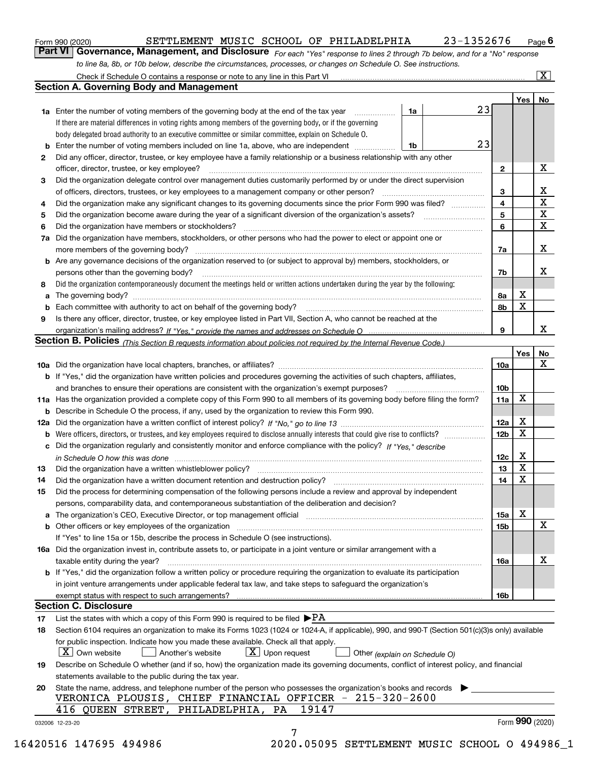|  | Form 990 (2020) |
|--|-----------------|
|  |                 |

# SETTLEMENT MUSIC SCHOOL OF PHILADELPHIA 23-1352676

*For each "Yes" response to lines 2 through 7b below, and for a "No" response to line 8a, 8b, or 10b below, describe the circumstances, processes, or changes on Schedule O. See instructions.* Form 990 (2020) **CONFINICT SETTLEMENT MUSIC SCHOOL OF PHILADELPHIA** 23-1352676 Page 6<br>**Part VI Governance, Management, and Disclosure** For each "Yes" response to lines 2 through 7b below, and for a "No" response

|    |                                                                                                                                                                               |    |    |                 | Yes   No |             |
|----|-------------------------------------------------------------------------------------------------------------------------------------------------------------------------------|----|----|-----------------|----------|-------------|
|    | <b>1a</b> Enter the number of voting members of the governing body at the end of the tax year <i>manumum</i>                                                                  | 1a | 23 |                 |          |             |
|    | If there are material differences in voting rights among members of the governing body, or if the governing                                                                   |    |    |                 |          |             |
|    | body delegated broad authority to an executive committee or similar committee, explain on Schedule O.                                                                         |    |    |                 |          |             |
|    | <b>b</b> Enter the number of voting members included on line 1a, above, who are independent <i>manumum</i>                                                                    | 1b | 23 |                 |          |             |
| 2  | Did any officer, director, trustee, or key employee have a family relationship or a business relationship with any other                                                      |    |    |                 |          |             |
|    | officer, director, trustee, or key employee?                                                                                                                                  |    |    | $\mathbf{2}$    |          | X           |
| 3  | Did the organization delegate control over management duties customarily performed by or under the direct supervision                                                         |    |    |                 |          |             |
|    |                                                                                                                                                                               |    |    | 3               |          | X           |
| 4  | Did the organization make any significant changes to its governing documents since the prior Form 990 was filed?                                                              |    |    | $\overline{4}$  |          | $\mathbf X$ |
| 5  |                                                                                                                                                                               |    |    | 5               |          | $\mathbf X$ |
| 6  |                                                                                                                                                                               |    |    | 6               |          | $\mathbf X$ |
| 7a | Did the organization have members, stockholders, or other persons who had the power to elect or appoint one or                                                                |    |    |                 |          |             |
|    |                                                                                                                                                                               |    |    | 7a              |          | x           |
|    | <b>b</b> Are any governance decisions of the organization reserved to (or subject to approval by) members, stockholders, or                                                   |    |    |                 |          |             |
|    | persons other than the governing body?                                                                                                                                        |    |    | 7b              |          | х           |
| 8  | Did the organization contemporaneously document the meetings held or written actions undertaken during the year by the following:                                             |    |    |                 |          |             |
| a  |                                                                                                                                                                               |    |    | 8a              | X        |             |
|    |                                                                                                                                                                               |    |    | 8b              | X        |             |
| 9  | Is there any officer, director, trustee, or key employee listed in Part VII, Section A, who cannot be reached at the                                                          |    |    |                 |          |             |
|    |                                                                                                                                                                               |    |    | 9               |          | x           |
|    | Section B. Policies (This Section B requests information about policies not required by the Internal Revenue Code.)                                                           |    |    |                 |          |             |
|    |                                                                                                                                                                               |    |    |                 | Yes      | No          |
|    |                                                                                                                                                                               |    |    | 10a             |          | X           |
|    | <b>b</b> If "Yes," did the organization have written policies and procedures governing the activities of such chapters, affiliates,                                           |    |    |                 |          |             |
|    |                                                                                                                                                                               |    |    | 10 <sub>b</sub> |          |             |
|    |                                                                                                                                                                               |    |    |                 | X        |             |
|    | 11a Has the organization provided a complete copy of this Form 990 to all members of its governing body before filing the form?                                               |    |    | 11a             |          |             |
|    | <b>b</b> Describe in Schedule O the process, if any, used by the organization to review this Form 990.                                                                        |    |    |                 | X        |             |
|    |                                                                                                                                                                               |    |    | 12a             | X        |             |
| b  |                                                                                                                                                                               |    |    | 12 <sub>b</sub> |          |             |
|    | c Did the organization regularly and consistently monitor and enforce compliance with the policy? If "Yes." describe                                                          |    |    |                 |          |             |
|    | in Schedule O how this was done manufactured and continuum control of the Schedule O how this was done manufactured and continuum control of the Schedule O how this was done |    |    | 12c             | X        |             |
| 13 |                                                                                                                                                                               |    |    | 13              | X        |             |
| 14 | Did the organization have a written document retention and destruction policy? manufactured and the organization have a written document retention and destruction policy?    |    |    | 14              | X        |             |
| 15 | Did the process for determining compensation of the following persons include a review and approval by independent                                                            |    |    |                 |          |             |
|    | persons, comparability data, and contemporaneous substantiation of the deliberation and decision?                                                                             |    |    |                 |          |             |
|    |                                                                                                                                                                               |    |    | 15a             | X        |             |
|    |                                                                                                                                                                               |    |    | 15 <sub>b</sub> |          | X           |
|    | If "Yes" to line 15a or 15b, describe the process in Schedule O (see instructions).                                                                                           |    |    |                 |          |             |
|    | 16a Did the organization invest in, contribute assets to, or participate in a joint venture or similar arrangement with a                                                     |    |    |                 |          |             |
|    | taxable entity during the year?                                                                                                                                               |    |    | 16a             |          | х           |
|    | b If "Yes," did the organization follow a written policy or procedure requiring the organization to evaluate its participation                                                |    |    |                 |          |             |
|    | in joint venture arrangements under applicable federal tax law, and take steps to safequard the organization's                                                                |    |    |                 |          |             |
|    | exempt status with respect to such arrangements?                                                                                                                              |    |    | 16 <sub>b</sub> |          |             |
|    | <b>Section C. Disclosure</b>                                                                                                                                                  |    |    |                 |          |             |
| 17 | List the states with which a copy of this Form 990 is required to be filed $\blacktriangleright$ PA                                                                           |    |    |                 |          |             |
| 18 | Section 6104 requires an organization to make its Forms 1023 (1024 or 1024-A, if applicable), 990, and 990-T (Section 501(c)(3)s only) available                              |    |    |                 |          |             |
|    | for public inspection. Indicate how you made these available. Check all that apply.                                                                                           |    |    |                 |          |             |
|    | $\lfloor x \rfloor$ Own website<br>$\lfloor x \rfloor$ Upon request<br>Another's website<br>Other (explain on Schedule O)                                                     |    |    |                 |          |             |
| 19 | Describe on Schedule O whether (and if so, how) the organization made its governing documents, conflict of interest policy, and financial                                     |    |    |                 |          |             |
|    | statements available to the public during the tax year.                                                                                                                       |    |    |                 |          |             |
| 20 | State the name, address, and telephone number of the person who possesses the organization's books and records                                                                |    |    |                 |          |             |
|    | VERONICA PLOUSIS, CHIEF FINANCIAL OFFICER - 215-320-2600                                                                                                                      |    |    |                 |          |             |
|    | 416 QUEEN STREET, PHILADELPHIA, PA<br>19147                                                                                                                                   |    |    |                 |          |             |
|    |                                                                                                                                                                               |    |    |                 |          |             |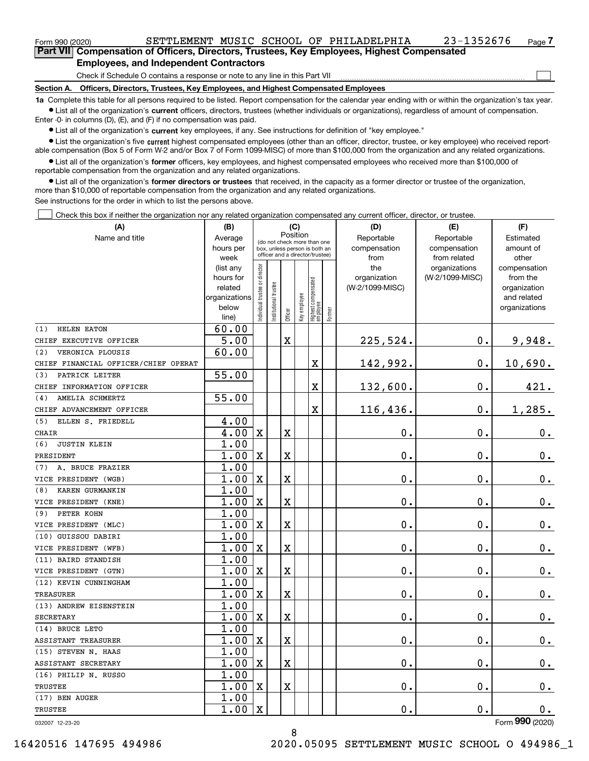| Form 990 (2020)                                                                            |                                                                              |  |  |  | SETTLEMENT MUSIC SCHOOL OF PHILADELPHIA | 23-1352676 | Page 4 |  |  |  |
|--------------------------------------------------------------------------------------------|------------------------------------------------------------------------------|--|--|--|-----------------------------------------|------------|--------|--|--|--|
| Part VII Compensation of Officers, Directors, Trustees, Key Employees, Highest Compensated |                                                                              |  |  |  |                                         |            |        |  |  |  |
| <b>Employees, and Independent Contractors</b>                                              |                                                                              |  |  |  |                                         |            |        |  |  |  |
|                                                                                            | Check if Schedule O contains a response or note to any line in this Part VII |  |  |  |                                         |            |        |  |  |  |

Check if Schedule O contains a response or note to any line in this Part VII

**Section A. Officers, Directors, Trustees, Key Employees, and Highest Compensated Employees**

**1a**  Complete this table for all persons required to be listed. Report compensation for the calendar year ending with or within the organization's tax year. **•** List all of the organization's current officers, directors, trustees (whether individuals or organizations), regardless of amount of compensation.

Enter -0- in columns (D), (E), and (F) if no compensation was paid.

 $\bullet$  List all of the organization's  $\,$ current key employees, if any. See instructions for definition of "key employee."

**•** List the organization's five current highest compensated employees (other than an officer, director, trustee, or key employee) who received reportable compensation (Box 5 of Form W-2 and/or Box 7 of Form 1099-MISC) of more than \$100,000 from the organization and any related organizations.

**•** List all of the organization's former officers, key employees, and highest compensated employees who received more than \$100,000 of reportable compensation from the organization and any related organizations.

**former directors or trustees**  ¥ List all of the organization's that received, in the capacity as a former director or trustee of the organization, more than \$10,000 of reportable compensation from the organization and any related organizations.

See instructions for the order in which to list the persons above.

Check this box if neither the organization nor any related organization compensated any current officer, director, or trustee.  $\mathcal{L}^{\text{max}}$ 

| (A)                                  | (B)                    | (C)                           |                                                                  |                                         |              |                                   |        | (D)                             | (E)                              | (F)                      |            |           |
|--------------------------------------|------------------------|-------------------------------|------------------------------------------------------------------|-----------------------------------------|--------------|-----------------------------------|--------|---------------------------------|----------------------------------|--------------------------|------------|-----------|
| Name and title                       | Average                |                               |                                                                  | Position<br>(do not check more than one |              |                                   |        |                                 |                                  | Reportable               | Reportable | Estimated |
|                                      | hours per              |                               | box, unless person is both an<br>officer and a director/trustee) |                                         |              |                                   |        | compensation                    | compensation                     | amount of                |            |           |
|                                      | week                   |                               |                                                                  |                                         |              |                                   |        | from                            | from related                     | other                    |            |           |
|                                      | (list any<br>hours for |                               |                                                                  |                                         |              |                                   |        | the                             | organizations<br>(W-2/1099-MISC) | compensation<br>from the |            |           |
|                                      | related                |                               |                                                                  |                                         |              |                                   |        | organization<br>(W-2/1099-MISC) |                                  | organization             |            |           |
|                                      | organizations          |                               |                                                                  |                                         |              |                                   |        |                                 |                                  | and related              |            |           |
|                                      | below                  | ndividual trustee or director | nstitutional trustee                                             |                                         |              |                                   |        |                                 |                                  | organizations            |            |           |
|                                      | line)                  |                               |                                                                  | Officer                                 | Key employee | Highest compensated<br>  employee | Former |                                 |                                  |                          |            |           |
| <b>HELEN EATON</b><br>(1)            | 60.00                  |                               |                                                                  |                                         |              |                                   |        |                                 |                                  |                          |            |           |
| CHIEF EXECUTIVE OFFICER              | 5.00                   |                               |                                                                  | $\mathbf X$                             |              |                                   |        | 225,524.                        | $\mathbf 0$ .                    | 9,948.                   |            |           |
| VERONICA PLOUSIS<br>(2)              | 60.00                  |                               |                                                                  |                                         |              |                                   |        |                                 |                                  |                          |            |           |
| CHIEF FINANCIAL OFFICER/CHIEF OPERAT |                        |                               |                                                                  |                                         |              | X                                 |        | 142,992.                        | $\mathbf{0}$ .                   | 10,690.                  |            |           |
| PATRICK LEITER<br>(3)                | 55.00                  |                               |                                                                  |                                         |              |                                   |        |                                 |                                  |                          |            |           |
| CHIEF INFORMATION OFFICER            |                        |                               |                                                                  |                                         |              | X                                 |        | 132,600.                        | 0.                               | 421.                     |            |           |
| AMELIA SCHMERTZ<br>(4)               | 55.00                  |                               |                                                                  |                                         |              |                                   |        |                                 |                                  |                          |            |           |
| CHIEF ADVANCEMENT OFFICER            |                        |                               |                                                                  |                                         |              | $\overline{\textbf{X}}$           |        | 116,436.                        | $\mathbf 0$ .                    | 1,285.                   |            |           |
| (5)<br>ELLEN S. FRIEDELL             | 4.00                   |                               |                                                                  |                                         |              |                                   |        |                                 |                                  |                          |            |           |
| <b>CHAIR</b>                         | 4.00                   | $\mathbf X$                   |                                                                  | X                                       |              |                                   |        | 0.                              | $\mathbf 0$ .                    | $0_{.}$                  |            |           |
| (6)<br><b>JUSTIN KLEIN</b>           | 1.00                   |                               |                                                                  |                                         |              |                                   |        |                                 |                                  |                          |            |           |
| PRESIDENT                            | 1.00                   | $\mathbf X$                   |                                                                  | X                                       |              |                                   |        | 0.                              | $\mathbf 0$ .                    | 0.                       |            |           |
| A. BRUCE FRAZIER<br>(7)              | 1.00                   |                               |                                                                  |                                         |              |                                   |        |                                 |                                  |                          |            |           |
| VICE PRESIDENT (WGB)                 | 1.00                   | $\mathbf X$                   |                                                                  | X                                       |              |                                   |        | 0.                              | 0.                               | 0.                       |            |           |
| KAREN GURMANKIN<br>(8)               | 1.00                   |                               |                                                                  |                                         |              |                                   |        |                                 |                                  |                          |            |           |
| VICE PRESIDENT (KNE)                 | 1.00                   | $\mathbf x$                   |                                                                  | X                                       |              |                                   |        | 0.                              | $\mathbf 0$ .                    | $\mathbf 0$ .            |            |           |
| PETER KOHN<br>(9)                    | 1.00                   |                               |                                                                  |                                         |              |                                   |        |                                 |                                  |                          |            |           |
| VICE PRESIDENT (MLC)                 | 1.00                   | $\mathbf X$                   |                                                                  | X                                       |              |                                   |        | 0.                              | 0.                               | 0.                       |            |           |
| (10) GUISSOU DABIRI                  | 1.00                   |                               |                                                                  |                                         |              |                                   |        |                                 |                                  |                          |            |           |
| VICE PRESIDENT (WFB)                 | 1.00                   | $\mathbf x$                   |                                                                  | X                                       |              |                                   |        | 0.                              | 0.                               | $\mathbf 0$ .            |            |           |
| (11) BAIRD STANDISH                  | 1.00                   |                               |                                                                  |                                         |              |                                   |        |                                 |                                  |                          |            |           |
| VICE PRESIDENT (GTN)                 | 1.00                   | $\mathbf X$                   |                                                                  | X                                       |              |                                   |        | 0.                              | 0.                               | 0.                       |            |           |
| (12) KEVIN CUNNINGHAM                | 1.00                   |                               |                                                                  |                                         |              |                                   |        |                                 |                                  |                          |            |           |
| <b>TREASURER</b>                     | 1.00                   | $\mathbf X$                   |                                                                  | X                                       |              |                                   |        | 0.                              | $\mathbf{0}$ .                   | $0_{.}$                  |            |           |
| (13) ANDREW EISENSTEIN               | 1.00                   |                               |                                                                  |                                         |              |                                   |        |                                 |                                  |                          |            |           |
| <b>SECRETARY</b>                     | 1.00                   | $\mathbf X$                   |                                                                  | X                                       |              |                                   |        | 0.                              | $\mathbf{0}$ .                   | 0.                       |            |           |
| (14) BRUCE LETO                      | 1.00                   |                               |                                                                  |                                         |              |                                   |        |                                 |                                  |                          |            |           |
| ASSISTANT TREASURER                  | 1.00                   | $\mathbf x$                   |                                                                  | X                                       |              |                                   |        | 0.                              | $\mathbf{0}$ .                   | 0.                       |            |           |
| (15) STEVEN N. HAAS                  | 1.00                   |                               |                                                                  |                                         |              |                                   |        |                                 |                                  |                          |            |           |
| ASSISTANT SECRETARY                  | 1.00                   | $\mathbf X$                   |                                                                  | X                                       |              |                                   |        | 0.                              | $\mathbf 0$ .                    | $0$ .                    |            |           |
| (16) PHILIP N. RUSSO                 | 1.00                   |                               |                                                                  |                                         |              |                                   |        |                                 |                                  |                          |            |           |
| TRUSTEE                              | 1.00                   | $\mathbf x$                   |                                                                  | X                                       |              |                                   |        | 0.                              | $\mathbf 0$ .                    | $0_{.}$                  |            |           |
| (17) BEN AUGER                       | 1.00                   |                               |                                                                  |                                         |              |                                   |        |                                 |                                  |                          |            |           |
| TRUSTEE                              | 1.00                   | X                             |                                                                  |                                         |              |                                   |        | 0.                              | 0.                               | $\mathbf 0$ .            |            |           |

032007 12-23-20

Form (2020) **990**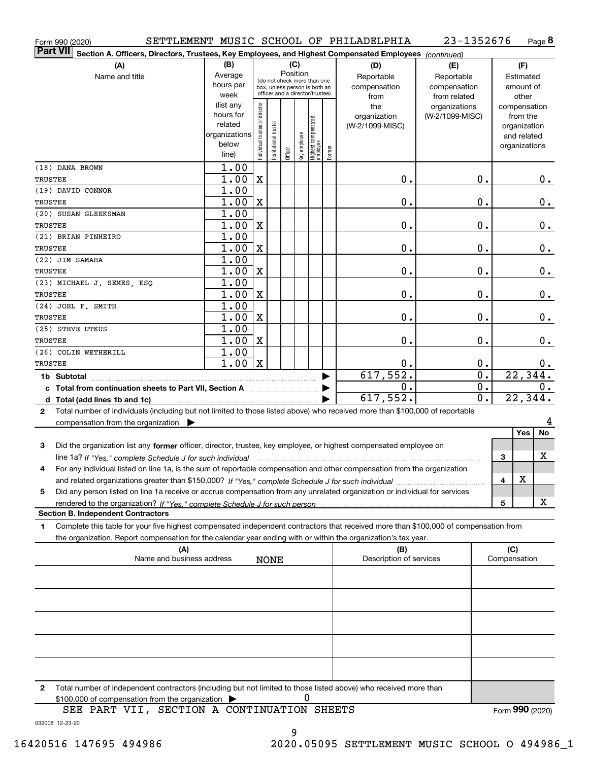| Form 990 (2020)                                                                                                                                 |                      |                                |                       |          |              |                                   |        | SETTLEMENT MUSIC SCHOOL OF PHILADELPHIA | 23-1352676      |                             |                 |                              | Page 8 |
|-------------------------------------------------------------------------------------------------------------------------------------------------|----------------------|--------------------------------|-----------------------|----------|--------------|-----------------------------------|--------|-----------------------------------------|-----------------|-----------------------------|-----------------|------------------------------|--------|
| ∣Part VII<br>Section A. Officers, Directors, Trustees, Key Employees, and Highest Compensated Employees (continued)                             |                      |                                |                       |          |              |                                   |        |                                         |                 |                             |                 |                              |        |
| (A)                                                                                                                                             | (B)                  |                                |                       |          | (C)          |                                   |        | (D)                                     | (E)             |                             |                 | (F)                          |        |
| Name and title                                                                                                                                  | Average              |                                |                       | Position |              | (do not check more than one       |        | Reportable                              | Reportable      |                             |                 | Estimated                    |        |
|                                                                                                                                                 | hours per            |                                |                       |          |              | box, unless person is both an     |        | compensation                            | compensation    |                             |                 | amount of                    |        |
|                                                                                                                                                 | week                 |                                |                       |          |              | officer and a director/trustee)   |        | from                                    | from related    |                             |                 | other                        |        |
|                                                                                                                                                 | (list any            |                                |                       |          |              |                                   |        | the                                     | organizations   |                             |                 | compensation                 |        |
|                                                                                                                                                 | hours for<br>related |                                |                       |          |              |                                   |        | organization                            | (W-2/1099-MISC) |                             |                 | from the                     |        |
|                                                                                                                                                 | organizations        |                                |                       |          |              |                                   |        | (W-2/1099-MISC)                         |                 |                             |                 | organization                 |        |
|                                                                                                                                                 | below                |                                |                       |          |              |                                   |        |                                         |                 |                             |                 | and related<br>organizations |        |
|                                                                                                                                                 | line)                | Individual trustee or director | Institutional trustee | Officer  | key employee | Highest compensated<br>  employee | Former |                                         |                 |                             |                 |                              |        |
| (18) DANA BROWN                                                                                                                                 | 1.00                 |                                |                       |          |              |                                   |        |                                         |                 |                             |                 |                              |        |
| TRUSTEE                                                                                                                                         | 1.00                 | X                              |                       |          |              |                                   |        | 0.                                      |                 | 0.                          |                 |                              | $0$ .  |
| (19) DAVID CONNOR                                                                                                                               | 1.00                 |                                |                       |          |              |                                   |        |                                         |                 |                             |                 |                              |        |
| TRUSTEE                                                                                                                                         | 1.00                 | X                              |                       |          |              |                                   |        | 0.                                      |                 | 0.                          |                 |                              | 0.     |
| (20) SUSAN GLEEKSMAN                                                                                                                            | 1.00                 |                                |                       |          |              |                                   |        |                                         |                 |                             |                 |                              |        |
| TRUSTEE                                                                                                                                         | 1.00                 | $\mathbf X$                    |                       |          |              |                                   |        | 0.                                      |                 | 0.                          |                 |                              | 0.     |
| (21) BRIAN PINHEIRO                                                                                                                             | 1.00                 |                                |                       |          |              |                                   |        |                                         |                 |                             |                 |                              |        |
| TRUSTEE                                                                                                                                         | 1.00                 | X                              |                       |          |              |                                   |        | 0.                                      |                 | 0.                          |                 |                              | 0.     |
| (22) JIM SAMAHA                                                                                                                                 | 1.00                 |                                |                       |          |              |                                   |        |                                         |                 |                             |                 |                              |        |
| TRUSTEE                                                                                                                                         | 1.00                 | X                              |                       |          |              |                                   |        | 0.                                      |                 | 0.                          |                 |                              | $0$ .  |
| (23) MICHAEL J. SEMES, ESQ                                                                                                                      | 1.00                 |                                |                       |          |              |                                   |        |                                         |                 |                             |                 |                              |        |
| TRUSTEE                                                                                                                                         | 1.00                 | X                              |                       |          |              |                                   |        | 0.                                      |                 | 0.                          |                 |                              | 0.     |
| (24) JOEL F. SMITH                                                                                                                              | 1.00                 |                                |                       |          |              |                                   |        |                                         |                 |                             |                 |                              |        |
|                                                                                                                                                 |                      | X                              |                       |          |              |                                   |        | 0.                                      |                 | 0.                          |                 |                              |        |
| TRUSTEE<br>(25) STEVE UTKUS                                                                                                                     | 1.00                 |                                |                       |          |              |                                   |        |                                         |                 |                             |                 |                              | 0.     |
|                                                                                                                                                 | 1.00                 |                                |                       |          |              |                                   |        |                                         |                 | 0.                          |                 |                              |        |
| TRUSTEE                                                                                                                                         | 1.00                 | X                              |                       |          |              |                                   |        | $\mathbf 0$ .                           |                 |                             |                 |                              | 0.     |
| (26) COLIN WETHERILL                                                                                                                            | 1.00                 |                                |                       |          |              |                                   |        |                                         |                 |                             |                 |                              |        |
| TRUSTEE                                                                                                                                         | 1.00                 | $\mathbf X$                    |                       |          |              |                                   |        | 0.                                      |                 | 0.                          |                 |                              | 0.     |
| 1b Subtotal                                                                                                                                     |                      |                                |                       |          |              |                                   |        | 617,552.                                |                 | $\overline{\mathfrak{o}}$ . |                 | 22, 344.                     |        |
| c Total from continuation sheets to Part VII, Section A                                                                                         |                      |                                |                       |          |              |                                   |        | 0.                                      |                 | $\overline{0}$ .            |                 |                              | 0.     |
|                                                                                                                                                 |                      |                                |                       |          |              |                                   |        | 617,552.                                |                 | $\overline{\mathfrak{o}}$ . |                 | 22,344.                      |        |
| Total number of individuals (including but not limited to those listed above) who received more than \$100,000 of reportable<br>2               |                      |                                |                       |          |              |                                   |        |                                         |                 |                             |                 |                              |        |
| compensation from the organization $\blacktriangleright$                                                                                        |                      |                                |                       |          |              |                                   |        |                                         |                 |                             |                 |                              | 4      |
|                                                                                                                                                 |                      |                                |                       |          |              |                                   |        |                                         |                 |                             |                 | Yes                          | No     |
| Did the organization list any former officer, director, trustee, key employee, or highest compensated employee on<br>3                          |                      |                                |                       |          |              |                                   |        |                                         |                 |                             |                 |                              |        |
| line 1a? If "Yes," complete Schedule J for such individual manufactured contained and the 1a? If "Yes," complete Schedule J for such individual |                      |                                |                       |          |              |                                   |        |                                         |                 |                             | 3               |                              | X      |
| For any individual listed on line 1a, is the sum of reportable compensation and other compensation from the organization<br>4                   |                      |                                |                       |          |              |                                   |        |                                         |                 |                             |                 |                              |        |
|                                                                                                                                                 |                      |                                |                       |          |              |                                   |        |                                         |                 |                             | 4               | X                            |        |
| Did any person listed on line 1a receive or accrue compensation from any unrelated organization or individual for services<br>5                 |                      |                                |                       |          |              |                                   |        |                                         |                 |                             |                 |                              |        |
|                                                                                                                                                 |                      |                                |                       |          |              |                                   |        |                                         |                 |                             | 5               |                              | X      |
| <b>Section B. Independent Contractors</b>                                                                                                       |                      |                                |                       |          |              |                                   |        |                                         |                 |                             |                 |                              |        |
| Complete this table for your five highest compensated independent contractors that received more than \$100,000 of compensation from<br>1       |                      |                                |                       |          |              |                                   |        |                                         |                 |                             |                 |                              |        |
| the organization. Report compensation for the calendar year ending with or within the organization's tax year.                                  |                      |                                |                       |          |              |                                   |        |                                         |                 |                             |                 |                              |        |
| (A)                                                                                                                                             |                      |                                |                       |          |              |                                   |        | (B)                                     |                 |                             | (C)             |                              |        |
| Name and business address                                                                                                                       |                      |                                | <b>NONE</b>           |          |              |                                   |        | Description of services                 |                 |                             | Compensation    |                              |        |
|                                                                                                                                                 |                      |                                |                       |          |              |                                   |        |                                         |                 |                             |                 |                              |        |
|                                                                                                                                                 |                      |                                |                       |          |              |                                   |        |                                         |                 |                             |                 |                              |        |
|                                                                                                                                                 |                      |                                |                       |          |              |                                   |        |                                         |                 |                             |                 |                              |        |
|                                                                                                                                                 |                      |                                |                       |          |              |                                   |        |                                         |                 |                             |                 |                              |        |
|                                                                                                                                                 |                      |                                |                       |          |              |                                   |        |                                         |                 |                             |                 |                              |        |
|                                                                                                                                                 |                      |                                |                       |          |              |                                   |        |                                         |                 |                             |                 |                              |        |
|                                                                                                                                                 |                      |                                |                       |          |              |                                   |        |                                         |                 |                             |                 |                              |        |
|                                                                                                                                                 |                      |                                |                       |          |              |                                   |        |                                         |                 |                             |                 |                              |        |
|                                                                                                                                                 |                      |                                |                       |          |              |                                   |        |                                         |                 |                             |                 |                              |        |
|                                                                                                                                                 |                      |                                |                       |          |              |                                   |        |                                         |                 |                             |                 |                              |        |
| Total number of independent contractors (including but not limited to those listed above) who received more than<br>2                           |                      |                                |                       |          |              |                                   |        |                                         |                 |                             |                 |                              |        |
| \$100,000 of compensation from the organization                                                                                                 |                      |                                |                       |          | U            |                                   |        |                                         |                 |                             |                 |                              |        |
| SEE PART VII, SECTION A CONTINUATION SHEETS                                                                                                     |                      |                                |                       |          |              |                                   |        |                                         |                 |                             | Form 990 (2020) |                              |        |

032008 12-23-20

9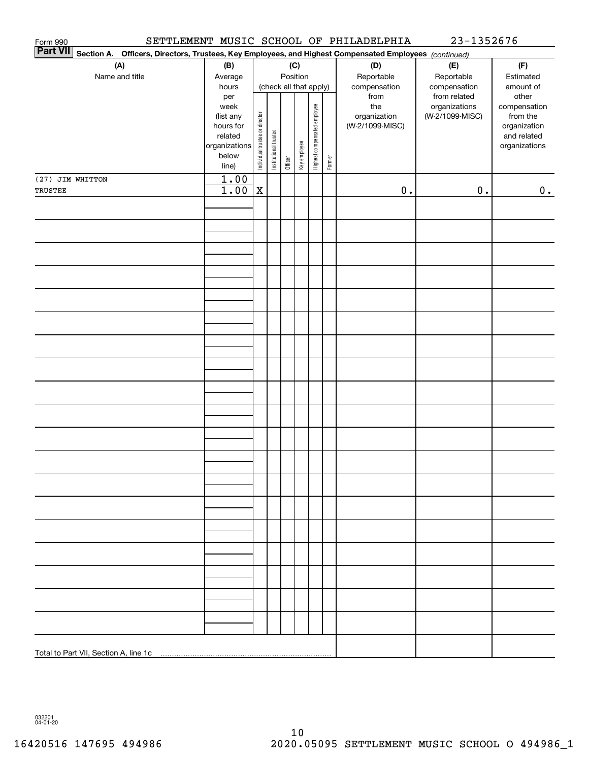| Form 990                                                                                                                  |                                                                                     |                                |                                           |         |              |                              |                                   | SETTLEMENT MUSIC SCHOOL OF PHILADELPHIA        | 23-1352676                                       |                                                                                   |
|---------------------------------------------------------------------------------------------------------------------------|-------------------------------------------------------------------------------------|--------------------------------|-------------------------------------------|---------|--------------|------------------------------|-----------------------------------|------------------------------------------------|--------------------------------------------------|-----------------------------------------------------------------------------------|
| <b>Part VII</b><br>Section A. Officers, Directors, Trustees, Key Employees, and Highest Compensated Employees (continued) |                                                                                     |                                |                                           |         |              |                              |                                   |                                                |                                                  |                                                                                   |
| (A)<br>Name and title                                                                                                     | (B)<br>Average<br>hours                                                             |                                | (C)<br>Position<br>(check all that apply) |         |              |                              | (D)<br>Reportable<br>compensation | (E)<br>Reportable<br>compensation              | (F)<br>Estimated<br>amount of                    |                                                                                   |
|                                                                                                                           | per<br>week<br>(list any<br>hours for<br>related<br>organizations<br>below<br>line) | Individual trustee or director | Institutional trustee                     | Officer | Key employee | Highest compensated employee | Former                            | from<br>the<br>organization<br>(W-2/1099-MISC) | from related<br>organizations<br>(W-2/1099-MISC) | other<br>compensation<br>from the<br>organization<br>and related<br>organizations |
| (27) JIM WHITTON                                                                                                          | 1.00                                                                                |                                |                                           |         |              |                              |                                   |                                                |                                                  |                                                                                   |
| TRUSTEE                                                                                                                   | 1.00                                                                                | X                              |                                           |         |              |                              |                                   | $\mathbf 0$ .                                  | $\mathbf 0$ .                                    | 0.                                                                                |
|                                                                                                                           |                                                                                     |                                |                                           |         |              |                              |                                   |                                                |                                                  |                                                                                   |
|                                                                                                                           |                                                                                     |                                |                                           |         |              |                              |                                   |                                                |                                                  |                                                                                   |
|                                                                                                                           |                                                                                     |                                |                                           |         |              |                              |                                   |                                                |                                                  |                                                                                   |
|                                                                                                                           |                                                                                     |                                |                                           |         |              |                              |                                   |                                                |                                                  |                                                                                   |
|                                                                                                                           |                                                                                     |                                |                                           |         |              |                              |                                   |                                                |                                                  |                                                                                   |
|                                                                                                                           |                                                                                     |                                |                                           |         |              |                              |                                   |                                                |                                                  |                                                                                   |
|                                                                                                                           |                                                                                     |                                |                                           |         |              |                              |                                   |                                                |                                                  |                                                                                   |
|                                                                                                                           |                                                                                     |                                |                                           |         |              |                              |                                   |                                                |                                                  |                                                                                   |
|                                                                                                                           |                                                                                     |                                |                                           |         |              |                              |                                   |                                                |                                                  |                                                                                   |
|                                                                                                                           |                                                                                     |                                |                                           |         |              |                              |                                   |                                                |                                                  |                                                                                   |
|                                                                                                                           |                                                                                     |                                |                                           |         |              |                              |                                   |                                                |                                                  |                                                                                   |
|                                                                                                                           |                                                                                     |                                |                                           |         |              |                              |                                   |                                                |                                                  |                                                                                   |
| Total to Part VII, Section A, line 1c                                                                                     |                                                                                     |                                |                                           |         |              |                              |                                   |                                                |                                                  |                                                                                   |

032201 04-01-20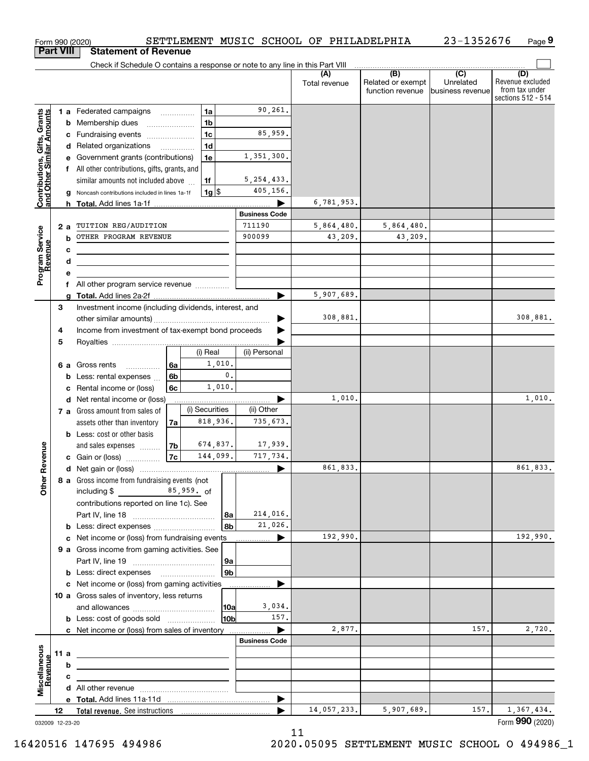|                                                           |                  | SETTLEMENT MUSIC SCHOOL OF PHILADELPHIA<br>Form 990 (2020)                                                             |                      |                      |                                                                                                                                                                                                                                                                                                                                                                                                                                                                                    | 23-1352676                    | Page 9                                                          |
|-----------------------------------------------------------|------------------|------------------------------------------------------------------------------------------------------------------------|----------------------|----------------------|------------------------------------------------------------------------------------------------------------------------------------------------------------------------------------------------------------------------------------------------------------------------------------------------------------------------------------------------------------------------------------------------------------------------------------------------------------------------------------|-------------------------------|-----------------------------------------------------------------|
|                                                           | <b>Part VIII</b> | <b>Statement of Revenue</b>                                                                                            |                      |                      |                                                                                                                                                                                                                                                                                                                                                                                                                                                                                    |                               |                                                                 |
|                                                           |                  | Check if Schedule O contains a response or note to any line in this Part VIII                                          |                      |                      | $\begin{array}{c c c c c} \hline \textbf{(B)} & \textbf{(C)} & \textbf{(D)} & \textbf{(E)} & \textbf{(E)} & \textbf{(E)} & \textbf{(E)} & \textbf{(E)} & \textbf{(E)} & \textbf{(E)} & \textbf{(E)} & \textbf{(E)} & \textbf{(E)} & \textbf{(E)} & \textbf{(E)} & \textbf{(E)} & \textbf{(E)} & \textbf{(E)} & \textbf{(E)} & \textbf{(E)} & \textbf{(E)} & \textbf{(E)} & \textbf{(E)} & \textbf{(E)} & \textbf{(E)} & \textbf{(E)} & \textbf{(E)} & \textbf{(E)} & \textbf{(E)}$ |                               |                                                                 |
|                                                           |                  |                                                                                                                        |                      | (A)<br>Total revenue | Related or exempt<br>function revenue                                                                                                                                                                                                                                                                                                                                                                                                                                              | Unrelated<br>business revenue | (D)<br>Revenue excluded<br>from tax under<br>sections 512 - 514 |
|                                                           |                  | 1a<br>1 a Federated campaigns                                                                                          | 90,261.              |                      |                                                                                                                                                                                                                                                                                                                                                                                                                                                                                    |                               |                                                                 |
|                                                           |                  | 1 <sub>b</sub><br><b>b</b> Membership dues<br>$\ldots \ldots \ldots \ldots \ldots$                                     |                      |                      |                                                                                                                                                                                                                                                                                                                                                                                                                                                                                    |                               |                                                                 |
|                                                           |                  | 1 <sub>c</sub><br>c Fundraising events                                                                                 | 85,959.              |                      |                                                                                                                                                                                                                                                                                                                                                                                                                                                                                    |                               |                                                                 |
|                                                           |                  | 1 <sub>d</sub><br>d Related organizations                                                                              |                      |                      |                                                                                                                                                                                                                                                                                                                                                                                                                                                                                    |                               |                                                                 |
|                                                           |                  | 1e<br>e Government grants (contributions)                                                                              | 1,351,300.           |                      |                                                                                                                                                                                                                                                                                                                                                                                                                                                                                    |                               |                                                                 |
|                                                           |                  | f All other contributions, gifts, grants, and                                                                          |                      |                      |                                                                                                                                                                                                                                                                                                                                                                                                                                                                                    |                               |                                                                 |
| Contributions, Gifts, Grants<br>and Other Similar Amounts |                  | similar amounts not included above<br>1f                                                                               | 5, 254, 433.         |                      |                                                                                                                                                                                                                                                                                                                                                                                                                                                                                    |                               |                                                                 |
|                                                           |                  | $1g$ \$<br>Noncash contributions included in lines 1a-1f<br>g                                                          | 405,156.             |                      |                                                                                                                                                                                                                                                                                                                                                                                                                                                                                    |                               |                                                                 |
|                                                           |                  |                                                                                                                        | <b>Business Code</b> | 6,781,953.           |                                                                                                                                                                                                                                                                                                                                                                                                                                                                                    |                               |                                                                 |
|                                                           |                  | 711190<br>TUITION REG/AUDITION                                                                                         |                      | 5,864,480.           | 5,864,480.                                                                                                                                                                                                                                                                                                                                                                                                                                                                         |                               |                                                                 |
| Program Service<br>Revenue                                | 2a               | OTHER PROGRAM REVENUE<br>b                                                                                             | 900099               | 43.209.              | 43,209.                                                                                                                                                                                                                                                                                                                                                                                                                                                                            |                               |                                                                 |
|                                                           |                  | c                                                                                                                      |                      |                      |                                                                                                                                                                                                                                                                                                                                                                                                                                                                                    |                               |                                                                 |
|                                                           |                  | d<br><u> 1989 - Johann Stein, mars an deus Amerikaansk kommunister (</u>                                               |                      |                      |                                                                                                                                                                                                                                                                                                                                                                                                                                                                                    |                               |                                                                 |
|                                                           |                  | е                                                                                                                      |                      |                      |                                                                                                                                                                                                                                                                                                                                                                                                                                                                                    |                               |                                                                 |
|                                                           |                  | All other program service revenue<br>f                                                                                 |                      |                      |                                                                                                                                                                                                                                                                                                                                                                                                                                                                                    |                               |                                                                 |
|                                                           |                  | a                                                                                                                      |                      | 5,907,689.           |                                                                                                                                                                                                                                                                                                                                                                                                                                                                                    |                               |                                                                 |
|                                                           | 3                | Investment income (including dividends, interest, and                                                                  |                      |                      |                                                                                                                                                                                                                                                                                                                                                                                                                                                                                    |                               |                                                                 |
|                                                           |                  |                                                                                                                        |                      | 308,881.             |                                                                                                                                                                                                                                                                                                                                                                                                                                                                                    |                               | 308,881.                                                        |
|                                                           | 4                | Income from investment of tax-exempt bond proceeds                                                                     |                      |                      |                                                                                                                                                                                                                                                                                                                                                                                                                                                                                    |                               |                                                                 |
|                                                           | 5                |                                                                                                                        |                      |                      |                                                                                                                                                                                                                                                                                                                                                                                                                                                                                    |                               |                                                                 |
|                                                           |                  | (i) Real                                                                                                               | (ii) Personal        |                      |                                                                                                                                                                                                                                                                                                                                                                                                                                                                                    |                               |                                                                 |
|                                                           |                  | 1,010.<br>6a<br>6 a Gross rents<br>0.                                                                                  |                      |                      |                                                                                                                                                                                                                                                                                                                                                                                                                                                                                    |                               |                                                                 |
|                                                           |                  | 6b<br>Less: rental expenses<br>b<br>1,010.                                                                             |                      |                      |                                                                                                                                                                                                                                                                                                                                                                                                                                                                                    |                               |                                                                 |
|                                                           |                  | 6c<br>Rental income or (loss)<br>c<br>d Net rental income or (loss)                                                    |                      | 1,010.               |                                                                                                                                                                                                                                                                                                                                                                                                                                                                                    |                               | 1,010.                                                          |
|                                                           |                  | (i) Securities<br>7 a Gross amount from sales of                                                                       | (ii) Other           |                      |                                                                                                                                                                                                                                                                                                                                                                                                                                                                                    |                               |                                                                 |
|                                                           |                  | 818,936.<br>assets other than inventory<br>7a                                                                          | 735.673.             |                      |                                                                                                                                                                                                                                                                                                                                                                                                                                                                                    |                               |                                                                 |
|                                                           |                  | <b>b</b> Less: cost or other basis                                                                                     |                      |                      |                                                                                                                                                                                                                                                                                                                                                                                                                                                                                    |                               |                                                                 |
|                                                           |                  | 674,837.<br>7b<br>and sales expenses                                                                                   | 17,939.              |                      |                                                                                                                                                                                                                                                                                                                                                                                                                                                                                    |                               |                                                                 |
| evenue                                                    |                  | 7c<br>144,099.<br>c Gain or (loss)                                                                                     | 717,734.             |                      |                                                                                                                                                                                                                                                                                                                                                                                                                                                                                    |                               |                                                                 |
|                                                           |                  |                                                                                                                        |                      | 861,833.             |                                                                                                                                                                                                                                                                                                                                                                                                                                                                                    |                               | 861,833.                                                        |
| Other <sub>R</sub>                                        |                  | 8 a Gross income from fundraising events (not<br>including $$85,959.$ of                                               |                      |                      |                                                                                                                                                                                                                                                                                                                                                                                                                                                                                    |                               |                                                                 |
|                                                           |                  | contributions reported on line 1c). See                                                                                |                      |                      |                                                                                                                                                                                                                                                                                                                                                                                                                                                                                    |                               |                                                                 |
|                                                           |                  | 8a                                                                                                                     | 214,016.             |                      |                                                                                                                                                                                                                                                                                                                                                                                                                                                                                    |                               |                                                                 |
|                                                           |                  | 8b                                                                                                                     | 21,026.              |                      |                                                                                                                                                                                                                                                                                                                                                                                                                                                                                    |                               |                                                                 |
|                                                           |                  | c Net income or (loss) from fundraising events                                                                         | ▶                    | 192,990.             |                                                                                                                                                                                                                                                                                                                                                                                                                                                                                    |                               | 192,990.                                                        |
|                                                           |                  | 9 a Gross income from gaming activities. See                                                                           |                      |                      |                                                                                                                                                                                                                                                                                                                                                                                                                                                                                    |                               |                                                                 |
|                                                           |                  | 9a<br>9b<br><b>b</b> Less: direct expenses <b>manually</b>                                                             |                      |                      |                                                                                                                                                                                                                                                                                                                                                                                                                                                                                    |                               |                                                                 |
|                                                           |                  | c Net income or (loss) from gaming activities<br>.                                                                     |                      |                      |                                                                                                                                                                                                                                                                                                                                                                                                                                                                                    |                               |                                                                 |
|                                                           |                  | 10 a Gross sales of inventory, less returns                                                                            |                      |                      |                                                                                                                                                                                                                                                                                                                                                                                                                                                                                    |                               |                                                                 |
|                                                           |                  | 10a                                                                                                                    | 3,034.               |                      |                                                                                                                                                                                                                                                                                                                                                                                                                                                                                    |                               |                                                                 |
|                                                           |                  | 10 <sub>b</sub><br><b>b</b> Less: cost of goods sold                                                                   | 157.                 |                      |                                                                                                                                                                                                                                                                                                                                                                                                                                                                                    |                               |                                                                 |
|                                                           |                  | c Net income or (loss) from sales of inventory                                                                         | ▶                    | 2,877.               |                                                                                                                                                                                                                                                                                                                                                                                                                                                                                    | 157.                          | 2,720.                                                          |
|                                                           |                  |                                                                                                                        | <b>Business Code</b> |                      |                                                                                                                                                                                                                                                                                                                                                                                                                                                                                    |                               |                                                                 |
|                                                           | 11 a             | <u> 1980 - Johann John Stein, marwolaeth a bhann an t-Amhainn an t-Amhainn an t-Amhainn an t-Amhainn an t-Amhainn </u> |                      |                      |                                                                                                                                                                                                                                                                                                                                                                                                                                                                                    |                               |                                                                 |
| evenue                                                    |                  | b                                                                                                                      |                      |                      |                                                                                                                                                                                                                                                                                                                                                                                                                                                                                    |                               |                                                                 |
|                                                           |                  | c<br>the contract of the contract of the contract of the contract of the contract of                                   |                      |                      |                                                                                                                                                                                                                                                                                                                                                                                                                                                                                    |                               |                                                                 |
| Miscellaneous                                             |                  |                                                                                                                        |                      |                      |                                                                                                                                                                                                                                                                                                                                                                                                                                                                                    |                               |                                                                 |
|                                                           |                  |                                                                                                                        | ▶                    |                      |                                                                                                                                                                                                                                                                                                                                                                                                                                                                                    |                               |                                                                 |
|                                                           | 12               |                                                                                                                        |                      | 14,057,233.          | 5,907,689.                                                                                                                                                                                                                                                                                                                                                                                                                                                                         | 157.                          | 1,367,434.<br>Form 990 (2020)                                   |

032009 12-23-20

11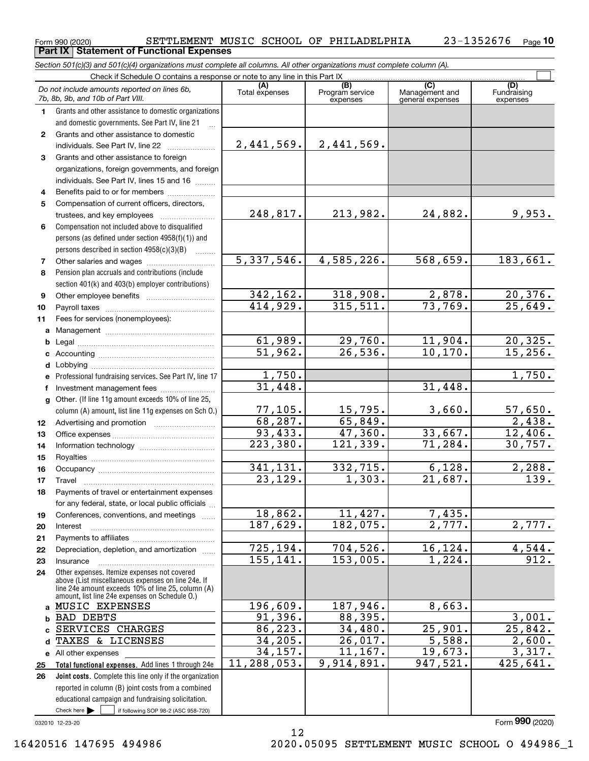$_{\rm Form}$ 990 (2020) SETTLEMENT MUSIC SCHOOL OF PHILADELPHIA  $_{\rm 23-1352676$   $_{\rm Page}$ **Part IX Statement of Functional Expenses**

*Section 501(c)(3) and 501(c)(4) organizations must complete all columns. All other organizations must complete column (A).*

|                | Do not include amounts reported on lines 6b,<br>7b, 8b, 9b, and 10b of Part VIII.                                             | (A)<br>Total expenses               | (B)<br>Program service<br>expenses | $\overline{C}$<br>Management and<br>general expenses | (D)<br>Fundraising<br>expenses |
|----------------|-------------------------------------------------------------------------------------------------------------------------------|-------------------------------------|------------------------------------|------------------------------------------------------|--------------------------------|
| 1              | Grants and other assistance to domestic organizations                                                                         |                                     |                                    |                                                      |                                |
|                | and domestic governments. See Part IV, line 21                                                                                |                                     |                                    |                                                      |                                |
| $\mathbf{2}$   | Grants and other assistance to domestic                                                                                       |                                     |                                    |                                                      |                                |
|                | individuals. See Part IV, line 22                                                                                             | 2,441,569.                          | 2,441,569.                         |                                                      |                                |
| 3              | Grants and other assistance to foreign                                                                                        |                                     |                                    |                                                      |                                |
|                | organizations, foreign governments, and foreign                                                                               |                                     |                                    |                                                      |                                |
|                | individuals. See Part IV, lines 15 and 16                                                                                     |                                     |                                    |                                                      |                                |
| 4              | Benefits paid to or for members                                                                                               |                                     |                                    |                                                      |                                |
| 5              | Compensation of current officers, directors,                                                                                  |                                     |                                    |                                                      |                                |
|                | trustees, and key employees                                                                                                   | 248,817.                            | 213,982.                           | 24,882.                                              | 9,953.                         |
| 6              | Compensation not included above to disqualified                                                                               |                                     |                                    |                                                      |                                |
|                | persons (as defined under section 4958(f)(1)) and                                                                             |                                     |                                    |                                                      |                                |
|                | persons described in section 4958(c)(3)(B)                                                                                    |                                     |                                    |                                                      |                                |
| $\overline{7}$ | Other salaries and wages                                                                                                      | 5,337,546.                          | 4,585,226.                         | 568,659.                                             | 183,661.                       |
| 8              | Pension plan accruals and contributions (include                                                                              |                                     |                                    |                                                      |                                |
|                | section 401(k) and 403(b) employer contributions)                                                                             |                                     |                                    |                                                      |                                |
| 9              |                                                                                                                               | 342, 162.<br>$\overline{414,929}$ . | 318,908.<br>315,511.               | 2,878.<br>73,769.                                    | $\frac{20,376.}{25,649.}$      |
| 10             |                                                                                                                               |                                     |                                    |                                                      |                                |
| 11             | Fees for services (nonemployees):                                                                                             |                                     |                                    |                                                      |                                |
| a              |                                                                                                                               | 61,989.                             | 29,760.                            | 11,904.                                              | 20, 325.                       |
| b              |                                                                                                                               | 51,962.                             | 26,536.                            | 10, 170.                                             | 15,256.                        |
|                |                                                                                                                               |                                     |                                    |                                                      |                                |
| d              | Professional fundraising services. See Part IV, line 17                                                                       | 1,750.                              |                                    |                                                      | 1,750.                         |
| е<br>f         |                                                                                                                               | 31,448.                             |                                    | 31,448.                                              |                                |
| $\mathbf{q}$   | Other. (If line 11g amount exceeds 10% of line 25,                                                                            |                                     |                                    |                                                      |                                |
|                | column (A) amount, list line 11g expenses on Sch 0.)                                                                          | 77, 105.                            | 15,795.                            | 3,660.                                               |                                |
| 12             |                                                                                                                               | 68, 287.                            | 65,849.                            |                                                      | $\frac{57,650}{2,438}$         |
| 13             |                                                                                                                               | 93,433.                             | 47,360.                            | 33,667.                                              | 12,406.                        |
| 14             |                                                                                                                               | 223,380.                            | 121, 339.                          | 71,284.                                              | 30,757.                        |
| 15             |                                                                                                                               |                                     |                                    |                                                      |                                |
| 16             |                                                                                                                               | 341,131.                            | 332,715.                           | 6,128.                                               | 2,288.                         |
| 17             | Travel                                                                                                                        | 23,129.                             | 1,303.                             | 21,687.                                              | $\overline{139}$ .             |
| 18             | Payments of travel or entertainment expenses                                                                                  |                                     |                                    |                                                      |                                |
|                | for any federal, state, or local public officials                                                                             |                                     |                                    |                                                      |                                |
| 19             | Conferences, conventions, and meetings                                                                                        | 18,862.                             | 11,427.                            | 7,435.                                               |                                |
| 20             | Interest                                                                                                                      | 187,629.                            | 182,075.                           | 2,777.                                               | 2,777.                         |
| 21             |                                                                                                                               |                                     |                                    |                                                      |                                |
| 22             | Depreciation, depletion, and amortization                                                                                     | 725, 194.                           | 704,526.                           | 16,124.                                              | 4,544.                         |
| 23             | Insurance                                                                                                                     | 155, 141.                           | 153,005.                           | 1,224.                                               | 912.                           |
| 24             | Other expenses. Itemize expenses not covered                                                                                  |                                     |                                    |                                                      |                                |
|                | above (List miscellaneous expenses on line 24e. If<br>line 24e amount exceeds 10% of line 25, column (A)                      |                                     |                                    |                                                      |                                |
|                | amount, list line 24e expenses on Schedule O.)                                                                                |                                     |                                    |                                                      |                                |
|                | a MUSIC EXPENSES                                                                                                              | 196,609.                            | 187,946.                           | 8,663.                                               |                                |
|                | <b>b BAD DEBTS</b>                                                                                                            | 91,396.                             | 88,395.                            |                                                      | 3,001.                         |
| c.             | SERVICES CHARGES                                                                                                              | 86, 223.                            | 34,480.                            | $\overline{25,901}$ .                                | 25,842.                        |
| d              | TAXES & LICENSES                                                                                                              | 34,205.                             | 26,017.                            | $\overline{5,588.}$                                  | 2,600.                         |
|                | e All other expenses                                                                                                          | 34, 157.<br>11                      | 11, 167.                           | 19,673.                                              | 3,317.                         |
| 25             | Total functional expenses. Add lines 1 through 24e                                                                            | , 288, 053.                         | 9,914,891.                         | 947,521.                                             | 425,641.                       |
| 26             | Joint costs. Complete this line only if the organization                                                                      |                                     |                                    |                                                      |                                |
|                | reported in column (B) joint costs from a combined                                                                            |                                     |                                    |                                                      |                                |
|                | educational campaign and fundraising solicitation.<br>Check here $\blacktriangleright$<br>if following SOP 98-2 (ASC 958-720) |                                     |                                    |                                                      |                                |
|                | 032010 12-23-20                                                                                                               |                                     |                                    |                                                      | Form 990 (2020)                |
|                |                                                                                                                               |                                     |                                    |                                                      |                                |

12

032010 12-23-20

**10**

 <sup>16420516 147695 494986 2020.05095</sup> SETTLEMENT MUSIC SCHOOL O 494986\_1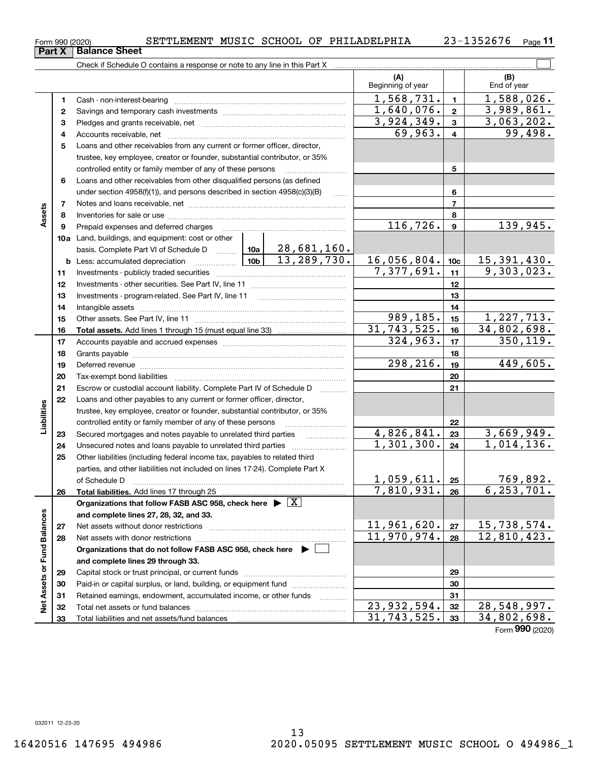|               | 1        |                                                                                                                                                            | 1,568,731.                  | $\mathbf{1}$            | $\overline{1,588,026}$ .       |
|---------------|----------|------------------------------------------------------------------------------------------------------------------------------------------------------------|-----------------------------|-------------------------|--------------------------------|
|               | 2        |                                                                                                                                                            | 1,640,076.                  | $\bf 2$                 | 3,989,861.                     |
|               | з        |                                                                                                                                                            | 3,924,349.                  | 3                       | 3,063,202.                     |
|               | 4        |                                                                                                                                                            | 69,963.                     | $\overline{\mathbf{4}}$ | $\overline{99}$ , 498.         |
|               | 5        | Loans and other receivables from any current or former officer, director,                                                                                  |                             |                         |                                |
|               |          | trustee, key employee, creator or founder, substantial contributor, or 35%                                                                                 |                             |                         |                                |
|               |          | controlled entity or family member of any of these persons [                                                                                               |                             | 5                       |                                |
|               | 6        | Loans and other receivables from other disqualified persons (as defined                                                                                    |                             |                         |                                |
|               |          | under section 4958(f)(1)), and persons described in section 4958(c)(3)(B)<br>.                                                                             |                             | 6                       |                                |
|               | 7        |                                                                                                                                                            |                             | $\overline{7}$          |                                |
| Assets        | 8        |                                                                                                                                                            |                             | 8                       |                                |
|               | 9        | Prepaid expenses and deferred charges                                                                                                                      | 116,726.                    | 9                       | 139,945.                       |
|               |          | <b>10a</b> Land, buildings, and equipment: cost or other                                                                                                   |                             |                         |                                |
|               |          | 28,681,160.<br>basis. Complete Part VI of Schedule D  10a                                                                                                  |                             |                         |                                |
|               | b        | 13,289,730.<br>10 <sub>b</sub>                                                                                                                             | 16,056,804.                 | 10 <sub>c</sub>         | $\frac{15,391,430}{9,303,023}$ |
|               | 11       |                                                                                                                                                            | 7,377,691.                  | 11                      |                                |
|               | 12       |                                                                                                                                                            |                             | 12                      |                                |
|               | 13       |                                                                                                                                                            |                             | 13                      |                                |
|               | 14       |                                                                                                                                                            |                             | 14                      |                                |
|               | 15       |                                                                                                                                                            | 989,185.                    | 15                      | 1,227,713.                     |
|               | 16       |                                                                                                                                                            | 31,743,525.                 | 16                      | 34,802,698.                    |
|               | 17       |                                                                                                                                                            | 324,963.                    | 17                      | $\overline{350,119}$ .         |
|               | 18       |                                                                                                                                                            |                             | 18                      |                                |
|               | 19       |                                                                                                                                                            | 298,216.                    | 19                      | 449,605.                       |
|               | 20       |                                                                                                                                                            |                             | 20                      |                                |
|               | 21       | Escrow or custodial account liability. Complete Part IV of Schedule D                                                                                      |                             | 21                      |                                |
|               | 22       | Loans and other payables to any current or former officer, director,                                                                                       |                             |                         |                                |
| abilities     |          | trustee, key employee, creator or founder, substantial contributor, or 35%                                                                                 |                             |                         |                                |
|               |          | controlled entity or family member of any of these persons                                                                                                 | 4,826,841.                  | 22                      | 3,669,949.                     |
|               | 23       |                                                                                                                                                            | 1,301,300.                  | 23<br>24                | 1,014,136.                     |
|               | 24<br>25 |                                                                                                                                                            |                             |                         |                                |
|               |          | Other liabilities (including federal income tax, payables to related third<br>parties, and other liabilities not included on lines 17-24). Complete Part X |                             |                         |                                |
|               |          | of Schedule D                                                                                                                                              | <u>1,059,611. 25</u>        |                         | <u>769,892.</u>                |
|               | 26       | Total liabilities. Add lines 17 through 25                                                                                                                 | 7,810,931.                  | 26                      | 6, 253, 701.                   |
|               |          | Organizations that follow FASB ASC 958, check here $\blacktriangleright \boxed{X}$                                                                         |                             |                         |                                |
| ces           |          | and complete lines 27, 28, 32, and 33.                                                                                                                     |                             |                         |                                |
|               | 27       |                                                                                                                                                            | 11,961,620.                 | 27                      | 15,738,574.                    |
| Fund Balan    | 28       | Net assets with donor restrictions                                                                                                                         | $\overline{11}$ , 970, 974. | 28                      | 12,810,423.                    |
|               |          | Organizations that do not follow FASB ASC 958, check here $\blacktriangleright$                                                                            |                             |                         |                                |
|               |          | and complete lines 29 through 33.                                                                                                                          |                             |                         |                                |
|               | 29       |                                                                                                                                                            |                             | 29                      |                                |
| Net Assets or | 30       | Paid-in or capital surplus, or land, building, or equipment fund                                                                                           |                             | 30                      |                                |
|               | 31       | Retained earnings, endowment, accumulated income, or other funds                                                                                           |                             | 31                      |                                |
|               | 32       | Total net assets or fund balances                                                                                                                          | 23,932,594.                 | 32                      | 28,548,997.                    |
|               | 33       | Total liabilities and net assets/fund balances                                                                                                             | 31,743,525.                 | 33                      | 34,802,698.                    |
|               |          |                                                                                                                                                            |                             |                         | Form 990 (2020)                |

 $_{\rm Form}$ 990 (2020) SETTLEMENT MUSIC SCHOOL OF PHILADELPHIA  $_{\rm 23-1352676$   $_{\rm Page}$ 

Check if Schedule O contains a response or note to any line in this Part X

**Part X Balance Sheet**

**11**

(B)<br>End of year

 $\mathcal{L}^{\text{max}}$ 

**(A) (B)**

Beginning of year | | End of year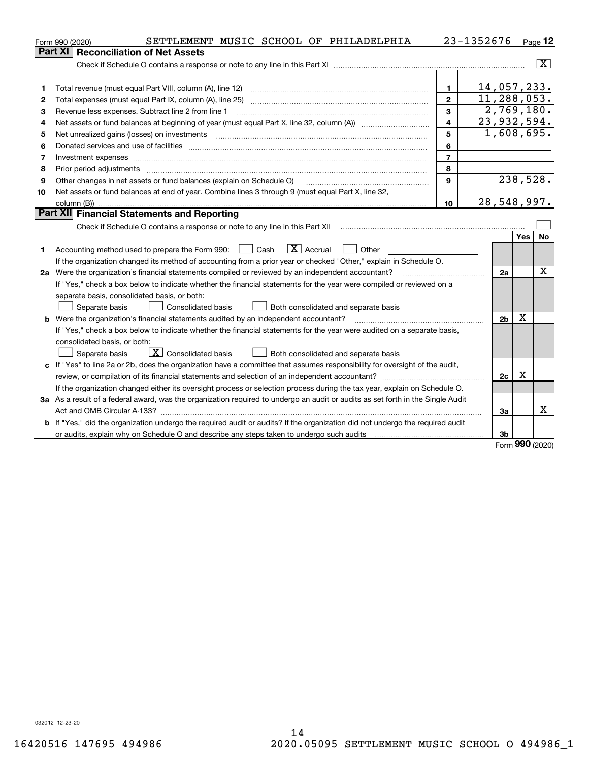|    | SETTLEMENT MUSIC SCHOOL OF PHILADELPHIA<br>Form 990 (2020)                                                                      |                         | 23-1352676     |            | Page $12$ |
|----|---------------------------------------------------------------------------------------------------------------------------------|-------------------------|----------------|------------|-----------|
|    | <b>Reconciliation of Net Assets</b><br><b>Part XI</b>                                                                           |                         |                |            |           |
|    |                                                                                                                                 |                         |                |            | x         |
|    |                                                                                                                                 |                         |                |            |           |
| 1  | Total revenue (must equal Part VIII, column (A), line 12)                                                                       | $\mathbf{1}$            | 14,057,233.    |            |           |
| 2  | Total expenses (must equal Part IX, column (A), line 25)                                                                        | $\mathbf{2}$            | 11,288,053.    |            |           |
| з  | Revenue less expenses. Subtract line 2 from line 1                                                                              | 3                       | 2,769,180.     |            |           |
| 4  |                                                                                                                                 | $\overline{\mathbf{4}}$ | 23,932,594.    |            |           |
| 5  | Net unrealized gains (losses) on investments                                                                                    | 5                       | 1,608,695.     |            |           |
| 6  |                                                                                                                                 | 6                       |                |            |           |
| 7  | Investment expenses www.communication.com/www.communication.com/www.communication.com/www.communication.com/ww                  | $\overline{7}$          |                |            |           |
| 8  | Prior period adjustments                                                                                                        | 8                       |                |            |           |
| 9  | Other changes in net assets or fund balances (explain on Schedule O)                                                            | 9                       |                |            | 238,528.  |
| 10 | Net assets or fund balances at end of year. Combine lines 3 through 9 (must equal Part X, line 32,                              |                         |                |            |           |
|    |                                                                                                                                 | 10                      | 28,548,997.    |            |           |
|    | Part XII Financial Statements and Reporting                                                                                     |                         |                |            |           |
|    |                                                                                                                                 |                         |                |            |           |
|    |                                                                                                                                 |                         |                | Yes        | <b>No</b> |
| 1  | $\boxed{\text{X}}$ Accrual<br>$\Box$ Cash<br>Accounting method used to prepare the Form 990:<br>Other                           |                         |                |            |           |
|    | If the organization changed its method of accounting from a prior year or checked "Other," explain in Schedule O.               |                         |                |            |           |
|    | 2a Were the organization's financial statements compiled or reviewed by an independent accountant?                              |                         | 2a             |            | x         |
|    | If "Yes," check a box below to indicate whether the financial statements for the year were compiled or reviewed on a            |                         |                |            |           |
|    | separate basis, consolidated basis, or both:                                                                                    |                         |                |            |           |
|    | Separate basis<br><b>Consolidated basis</b><br>Both consolidated and separate basis                                             |                         |                | X          |           |
|    | <b>b</b> Were the organization's financial statements audited by an independent accountant?                                     |                         | 2 <sub>b</sub> |            |           |
|    | If "Yes," check a box below to indicate whether the financial statements for the year were audited on a separate basis,         |                         |                |            |           |
|    | consolidated basis, or both:                                                                                                    |                         |                |            |           |
|    | $\boxed{\textbf{X}}$ Consolidated basis<br>Separate basis<br>Both consolidated and separate basis                               |                         |                |            |           |
|    | c If "Yes" to line 2a or 2b, does the organization have a committee that assumes responsibility for oversight of the audit,     |                         |                | х          |           |
|    |                                                                                                                                 |                         | 2c             |            |           |
|    | If the organization changed either its oversight process or selection process during the tax year, explain on Schedule O.       |                         |                |            |           |
|    | 3a As a result of a federal award, was the organization required to undergo an audit or audits as set forth in the Single Audit |                         |                |            | х         |
|    |                                                                                                                                 |                         | За             |            |           |
|    | b If "Yes," did the organization undergo the required audit or audits? If the organization did not undergo the required audit   |                         |                |            |           |
|    |                                                                                                                                 |                         | 3b             | <u>nnn</u> |           |

Form (2020) **990**

032012 12-23-20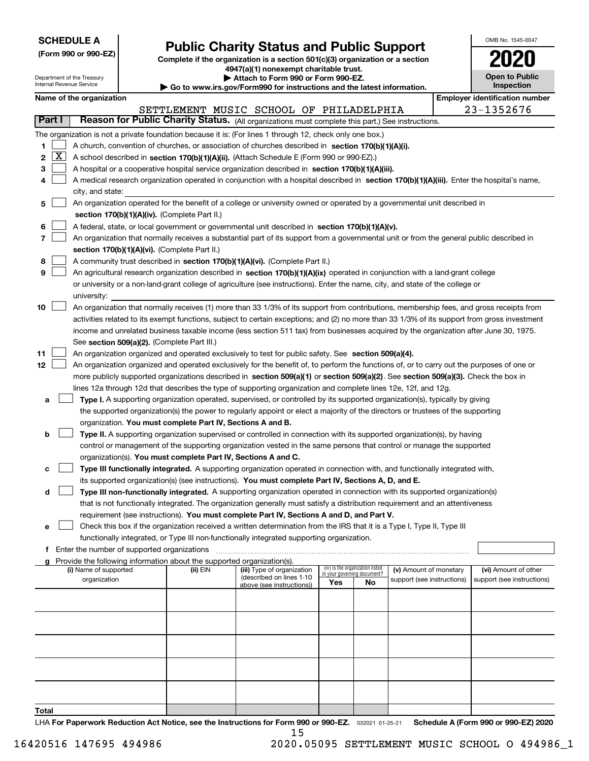| <b>SCHEDULE A</b> |  |
|-------------------|--|
|-------------------|--|

Department of the Treasury

|  |  |  | (Form 990 or 990-EZ) |
|--|--|--|----------------------|
|--|--|--|----------------------|

# **Public Charity Status and Public Support**

**Complete if the organization is a section 501(c)(3) organization or a section 4947(a)(1) nonexempt charitable trust. | Attach to Form 990 or Form 990-EZ.** 

| OMB No. 1545-0047     |
|-----------------------|
| 2020                  |
| <b>Open to Public</b> |

|       | Internal Revenue Service<br>Inspection<br>$\blacktriangleright$ Go to www.irs.gov/Form990 for instructions and the latest information. |                                               |  |                                                                        |                                                                                                                                                                                                                                                      |                                                                |    |                            |  |                                       |
|-------|----------------------------------------------------------------------------------------------------------------------------------------|-----------------------------------------------|--|------------------------------------------------------------------------|------------------------------------------------------------------------------------------------------------------------------------------------------------------------------------------------------------------------------------------------------|----------------------------------------------------------------|----|----------------------------|--|---------------------------------------|
|       |                                                                                                                                        | Name of the organization                      |  |                                                                        |                                                                                                                                                                                                                                                      |                                                                |    |                            |  | <b>Employer identification number</b> |
|       |                                                                                                                                        |                                               |  |                                                                        | SETTLEMENT MUSIC SCHOOL OF PHILADELPHIA                                                                                                                                                                                                              |                                                                |    |                            |  | 23-1352676                            |
|       | Part I                                                                                                                                 |                                               |  |                                                                        | Reason for Public Charity Status. (All organizations must complete this part.) See instructions.                                                                                                                                                     |                                                                |    |                            |  |                                       |
|       |                                                                                                                                        |                                               |  |                                                                        | The organization is not a private foundation because it is: (For lines 1 through 12, check only one box.)                                                                                                                                            |                                                                |    |                            |  |                                       |
| 1     |                                                                                                                                        |                                               |  |                                                                        | A church, convention of churches, or association of churches described in section $170(b)(1)(A)(i)$ .                                                                                                                                                |                                                                |    |                            |  |                                       |
| 2     | $\boxed{\text{X}}$                                                                                                                     |                                               |  |                                                                        | A school described in section 170(b)(1)(A)(ii). (Attach Schedule E (Form 990 or 990-EZ).)                                                                                                                                                            |                                                                |    |                            |  |                                       |
| 3     |                                                                                                                                        |                                               |  |                                                                        | A hospital or a cooperative hospital service organization described in section 170(b)(1)(A)(iii).                                                                                                                                                    |                                                                |    |                            |  |                                       |
| 4     |                                                                                                                                        |                                               |  |                                                                        | A medical research organization operated in conjunction with a hospital described in section 170(b)(1)(A)(iii). Enter the hospital's name,                                                                                                           |                                                                |    |                            |  |                                       |
|       |                                                                                                                                        | city, and state:                              |  |                                                                        |                                                                                                                                                                                                                                                      |                                                                |    |                            |  |                                       |
| 5     |                                                                                                                                        |                                               |  |                                                                        | An organization operated for the benefit of a college or university owned or operated by a governmental unit described in                                                                                                                            |                                                                |    |                            |  |                                       |
|       |                                                                                                                                        |                                               |  | section 170(b)(1)(A)(iv). (Complete Part II.)                          |                                                                                                                                                                                                                                                      |                                                                |    |                            |  |                                       |
| 6     |                                                                                                                                        |                                               |  |                                                                        | A federal, state, or local government or governmental unit described in section 170(b)(1)(A)(v).                                                                                                                                                     |                                                                |    |                            |  |                                       |
| 7     |                                                                                                                                        |                                               |  |                                                                        | An organization that normally receives a substantial part of its support from a governmental unit or from the general public described in                                                                                                            |                                                                |    |                            |  |                                       |
|       |                                                                                                                                        |                                               |  | section 170(b)(1)(A)(vi). (Complete Part II.)                          |                                                                                                                                                                                                                                                      |                                                                |    |                            |  |                                       |
| 8     |                                                                                                                                        |                                               |  |                                                                        | A community trust described in section 170(b)(1)(A)(vi). (Complete Part II.)                                                                                                                                                                         |                                                                |    |                            |  |                                       |
| 9     |                                                                                                                                        |                                               |  |                                                                        | An agricultural research organization described in section 170(b)(1)(A)(ix) operated in conjunction with a land-grant college                                                                                                                        |                                                                |    |                            |  |                                       |
|       |                                                                                                                                        |                                               |  |                                                                        | or university or a non-land-grant college of agriculture (see instructions). Enter the name, city, and state of the college or                                                                                                                       |                                                                |    |                            |  |                                       |
|       |                                                                                                                                        | university:                                   |  |                                                                        |                                                                                                                                                                                                                                                      |                                                                |    |                            |  |                                       |
| 10    |                                                                                                                                        |                                               |  |                                                                        | An organization that normally receives (1) more than 33 1/3% of its support from contributions, membership fees, and gross receipts from                                                                                                             |                                                                |    |                            |  |                                       |
|       |                                                                                                                                        |                                               |  |                                                                        | activities related to its exempt functions, subject to certain exceptions; and (2) no more than 33 1/3% of its support from gross investment                                                                                                         |                                                                |    |                            |  |                                       |
|       |                                                                                                                                        |                                               |  |                                                                        | income and unrelated business taxable income (less section 511 tax) from businesses acquired by the organization after June 30, 1975.                                                                                                                |                                                                |    |                            |  |                                       |
|       |                                                                                                                                        |                                               |  | See section 509(a)(2). (Complete Part III.)                            |                                                                                                                                                                                                                                                      |                                                                |    |                            |  |                                       |
| 11    |                                                                                                                                        |                                               |  |                                                                        | An organization organized and operated exclusively to test for public safety. See section 509(a)(4).                                                                                                                                                 |                                                                |    |                            |  |                                       |
| 12    |                                                                                                                                        |                                               |  |                                                                        | An organization organized and operated exclusively for the benefit of, to perform the functions of, or to carry out the purposes of one or                                                                                                           |                                                                |    |                            |  |                                       |
|       |                                                                                                                                        |                                               |  |                                                                        | more publicly supported organizations described in section 509(a)(1) or section 509(a)(2). See section 509(a)(3). Check the box in<br>lines 12a through 12d that describes the type of supporting organization and complete lines 12e, 12f, and 12g. |                                                                |    |                            |  |                                       |
| а     |                                                                                                                                        |                                               |  |                                                                        | Type I. A supporting organization operated, supervised, or controlled by its supported organization(s), typically by giving                                                                                                                          |                                                                |    |                            |  |                                       |
|       |                                                                                                                                        |                                               |  |                                                                        | the supported organization(s) the power to regularly appoint or elect a majority of the directors or trustees of the supporting                                                                                                                      |                                                                |    |                            |  |                                       |
|       |                                                                                                                                        |                                               |  | organization. You must complete Part IV, Sections A and B.             |                                                                                                                                                                                                                                                      |                                                                |    |                            |  |                                       |
| b     |                                                                                                                                        |                                               |  |                                                                        | Type II. A supporting organization supervised or controlled in connection with its supported organization(s), by having                                                                                                                              |                                                                |    |                            |  |                                       |
|       |                                                                                                                                        |                                               |  |                                                                        | control or management of the supporting organization vested in the same persons that control or manage the supported                                                                                                                                 |                                                                |    |                            |  |                                       |
|       |                                                                                                                                        |                                               |  | organization(s). You must complete Part IV, Sections A and C.          |                                                                                                                                                                                                                                                      |                                                                |    |                            |  |                                       |
| с     |                                                                                                                                        |                                               |  |                                                                        | Type III functionally integrated. A supporting organization operated in connection with, and functionally integrated with,                                                                                                                           |                                                                |    |                            |  |                                       |
|       |                                                                                                                                        |                                               |  |                                                                        | its supported organization(s) (see instructions). You must complete Part IV, Sections A, D, and E.                                                                                                                                                   |                                                                |    |                            |  |                                       |
| d     |                                                                                                                                        |                                               |  |                                                                        | Type III non-functionally integrated. A supporting organization operated in connection with its supported organization(s)                                                                                                                            |                                                                |    |                            |  |                                       |
|       |                                                                                                                                        |                                               |  |                                                                        | that is not functionally integrated. The organization generally must satisfy a distribution requirement and an attentiveness                                                                                                                         |                                                                |    |                            |  |                                       |
|       |                                                                                                                                        |                                               |  |                                                                        | requirement (see instructions). You must complete Part IV, Sections A and D, and Part V.                                                                                                                                                             |                                                                |    |                            |  |                                       |
| е     |                                                                                                                                        |                                               |  |                                                                        | Check this box if the organization received a written determination from the IRS that it is a Type I, Type II, Type III                                                                                                                              |                                                                |    |                            |  |                                       |
|       |                                                                                                                                        |                                               |  |                                                                        | functionally integrated, or Type III non-functionally integrated supporting organization.                                                                                                                                                            |                                                                |    |                            |  |                                       |
|       |                                                                                                                                        | f Enter the number of supported organizations |  |                                                                        |                                                                                                                                                                                                                                                      |                                                                |    |                            |  |                                       |
| a     |                                                                                                                                        |                                               |  | Provide the following information about the supported organization(s). |                                                                                                                                                                                                                                                      |                                                                |    |                            |  |                                       |
|       |                                                                                                                                        | (i) Name of supported                         |  | (ii) EIN                                                               | (iii) Type of organization<br>(described on lines 1-10                                                                                                                                                                                               | (iv) Is the organization listed<br>in your governing document? |    | (v) Amount of monetary     |  | (vi) Amount of other                  |
|       |                                                                                                                                        | organization                                  |  |                                                                        | above (see instructions))                                                                                                                                                                                                                            | Yes                                                            | No | support (see instructions) |  | support (see instructions)            |
|       |                                                                                                                                        |                                               |  |                                                                        |                                                                                                                                                                                                                                                      |                                                                |    |                            |  |                                       |
|       |                                                                                                                                        |                                               |  |                                                                        |                                                                                                                                                                                                                                                      |                                                                |    |                            |  |                                       |
|       |                                                                                                                                        |                                               |  |                                                                        |                                                                                                                                                                                                                                                      |                                                                |    |                            |  |                                       |
|       |                                                                                                                                        |                                               |  |                                                                        |                                                                                                                                                                                                                                                      |                                                                |    |                            |  |                                       |
|       |                                                                                                                                        |                                               |  |                                                                        |                                                                                                                                                                                                                                                      |                                                                |    |                            |  |                                       |
|       |                                                                                                                                        |                                               |  |                                                                        |                                                                                                                                                                                                                                                      |                                                                |    |                            |  |                                       |
|       |                                                                                                                                        |                                               |  |                                                                        |                                                                                                                                                                                                                                                      |                                                                |    |                            |  |                                       |
|       |                                                                                                                                        |                                               |  |                                                                        |                                                                                                                                                                                                                                                      |                                                                |    |                            |  |                                       |
|       |                                                                                                                                        |                                               |  |                                                                        |                                                                                                                                                                                                                                                      |                                                                |    |                            |  |                                       |
| Total |                                                                                                                                        |                                               |  |                                                                        |                                                                                                                                                                                                                                                      |                                                                |    |                            |  |                                       |

LHA For Paperwork Reduction Act Notice, see the Instructions for Form 990 or 990-EZ. <sub>032021</sub> o1-25-21 Schedule A (Form 990 or 990-EZ) 2020 15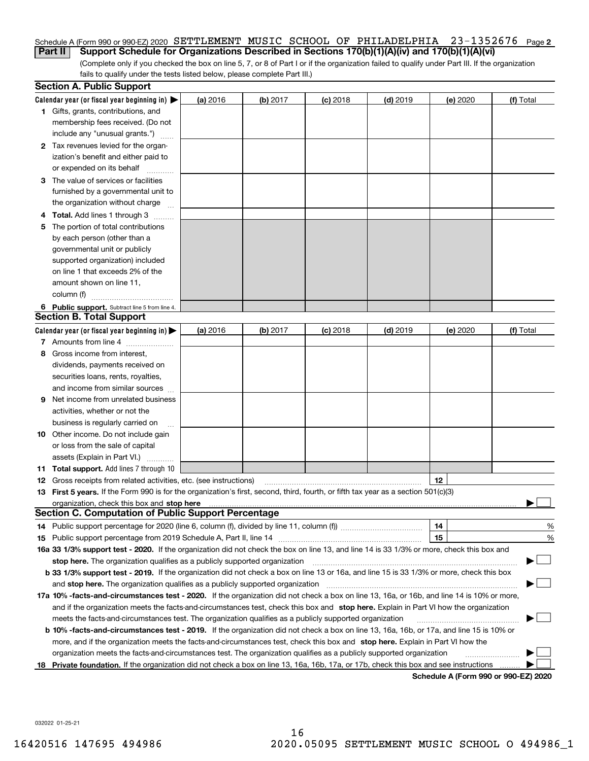### **2** Schedule A (Form 990 or 990-EZ) 2020 Page **Part II Support Schedule for Organizations Described in Sections 170(b)(1)(A)(iv) and 170(b)(1)(A)(vi)** SETTLEMENT MUSIC SCHOOL OF PHILADELPHIA 23-1352676

(Complete only if you checked the box on line 5, 7, or 8 of Part I or if the organization failed to qualify under Part III. If the organization fails to qualify under the tests listed below, please complete Part III.)

|   | <b>Section A. Public Support</b>                                                                                                               |          |          |            |            |          |                                      |
|---|------------------------------------------------------------------------------------------------------------------------------------------------|----------|----------|------------|------------|----------|--------------------------------------|
|   | Calendar year (or fiscal year beginning in) $\blacktriangleright$                                                                              | (a) 2016 | (b) 2017 | $(c)$ 2018 | $(d)$ 2019 | (e) 2020 | (f) Total                            |
|   | 1 Gifts, grants, contributions, and                                                                                                            |          |          |            |            |          |                                      |
|   | membership fees received. (Do not                                                                                                              |          |          |            |            |          |                                      |
|   | include any "unusual grants.")                                                                                                                 |          |          |            |            |          |                                      |
|   | 2 Tax revenues levied for the organ-                                                                                                           |          |          |            |            |          |                                      |
|   | ization's benefit and either paid to                                                                                                           |          |          |            |            |          |                                      |
|   | or expended on its behalf                                                                                                                      |          |          |            |            |          |                                      |
|   | 3 The value of services or facilities                                                                                                          |          |          |            |            |          |                                      |
|   | furnished by a governmental unit to                                                                                                            |          |          |            |            |          |                                      |
|   | the organization without charge                                                                                                                |          |          |            |            |          |                                      |
|   | <b>Total.</b> Add lines 1 through 3                                                                                                            |          |          |            |            |          |                                      |
| 5 | The portion of total contributions                                                                                                             |          |          |            |            |          |                                      |
|   | by each person (other than a                                                                                                                   |          |          |            |            |          |                                      |
|   | governmental unit or publicly                                                                                                                  |          |          |            |            |          |                                      |
|   | supported organization) included                                                                                                               |          |          |            |            |          |                                      |
|   | on line 1 that exceeds 2% of the                                                                                                               |          |          |            |            |          |                                      |
|   | amount shown on line 11,                                                                                                                       |          |          |            |            |          |                                      |
|   | column (f)                                                                                                                                     |          |          |            |            |          |                                      |
|   | 6 Public support. Subtract line 5 from line 4.                                                                                                 |          |          |            |            |          |                                      |
|   | <b>Section B. Total Support</b>                                                                                                                |          |          |            |            |          |                                      |
|   | Calendar year (or fiscal year beginning in)                                                                                                    | (a) 2016 | (b) 2017 | $(c)$ 2018 | $(d)$ 2019 | (e) 2020 | (f) Total                            |
|   | 7 Amounts from line 4                                                                                                                          |          |          |            |            |          |                                      |
| 8 | Gross income from interest,                                                                                                                    |          |          |            |            |          |                                      |
|   | dividends, payments received on                                                                                                                |          |          |            |            |          |                                      |
|   | securities loans, rents, royalties,                                                                                                            |          |          |            |            |          |                                      |
|   | and income from similar sources                                                                                                                |          |          |            |            |          |                                      |
| 9 | Net income from unrelated business                                                                                                             |          |          |            |            |          |                                      |
|   | activities, whether or not the                                                                                                                 |          |          |            |            |          |                                      |
|   | business is regularly carried on                                                                                                               |          |          |            |            |          |                                      |
|   | <b>10</b> Other income. Do not include gain                                                                                                    |          |          |            |            |          |                                      |
|   | or loss from the sale of capital                                                                                                               |          |          |            |            |          |                                      |
|   | assets (Explain in Part VI.)                                                                                                                   |          |          |            |            |          |                                      |
|   | <b>11 Total support.</b> Add lines 7 through 10                                                                                                |          |          |            |            |          |                                      |
|   | <b>12</b> Gross receipts from related activities, etc. (see instructions)                                                                      |          |          |            |            | 12       |                                      |
|   | 13 First 5 years. If the Form 990 is for the organization's first, second, third, fourth, or fifth tax year as a section 501(c)(3)             |          |          |            |            |          |                                      |
|   |                                                                                                                                                |          |          |            |            |          |                                      |
|   | <b>Section C. Computation of Public Support Percentage</b>                                                                                     |          |          |            |            |          |                                      |
|   | 14 Public support percentage for 2020 (line 6, column (f), divided by line 11, column (f) <i>marroummaname</i>                                 |          |          |            |            | 14       | %                                    |
|   |                                                                                                                                                |          |          |            |            | 15       | %                                    |
|   | 16a 33 1/3% support test - 2020. If the organization did not check the box on line 13, and line 14 is 33 1/3% or more, check this box and      |          |          |            |            |          |                                      |
|   | stop here. The organization qualifies as a publicly supported organization                                                                     |          |          |            |            |          |                                      |
|   | b 33 1/3% support test - 2019. If the organization did not check a box on line 13 or 16a, and line 15 is 33 1/3% or more, check this box       |          |          |            |            |          |                                      |
|   | and stop here. The organization qualifies as a publicly supported organization                                                                 |          |          |            |            |          |                                      |
|   | 17a 10% -facts-and-circumstances test - 2020. If the organization did not check a box on line 13, 16a, or 16b, and line 14 is 10% or more,     |          |          |            |            |          |                                      |
|   | and if the organization meets the facts-and-circumstances test, check this box and stop here. Explain in Part VI how the organization          |          |          |            |            |          |                                      |
|   | meets the facts-and-circumstances test. The organization qualifies as a publicly supported organization                                        |          |          |            |            |          |                                      |
|   | <b>b 10% -facts-and-circumstances test - 2019.</b> If the organization did not check a box on line 13, 16a, 16b, or 17a, and line 15 is 10% or |          |          |            |            |          |                                      |
|   | more, and if the organization meets the facts-and-circumstances test, check this box and stop here. Explain in Part VI how the                 |          |          |            |            |          |                                      |
|   | organization meets the facts-and-circumstances test. The organization qualifies as a publicly supported organization                           |          |          |            |            |          |                                      |
|   | 18 Private foundation. If the organization did not check a box on line 13, 16a, 16b, 17a, or 17b, check this box and see instructions          |          |          |            |            |          |                                      |
|   |                                                                                                                                                |          |          |            |            |          | Schedule A (Form 990 or 990-F7) 2020 |

**Schedule A (Form 990 or 990-EZ) 2020**

032022 01-25-21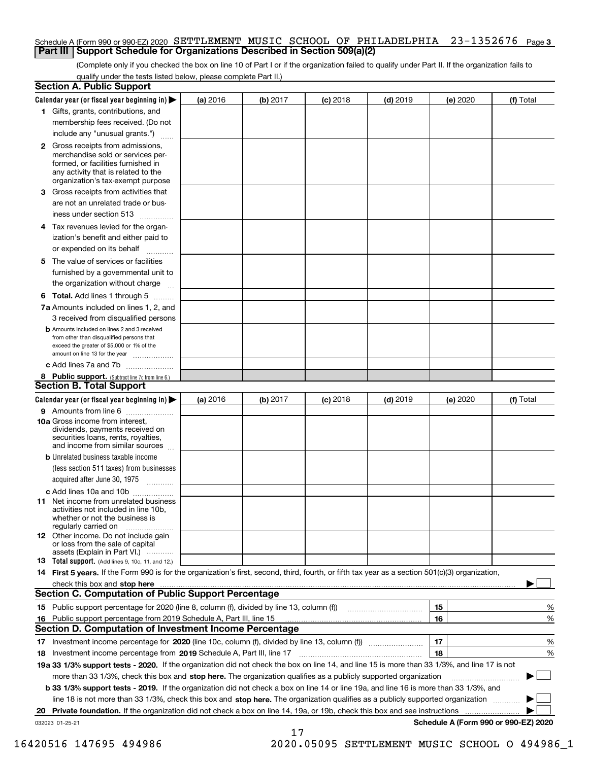# Schedule A (Form 990 or 990-EZ) 2020 <code>SETTLEMENT MUSIC</code> <code>SCHOOL OF PHILADELPHIA 23–1352676 <code>Page 3</code></code> **Part III Support Schedule for Organizations Described in Section 509(a)(2)**

(Complete only if you checked the box on line 10 of Part I or if the organization failed to qualify under Part II. If the organization fails to qualify under the tests listed below, please complete Part II.)

|    | <b>Section A. Public Support</b>                                                                                                                                                                                               |          |          |            |            |                                      |           |
|----|--------------------------------------------------------------------------------------------------------------------------------------------------------------------------------------------------------------------------------|----------|----------|------------|------------|--------------------------------------|-----------|
|    | Calendar year (or fiscal year beginning in) $\blacktriangleright$                                                                                                                                                              | (a) 2016 | (b) 2017 | $(c)$ 2018 | $(d)$ 2019 | (e) 2020                             | (f) Total |
|    | 1 Gifts, grants, contributions, and                                                                                                                                                                                            |          |          |            |            |                                      |           |
|    | membership fees received. (Do not                                                                                                                                                                                              |          |          |            |            |                                      |           |
|    | include any "unusual grants.")                                                                                                                                                                                                 |          |          |            |            |                                      |           |
|    | 2 Gross receipts from admissions,<br>merchandise sold or services per-<br>formed, or facilities furnished in<br>any activity that is related to the<br>organization's tax-exempt purpose                                       |          |          |            |            |                                      |           |
|    | 3 Gross receipts from activities that<br>are not an unrelated trade or bus-                                                                                                                                                    |          |          |            |            |                                      |           |
|    | iness under section 513                                                                                                                                                                                                        |          |          |            |            |                                      |           |
|    | 4 Tax revenues levied for the organ-<br>ization's benefit and either paid to                                                                                                                                                   |          |          |            |            |                                      |           |
|    | or expended on its behalf<br>.                                                                                                                                                                                                 |          |          |            |            |                                      |           |
|    | 5 The value of services or facilities<br>furnished by a governmental unit to<br>the organization without charge                                                                                                                |          |          |            |            |                                      |           |
|    | <b>6 Total.</b> Add lines 1 through 5                                                                                                                                                                                          |          |          |            |            |                                      |           |
|    | 7a Amounts included on lines 1, 2, and<br>3 received from disqualified persons                                                                                                                                                 |          |          |            |            |                                      |           |
|    | <b>b</b> Amounts included on lines 2 and 3 received                                                                                                                                                                            |          |          |            |            |                                      |           |
|    | from other than disqualified persons that<br>exceed the greater of \$5,000 or 1% of the                                                                                                                                        |          |          |            |            |                                      |           |
|    | amount on line 13 for the year                                                                                                                                                                                                 |          |          |            |            |                                      |           |
|    | c Add lines 7a and 7b                                                                                                                                                                                                          |          |          |            |            |                                      |           |
|    | 8 Public support. (Subtract line 7c from line 6.)<br><b>Section B. Total Support</b>                                                                                                                                           |          |          |            |            |                                      |           |
|    | Calendar year (or fiscal year beginning in) $\blacktriangleright$                                                                                                                                                              | (a) 2016 | (b) 2017 | $(c)$ 2018 | $(d)$ 2019 | (e) 2020                             | (f) Total |
|    | 9 Amounts from line 6                                                                                                                                                                                                          |          |          |            |            |                                      |           |
|    | 10a Gross income from interest,<br>dividends, payments received on<br>securities loans, rents, royalties,<br>and income from similar sources                                                                                   |          |          |            |            |                                      |           |
|    | <b>b</b> Unrelated business taxable income                                                                                                                                                                                     |          |          |            |            |                                      |           |
|    | (less section 511 taxes) from businesses                                                                                                                                                                                       |          |          |            |            |                                      |           |
|    | acquired after June 30, 1975                                                                                                                                                                                                   |          |          |            |            |                                      |           |
|    | c Add lines 10a and 10b<br>11 Net income from unrelated business<br>activities not included in line 10b,<br>whether or not the business is<br>regularly carried on                                                             |          |          |            |            |                                      |           |
|    | <b>12</b> Other income. Do not include gain<br>or loss from the sale of capital<br>assets (Explain in Part VI.)                                                                                                                |          |          |            |            |                                      |           |
|    | <b>13</b> Total support. (Add lines 9, 10c, 11, and 12.)                                                                                                                                                                       |          |          |            |            |                                      |           |
|    | 14 First 5 years. If the Form 990 is for the organization's first, second, third, fourth, or fifth tax year as a section 501(c)(3) organization,                                                                               |          |          |            |            |                                      |           |
|    | check this box and stop here manufactured and control the state of the state of the state of the state of the state of the state of the state of the state of the state of the state of the state of the state of the state of |          |          |            |            |                                      |           |
|    | <b>Section C. Computation of Public Support Percentage</b>                                                                                                                                                                     |          |          |            |            |                                      |           |
|    | 15 Public support percentage for 2020 (line 8, column (f), divided by line 13, column (f))                                                                                                                                     |          |          |            |            | 15                                   | %         |
|    | 16 Public support percentage from 2019 Schedule A, Part III, line 15                                                                                                                                                           |          |          |            |            | 16                                   | %         |
|    | <b>Section D. Computation of Investment Income Percentage</b>                                                                                                                                                                  |          |          |            |            |                                      |           |
|    | 17 Investment income percentage for 2020 (line 10c, column (f), divided by line 13, column (f))                                                                                                                                |          |          |            |            | 17                                   | %         |
|    | <b>18</b> Investment income percentage from <b>2019</b> Schedule A, Part III, line 17                                                                                                                                          |          |          |            |            | 18                                   | %         |
|    | 19a 33 1/3% support tests - 2020. If the organization did not check the box on line 14, and line 15 is more than 33 1/3%, and line 17 is not                                                                                   |          |          |            |            |                                      |           |
|    | more than 33 1/3%, check this box and stop here. The organization qualifies as a publicly supported organization                                                                                                               |          |          |            |            |                                      | ▶         |
|    | b 33 1/3% support tests - 2019. If the organization did not check a box on line 14 or line 19a, and line 16 is more than 33 1/3%, and                                                                                          |          |          |            |            |                                      |           |
|    | line 18 is not more than 33 1/3%, check this box and stop here. The organization qualifies as a publicly supported organization                                                                                                |          |          |            |            |                                      |           |
| 20 | Private foundation. If the organization did not check a box on line 14, 19a, or 19b, check this box and see instructions                                                                                                       |          |          |            |            |                                      |           |
|    | 032023 01-25-21                                                                                                                                                                                                                |          |          |            |            | Schedule A (Form 990 or 990-EZ) 2020 |           |

17

16420516 147695 494986 2020.05095 SETTLEMENT MUSIC SCHOOL O 494986\_1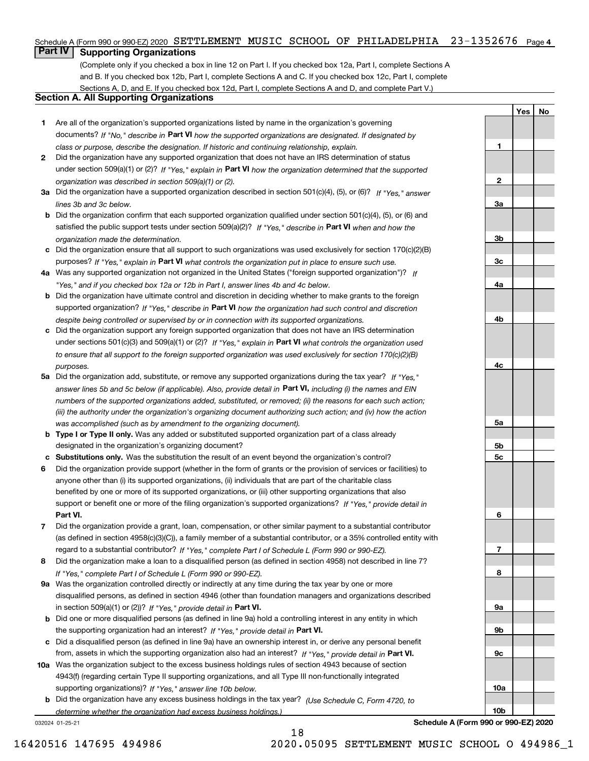# Schedule A (Form 990 or 990-EZ) 2020 SETTLEMENT MUSIC SCHOOL OF PHILADELPHIA 23-1352676 Page 4

# **Part IV Supporting Organizations**

(Complete only if you checked a box in line 12 on Part I. If you checked box 12a, Part I, complete Sections A and B. If you checked box 12b, Part I, complete Sections A and C. If you checked box 12c, Part I, complete Sections A, D, and E. If you checked box 12d, Part I, complete Sections A and D, and complete Part V.)

# **Section A. All Supporting Organizations**

- **1** Are all of the organization's supported organizations listed by name in the organization's governing documents? If "No," describe in **Part VI** how the supported organizations are designated. If designated by *class or purpose, describe the designation. If historic and continuing relationship, explain.*
- **2** Did the organization have any supported organization that does not have an IRS determination of status under section 509(a)(1) or (2)? If "Yes," explain in Part VI how the organization determined that the supported *organization was described in section 509(a)(1) or (2).*
- **3a** Did the organization have a supported organization described in section 501(c)(4), (5), or (6)? If "Yes," answer *lines 3b and 3c below.*
- **b** Did the organization confirm that each supported organization qualified under section 501(c)(4), (5), or (6) and satisfied the public support tests under section 509(a)(2)? If "Yes," describe in **Part VI** when and how the *organization made the determination.*
- **c**Did the organization ensure that all support to such organizations was used exclusively for section 170(c)(2)(B) purposes? If "Yes," explain in **Part VI** what controls the organization put in place to ensure such use.
- **4a***If* Was any supported organization not organized in the United States ("foreign supported organization")? *"Yes," and if you checked box 12a or 12b in Part I, answer lines 4b and 4c below.*
- **b** Did the organization have ultimate control and discretion in deciding whether to make grants to the foreign supported organization? If "Yes," describe in **Part VI** how the organization had such control and discretion *despite being controlled or supervised by or in connection with its supported organizations.*
- **c** Did the organization support any foreign supported organization that does not have an IRS determination under sections 501(c)(3) and 509(a)(1) or (2)? If "Yes," explain in **Part VI** what controls the organization used *to ensure that all support to the foreign supported organization was used exclusively for section 170(c)(2)(B) purposes.*
- **5a** Did the organization add, substitute, or remove any supported organizations during the tax year? If "Yes," answer lines 5b and 5c below (if applicable). Also, provide detail in **Part VI,** including (i) the names and EIN *numbers of the supported organizations added, substituted, or removed; (ii) the reasons for each such action; (iii) the authority under the organization's organizing document authorizing such action; and (iv) how the action was accomplished (such as by amendment to the organizing document).*
- **b** Type I or Type II only. Was any added or substituted supported organization part of a class already designated in the organization's organizing document?
- **cSubstitutions only.**  Was the substitution the result of an event beyond the organization's control?
- **6** Did the organization provide support (whether in the form of grants or the provision of services or facilities) to **Part VI.** *If "Yes," provide detail in* support or benefit one or more of the filing organization's supported organizations? anyone other than (i) its supported organizations, (ii) individuals that are part of the charitable class benefited by one or more of its supported organizations, or (iii) other supporting organizations that also
- **7**Did the organization provide a grant, loan, compensation, or other similar payment to a substantial contributor *If "Yes," complete Part I of Schedule L (Form 990 or 990-EZ).* regard to a substantial contributor? (as defined in section 4958(c)(3)(C)), a family member of a substantial contributor, or a 35% controlled entity with
- **8** Did the organization make a loan to a disqualified person (as defined in section 4958) not described in line 7? *If "Yes," complete Part I of Schedule L (Form 990 or 990-EZ).*
- **9a** Was the organization controlled directly or indirectly at any time during the tax year by one or more in section 509(a)(1) or (2))? If "Yes," *provide detail in* <code>Part VI.</code> disqualified persons, as defined in section 4946 (other than foundation managers and organizations described
- **b** Did one or more disqualified persons (as defined in line 9a) hold a controlling interest in any entity in which the supporting organization had an interest? If "Yes," provide detail in P**art VI**.
- **c**Did a disqualified person (as defined in line 9a) have an ownership interest in, or derive any personal benefit from, assets in which the supporting organization also had an interest? If "Yes," provide detail in P**art VI.**
- **10a** Was the organization subject to the excess business holdings rules of section 4943 because of section supporting organizations)? If "Yes," answer line 10b below. 4943(f) (regarding certain Type II supporting organizations, and all Type III non-functionally integrated
- **b** Did the organization have any excess business holdings in the tax year? (Use Schedule C, Form 4720, to *determine whether the organization had excess business holdings.)*

18

032024 01-25-21

**23a3b3c4a4b4c5a 5b5c6789a 9b9c10a10b**

**YesNo**

**1**

**Schedule A (Form 990 or 990-EZ) 2020**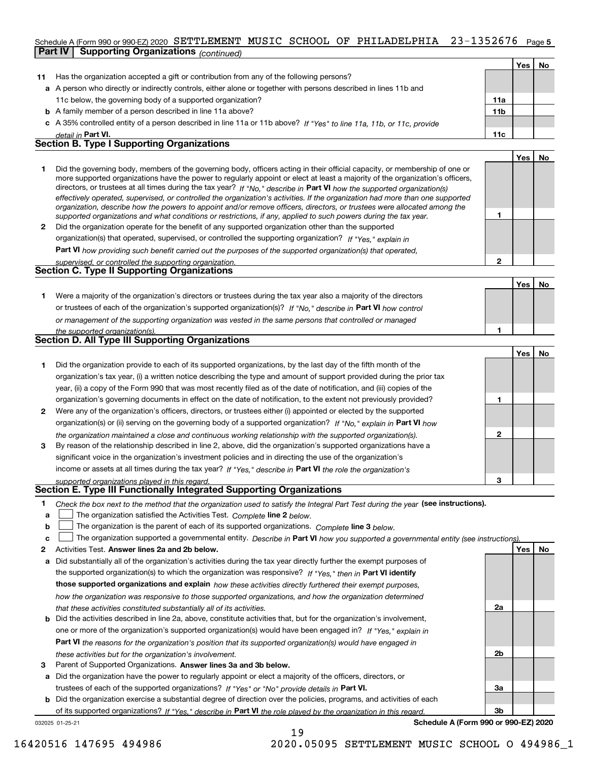### 23-1352676 Page 5 Schedule A (Form 990 or 990-EZ) 2020  $\,$  SETTLEMENT  $\,$  MUSIC  $\,$  SCHOOL  $\,$  OF  $\,$  PHILADELPHIA  $\,$   $\,$  23–1352676  $\,$  Page **Part IV Supporting Organizations** *(continued)*

|              |                                                                                                                                                                                                                                                                                                                                                                                                                                                                                                                                                                                                                                                                                                                                                                                                                                                                                                                                                                                                                                                                                                                                                                                                                              |                 | Yes l      | No        |
|--------------|------------------------------------------------------------------------------------------------------------------------------------------------------------------------------------------------------------------------------------------------------------------------------------------------------------------------------------------------------------------------------------------------------------------------------------------------------------------------------------------------------------------------------------------------------------------------------------------------------------------------------------------------------------------------------------------------------------------------------------------------------------------------------------------------------------------------------------------------------------------------------------------------------------------------------------------------------------------------------------------------------------------------------------------------------------------------------------------------------------------------------------------------------------------------------------------------------------------------------|-----------------|------------|-----------|
| 11           | Has the organization accepted a gift or contribution from any of the following persons?                                                                                                                                                                                                                                                                                                                                                                                                                                                                                                                                                                                                                                                                                                                                                                                                                                                                                                                                                                                                                                                                                                                                      |                 |            |           |
|              | a A person who directly or indirectly controls, either alone or together with persons described in lines 11b and                                                                                                                                                                                                                                                                                                                                                                                                                                                                                                                                                                                                                                                                                                                                                                                                                                                                                                                                                                                                                                                                                                             |                 |            |           |
|              | 11c below, the governing body of a supported organization?                                                                                                                                                                                                                                                                                                                                                                                                                                                                                                                                                                                                                                                                                                                                                                                                                                                                                                                                                                                                                                                                                                                                                                   | <b>11a</b>      |            |           |
|              | <b>b</b> A family member of a person described in line 11a above?                                                                                                                                                                                                                                                                                                                                                                                                                                                                                                                                                                                                                                                                                                                                                                                                                                                                                                                                                                                                                                                                                                                                                            | 11 <sub>b</sub> |            |           |
|              | c A 35% controlled entity of a person described in line 11a or 11b above? If "Yes" to line 11a, 11b, or 11c, provide                                                                                                                                                                                                                                                                                                                                                                                                                                                                                                                                                                                                                                                                                                                                                                                                                                                                                                                                                                                                                                                                                                         |                 |            |           |
|              | detail in Part VI.                                                                                                                                                                                                                                                                                                                                                                                                                                                                                                                                                                                                                                                                                                                                                                                                                                                                                                                                                                                                                                                                                                                                                                                                           | 11c             |            |           |
|              | <b>Section B. Type I Supporting Organizations</b>                                                                                                                                                                                                                                                                                                                                                                                                                                                                                                                                                                                                                                                                                                                                                                                                                                                                                                                                                                                                                                                                                                                                                                            |                 |            |           |
|              |                                                                                                                                                                                                                                                                                                                                                                                                                                                                                                                                                                                                                                                                                                                                                                                                                                                                                                                                                                                                                                                                                                                                                                                                                              |                 | <b>Yes</b> | <b>No</b> |
| $\mathbf{2}$ | Did the governing body, members of the governing body, officers acting in their official capacity, or membership of one or<br>more supported organizations have the power to regularly appoint or elect at least a majority of the organization's officers,<br>directors, or trustees at all times during the tax year? If "No," describe in Part VI how the supported organization(s)<br>effectively operated, supervised, or controlled the organization's activities. If the organization had more than one supported<br>organization, describe how the powers to appoint and/or remove officers, directors, or trustees were allocated among the<br>supported organizations and what conditions or restrictions, if any, applied to such powers during the tax year.<br>Did the organization operate for the benefit of any supported organization other than the supported<br>organization(s) that operated, supervised, or controlled the supporting organization? If "Yes," explain in<br>Part VI how providing such benefit carried out the purposes of the supported organization(s) that operated,<br>supervised, or controlled the supporting organization.<br><b>Section C. Type II Supporting Organizations</b> | $\mathbf{2}$    |            |           |
|              |                                                                                                                                                                                                                                                                                                                                                                                                                                                                                                                                                                                                                                                                                                                                                                                                                                                                                                                                                                                                                                                                                                                                                                                                                              |                 |            |           |
|              | Were a majority of the organization's directors or trustees during the tax year also a majority of the directors<br>or trustees of each of the organization's supported organization(s)? If "No," describe in Part VI how control<br>or management of the supporting organization was vested in the same persons that controlled or managed                                                                                                                                                                                                                                                                                                                                                                                                                                                                                                                                                                                                                                                                                                                                                                                                                                                                                  |                 | <b>Yes</b> | <b>No</b> |

|              |                                                                                                                        |   | Yes l | <b>No</b> |
|--------------|------------------------------------------------------------------------------------------------------------------------|---|-------|-----------|
|              | Did the organization provide to each of its supported organizations, by the last day of the fifth month of the         |   |       |           |
|              | organization's tax year, (i) a written notice describing the type and amount of support provided during the prior tax  |   |       |           |
|              | year, (ii) a copy of the Form 990 that was most recently filed as of the date of notification, and (iii) copies of the |   |       |           |
|              | organization's governing documents in effect on the date of notification, to the extent not previously provided?       |   |       |           |
| $\mathbf{2}$ | Were any of the organization's officers, directors, or trustees either (i) appointed or elected by the supported       |   |       |           |
|              | organization(s) or (ii) serving on the governing body of a supported organization? If "No," explain in Part VI how     |   |       |           |
|              | the organization maintained a close and continuous working relationship with the supported organization(s).            | 2 |       |           |
| 3            | By reason of the relationship described in line 2, above, did the organization's supported organizations have a        |   |       |           |
|              | significant voice in the organization's investment policies and in directing the use of the organization's             |   |       |           |
|              | income or assets at all times during the tax year? If "Yes," describe in Part VI the role the organization's           |   |       |           |
|              | supported organizations played in this regard.                                                                         | з |       |           |

# *supported organizations played in this regard.* **Section E. Type III Functionally Integrated Supporting Organizations**

|  | Check the box next to the method that the organization used to satisfy the Integral Part Test during the year (see instructions). |  |  |  |
|--|-----------------------------------------------------------------------------------------------------------------------------------|--|--|--|
|--|-----------------------------------------------------------------------------------------------------------------------------------|--|--|--|

- **a**The organization satisfied the Activities Test. *Complete* line 2 below.  $\mathcal{L}^{\text{max}}$
- **b**The organization is the parent of each of its supported organizations. *Complete* line 3 *below.*  $\mathcal{L}^{\text{max}}$

|  |  | c $\Box$ The organization supported a governmental entity. Describe in Part VI how you supported a governmental entity (see instructions). |  |  |  |  |
|--|--|--------------------------------------------------------------------------------------------------------------------------------------------|--|--|--|--|
|--|--|--------------------------------------------------------------------------------------------------------------------------------------------|--|--|--|--|

**2Answer lines 2a and 2b below. Yes No** Activities Test.

*the supported organization(s).*

**Section D. All Type III Supporting Organizations**

- **a** Did substantially all of the organization's activities during the tax year directly further the exempt purposes of the supported organization(s) to which the organization was responsive? If "Yes," then in **Part VI identify those supported organizations and explain**  *how these activities directly furthered their exempt purposes, how the organization was responsive to those supported organizations, and how the organization determined that these activities constituted substantially all of its activities.*
- **b** Did the activities described in line 2a, above, constitute activities that, but for the organization's involvement, **Part VI**  *the reasons for the organization's position that its supported organization(s) would have engaged in* one or more of the organization's supported organization(s) would have been engaged in? If "Yes," e*xplain in these activities but for the organization's involvement.*
- **3** Parent of Supported Organizations. Answer lines 3a and 3b below.

**a** Did the organization have the power to regularly appoint or elect a majority of the officers, directors, or trustees of each of the supported organizations? If "Yes" or "No" provide details in **Part VI.** 

032025 01-25-21 **b** Did the organization exercise a substantial degree of direction over the policies, programs, and activities of each of its supported organizations? If "Yes," describe in Part VI the role played by the organization in this regard.

**Schedule A (Form 990 or 990-EZ) 2020**

**2a**

**2b**

**3a**

**3b**

**1**

16420516 147695 494986 2020.05095 SETTLEMENT MUSIC SCHOOL O 494986\_1

19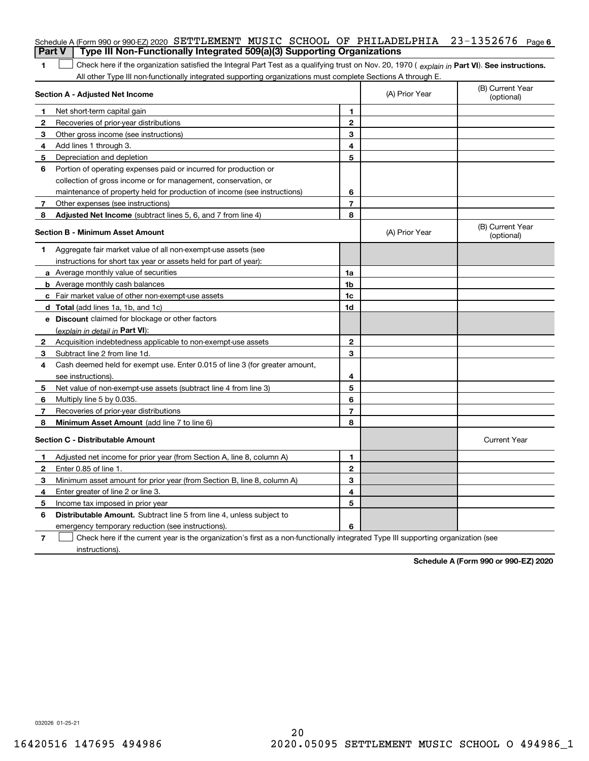|               | Schedule A (Form 990 or 990-EZ) 2020 SETTLEMENT MUSIC SCHOOL OF PHILADELPHIA                                                                          |                |                | $23 - 1352676$ Page 6          |
|---------------|-------------------------------------------------------------------------------------------------------------------------------------------------------|----------------|----------------|--------------------------------|
| <b>Part V</b> | Type III Non-Functionally Integrated 509(a)(3) Supporting Organizations                                                                               |                |                |                                |
| 1             | Check here if the organization satisfied the Integral Part Test as a qualifying trust on Nov. 20, 1970 (explain in Part VI). See instructions.        |                |                |                                |
|               | All other Type III non-functionally integrated supporting organizations must complete Sections A through E.<br><b>Section A - Adjusted Net Income</b> |                | (A) Prior Year | (B) Current Year<br>(optional) |
| 1             |                                                                                                                                                       | 1.             |                |                                |
| 2             | Net short-term capital gain<br>Recoveries of prior-year distributions                                                                                 | $\mathbf{2}$   |                |                                |
| 3             | Other gross income (see instructions)                                                                                                                 | 3              |                |                                |
| 4             | Add lines 1 through 3.                                                                                                                                | 4              |                |                                |
| 5             | Depreciation and depletion                                                                                                                            | 5              |                |                                |
| 6             | Portion of operating expenses paid or incurred for production or                                                                                      |                |                |                                |
|               | collection of gross income or for management, conservation, or                                                                                        |                |                |                                |
|               | maintenance of property held for production of income (see instructions)                                                                              | 6              |                |                                |
| 7             | Other expenses (see instructions)                                                                                                                     | $\overline{7}$ |                |                                |
| 8             | Adjusted Net Income (subtract lines 5, 6, and 7 from line 4)                                                                                          | 8              |                |                                |
|               | <b>Section B - Minimum Asset Amount</b>                                                                                                               |                | (A) Prior Year | (B) Current Year<br>(optional) |
| 1             | Aggregate fair market value of all non-exempt-use assets (see                                                                                         |                |                |                                |
|               | instructions for short tax year or assets held for part of year):                                                                                     |                |                |                                |
|               | <b>a</b> Average monthly value of securities                                                                                                          | 1a             |                |                                |
|               | <b>b</b> Average monthly cash balances                                                                                                                | 1b             |                |                                |
|               | c Fair market value of other non-exempt-use assets                                                                                                    | 1c             |                |                                |
|               | d Total (add lines 1a, 1b, and 1c)                                                                                                                    | 1d             |                |                                |
|               | e Discount claimed for blockage or other factors                                                                                                      |                |                |                                |
|               | (explain in detail in Part VI):                                                                                                                       |                |                |                                |
| 2             | Acquisition indebtedness applicable to non-exempt-use assets                                                                                          | $\mathbf{2}$   |                |                                |
| 3             | Subtract line 2 from line 1d.                                                                                                                         | 3              |                |                                |
| 4             | Cash deemed held for exempt use. Enter 0.015 of line 3 (for greater amount,                                                                           |                |                |                                |
|               | see instructions).                                                                                                                                    | 4              |                |                                |
| 5             | Net value of non-exempt-use assets (subtract line 4 from line 3)                                                                                      | 5              |                |                                |
| 6             | Multiply line 5 by 0.035.                                                                                                                             | 6              |                |                                |
| 7             | Recoveries of prior-year distributions                                                                                                                | $\overline{7}$ |                |                                |
| 8             | Minimum Asset Amount (add line 7 to line 6)                                                                                                           | 8              |                |                                |
|               | <b>Section C - Distributable Amount</b>                                                                                                               |                |                | <b>Current Year</b>            |
|               | Adjusted net income for prior year (from Section A, line 8, column A)                                                                                 | 1              |                |                                |
|               | Enter 0.85 of line 1.                                                                                                                                 | 2              |                |                                |
| 3             | Minimum asset amount for prior year (from Section B, line 8, column A)                                                                                | 3              |                |                                |
| 4             | Enter greater of line 2 or line 3.                                                                                                                    | 4              |                |                                |
| 5             | Income tax imposed in prior year                                                                                                                      | 5              |                |                                |
| 6             | <b>Distributable Amount.</b> Subtract line 5 from line 4, unless subject to                                                                           |                |                |                                |
|               | emergency temporary reduction (see instructions).                                                                                                     | 6              |                |                                |
| 7             | Check here if the current year is the organization's first as a non-functionally integrated Type III supporting organization (see                     |                |                |                                |

instructions).

**Schedule A (Form 990 or 990-EZ) 2020**

032026 01-25-21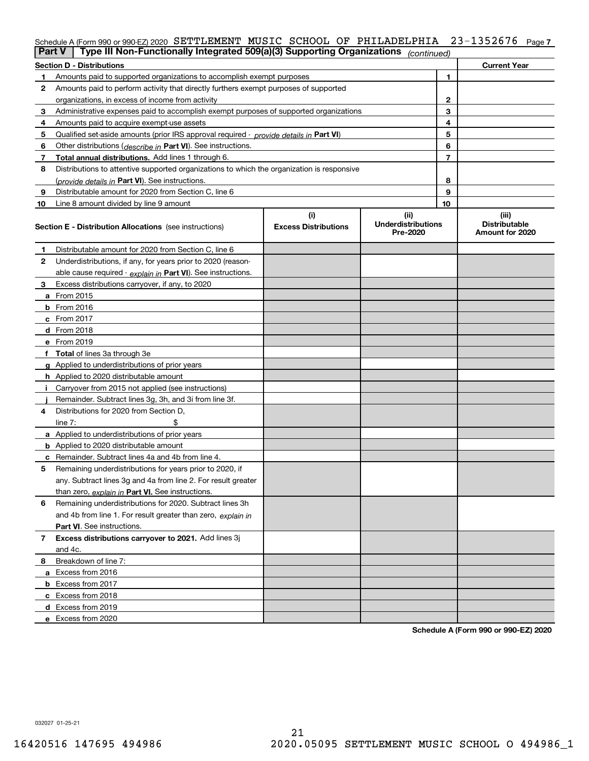# Schedule A (Form 990 or 990-EZ) 2020 <code>SETTLEMENT MUSIC</code> <code>SCHOOL OF PHILADELPHIA 23-1352676 <code>page 7</code></code>

| Part V         | Type III Non-Functionally Integrated 509(a)(3) Supporting Organizations                    |                             | (continued)                           |    |                                         |
|----------------|--------------------------------------------------------------------------------------------|-----------------------------|---------------------------------------|----|-----------------------------------------|
|                | <b>Section D - Distributions</b>                                                           |                             |                                       |    | <b>Current Year</b>                     |
| 1.             | Amounts paid to supported organizations to accomplish exempt purposes                      |                             |                                       | 1  |                                         |
| 2              | Amounts paid to perform activity that directly furthers exempt purposes of supported       |                             |                                       |    |                                         |
|                | organizations, in excess of income from activity                                           |                             |                                       | 2  |                                         |
| 3              | Administrative expenses paid to accomplish exempt purposes of supported organizations      |                             |                                       | 3  |                                         |
| 4              | Amounts paid to acquire exempt-use assets                                                  |                             |                                       | 4  |                                         |
| 5              | Qualified set-aside amounts (prior IRS approval required - provide details in Part VI)     |                             |                                       | 5  |                                         |
| 6              | Other distributions ( <i>describe in</i> Part VI). See instructions.                       |                             |                                       | 6  |                                         |
| 7              | Total annual distributions. Add lines 1 through 6.                                         |                             |                                       | 7  |                                         |
| 8              | Distributions to attentive supported organizations to which the organization is responsive |                             |                                       |    |                                         |
|                | (provide details in Part VI). See instructions.                                            |                             |                                       | 8  |                                         |
| 9              | Distributable amount for 2020 from Section C, line 6                                       |                             |                                       | 9  |                                         |
| 10             | Line 8 amount divided by line 9 amount                                                     |                             |                                       | 10 |                                         |
|                |                                                                                            | (i)                         | (ii)                                  |    | (iii)                                   |
|                | <b>Section E - Distribution Allocations</b> (see instructions)                             | <b>Excess Distributions</b> | <b>Underdistributions</b><br>Pre-2020 |    | <b>Distributable</b><br>Amount for 2020 |
| 1              | Distributable amount for 2020 from Section C, line 6                                       |                             |                                       |    |                                         |
| 2              | Underdistributions, if any, for years prior to 2020 (reason-                               |                             |                                       |    |                                         |
|                | able cause required - explain in Part VI). See instructions.                               |                             |                                       |    |                                         |
| 3              | Excess distributions carryover, if any, to 2020                                            |                             |                                       |    |                                         |
|                | a From 2015                                                                                |                             |                                       |    |                                         |
|                | <b>b</b> From 2016                                                                         |                             |                                       |    |                                         |
|                | $c$ From 2017                                                                              |                             |                                       |    |                                         |
|                | <b>d</b> From 2018                                                                         |                             |                                       |    |                                         |
|                | e From 2019                                                                                |                             |                                       |    |                                         |
|                | f Total of lines 3a through 3e                                                             |                             |                                       |    |                                         |
|                | g Applied to underdistributions of prior years                                             |                             |                                       |    |                                         |
|                | <b>h</b> Applied to 2020 distributable amount                                              |                             |                                       |    |                                         |
|                | Carryover from 2015 not applied (see instructions)                                         |                             |                                       |    |                                         |
|                | Remainder. Subtract lines 3g, 3h, and 3i from line 3f.                                     |                             |                                       |    |                                         |
| 4              | Distributions for 2020 from Section D,                                                     |                             |                                       |    |                                         |
|                | line $7:$                                                                                  |                             |                                       |    |                                         |
|                | a Applied to underdistributions of prior years                                             |                             |                                       |    |                                         |
|                | <b>b</b> Applied to 2020 distributable amount                                              |                             |                                       |    |                                         |
|                | c Remainder. Subtract lines 4a and 4b from line 4.                                         |                             |                                       |    |                                         |
| 5              | Remaining underdistributions for years prior to 2020, if                                   |                             |                                       |    |                                         |
|                | any. Subtract lines 3g and 4a from line 2. For result greater                              |                             |                                       |    |                                         |
|                | than zero, explain in Part VI. See instructions.                                           |                             |                                       |    |                                         |
| 6              | Remaining underdistributions for 2020. Subtract lines 3h                                   |                             |                                       |    |                                         |
|                | and 4b from line 1. For result greater than zero, explain in                               |                             |                                       |    |                                         |
|                | Part VI. See instructions.                                                                 |                             |                                       |    |                                         |
| $\overline{7}$ | Excess distributions carryover to 2021. Add lines 3j                                       |                             |                                       |    |                                         |
|                | and 4c.                                                                                    |                             |                                       |    |                                         |
| 8              | Breakdown of line 7:                                                                       |                             |                                       |    |                                         |
|                | a Excess from 2016                                                                         |                             |                                       |    |                                         |
|                | <b>b</b> Excess from 2017                                                                  |                             |                                       |    |                                         |
|                | c Excess from 2018                                                                         |                             |                                       |    |                                         |
|                | d Excess from 2019                                                                         |                             |                                       |    |                                         |
|                | e Excess from 2020                                                                         |                             |                                       |    |                                         |
|                |                                                                                            |                             |                                       |    |                                         |

**Schedule A (Form 990 or 990-EZ) 2020**

032027 01-25-21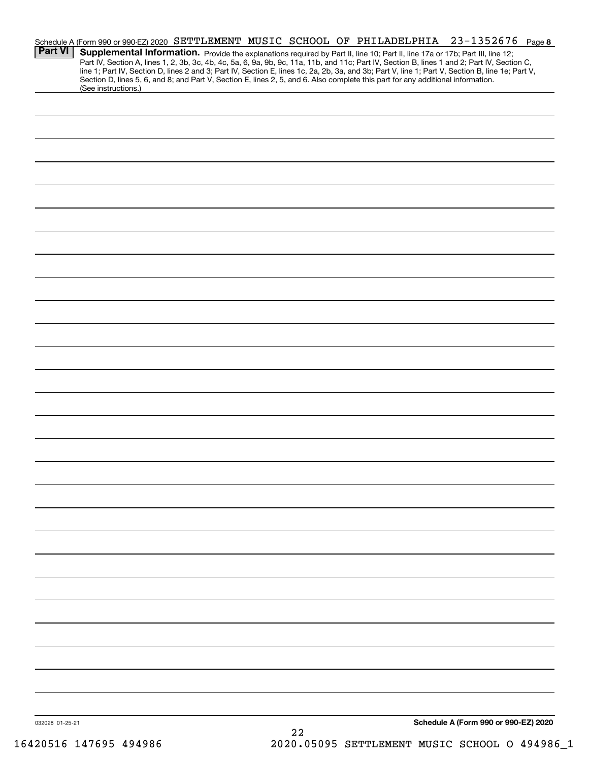|                 | Schedule A (Form 990 or 990-EZ) 2020 SETTLEMENT MUSIC SCHOOL OF PHILADELPHIA                                                    |  |  |  | $23 - 1352676$ Page 8                                                                                                                                                                                                                                                                                                                                                                                                             |  |
|-----------------|---------------------------------------------------------------------------------------------------------------------------------|--|--|--|-----------------------------------------------------------------------------------------------------------------------------------------------------------------------------------------------------------------------------------------------------------------------------------------------------------------------------------------------------------------------------------------------------------------------------------|--|
| <b>Part VI</b>  | Section D, lines 5, 6, and 8; and Part V, Section E, lines 2, 5, and 6. Also complete this part for any additional information. |  |  |  | Supplemental Information. Provide the explanations required by Part II, line 10; Part II, line 17a or 17b; Part III, line 12;<br>Part IV, Section A, lines 1, 2, 3b, 3c, 4b, 4c, 5a, 6, 9a, 9b, 9c, 11a, 11b, and 11c; Part IV, Section B, lines 1 and 2; Part IV, Section C,<br>line 1; Part IV, Section D, lines 2 and 3; Part IV, Section E, lines 1c, 2a, 2b, 3a, and 3b; Part V, line 1; Part V, Section B, line 1e; Part V, |  |
|                 | (See instructions.)                                                                                                             |  |  |  |                                                                                                                                                                                                                                                                                                                                                                                                                                   |  |
|                 |                                                                                                                                 |  |  |  |                                                                                                                                                                                                                                                                                                                                                                                                                                   |  |
|                 |                                                                                                                                 |  |  |  |                                                                                                                                                                                                                                                                                                                                                                                                                                   |  |
|                 |                                                                                                                                 |  |  |  |                                                                                                                                                                                                                                                                                                                                                                                                                                   |  |
|                 |                                                                                                                                 |  |  |  |                                                                                                                                                                                                                                                                                                                                                                                                                                   |  |
|                 |                                                                                                                                 |  |  |  |                                                                                                                                                                                                                                                                                                                                                                                                                                   |  |
|                 |                                                                                                                                 |  |  |  |                                                                                                                                                                                                                                                                                                                                                                                                                                   |  |
|                 |                                                                                                                                 |  |  |  |                                                                                                                                                                                                                                                                                                                                                                                                                                   |  |
|                 |                                                                                                                                 |  |  |  |                                                                                                                                                                                                                                                                                                                                                                                                                                   |  |
|                 |                                                                                                                                 |  |  |  |                                                                                                                                                                                                                                                                                                                                                                                                                                   |  |
|                 |                                                                                                                                 |  |  |  |                                                                                                                                                                                                                                                                                                                                                                                                                                   |  |
|                 |                                                                                                                                 |  |  |  |                                                                                                                                                                                                                                                                                                                                                                                                                                   |  |
|                 |                                                                                                                                 |  |  |  |                                                                                                                                                                                                                                                                                                                                                                                                                                   |  |
|                 |                                                                                                                                 |  |  |  |                                                                                                                                                                                                                                                                                                                                                                                                                                   |  |
|                 |                                                                                                                                 |  |  |  |                                                                                                                                                                                                                                                                                                                                                                                                                                   |  |
|                 |                                                                                                                                 |  |  |  |                                                                                                                                                                                                                                                                                                                                                                                                                                   |  |
|                 |                                                                                                                                 |  |  |  |                                                                                                                                                                                                                                                                                                                                                                                                                                   |  |
|                 |                                                                                                                                 |  |  |  |                                                                                                                                                                                                                                                                                                                                                                                                                                   |  |
|                 |                                                                                                                                 |  |  |  |                                                                                                                                                                                                                                                                                                                                                                                                                                   |  |
|                 |                                                                                                                                 |  |  |  |                                                                                                                                                                                                                                                                                                                                                                                                                                   |  |
|                 |                                                                                                                                 |  |  |  |                                                                                                                                                                                                                                                                                                                                                                                                                                   |  |
|                 |                                                                                                                                 |  |  |  |                                                                                                                                                                                                                                                                                                                                                                                                                                   |  |
|                 |                                                                                                                                 |  |  |  |                                                                                                                                                                                                                                                                                                                                                                                                                                   |  |
|                 |                                                                                                                                 |  |  |  |                                                                                                                                                                                                                                                                                                                                                                                                                                   |  |
|                 |                                                                                                                                 |  |  |  |                                                                                                                                                                                                                                                                                                                                                                                                                                   |  |
|                 |                                                                                                                                 |  |  |  |                                                                                                                                                                                                                                                                                                                                                                                                                                   |  |
|                 |                                                                                                                                 |  |  |  |                                                                                                                                                                                                                                                                                                                                                                                                                                   |  |
|                 |                                                                                                                                 |  |  |  |                                                                                                                                                                                                                                                                                                                                                                                                                                   |  |
|                 |                                                                                                                                 |  |  |  |                                                                                                                                                                                                                                                                                                                                                                                                                                   |  |
|                 |                                                                                                                                 |  |  |  |                                                                                                                                                                                                                                                                                                                                                                                                                                   |  |
|                 |                                                                                                                                 |  |  |  |                                                                                                                                                                                                                                                                                                                                                                                                                                   |  |
|                 |                                                                                                                                 |  |  |  |                                                                                                                                                                                                                                                                                                                                                                                                                                   |  |
|                 |                                                                                                                                 |  |  |  |                                                                                                                                                                                                                                                                                                                                                                                                                                   |  |
|                 |                                                                                                                                 |  |  |  |                                                                                                                                                                                                                                                                                                                                                                                                                                   |  |
|                 |                                                                                                                                 |  |  |  |                                                                                                                                                                                                                                                                                                                                                                                                                                   |  |
| 032028 01-25-21 |                                                                                                                                 |  |  |  | Schedule A (Form 990 or 990-EZ) 2020                                                                                                                                                                                                                                                                                                                                                                                              |  |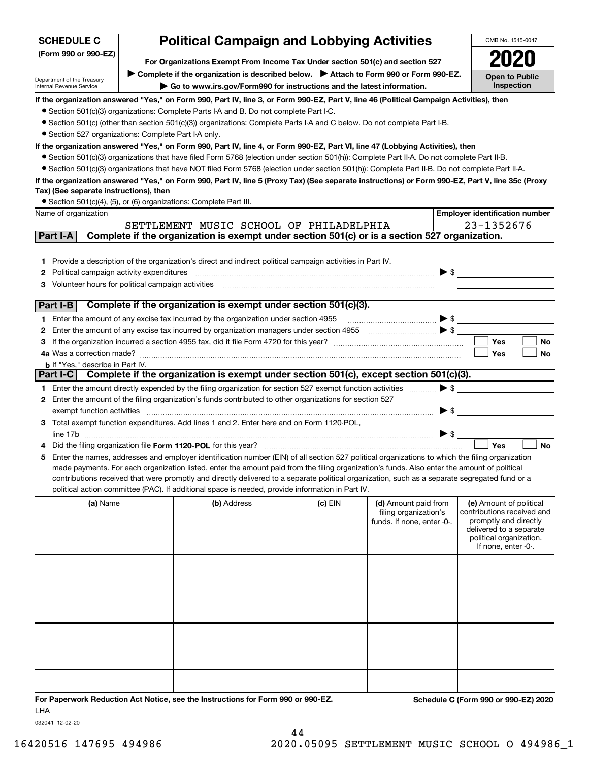| <b>SCHEDULE C</b>                                                                                                                                                                                                                                                                                                                                                                                                                                                                                                                                         |  | <b>Political Campaign and Lobbying Activities</b>                                                                                                                                                                                                                                                                                                                                                                                                                                                                                                                                                                                                                                                                                                                                                                                                                                                                                                                                                                                                                                                                                                                                                                |           |                                                                             | OMB No. 1545-0047                                                                                                                                           |  |
|-----------------------------------------------------------------------------------------------------------------------------------------------------------------------------------------------------------------------------------------------------------------------------------------------------------------------------------------------------------------------------------------------------------------------------------------------------------------------------------------------------------------------------------------------------------|--|------------------------------------------------------------------------------------------------------------------------------------------------------------------------------------------------------------------------------------------------------------------------------------------------------------------------------------------------------------------------------------------------------------------------------------------------------------------------------------------------------------------------------------------------------------------------------------------------------------------------------------------------------------------------------------------------------------------------------------------------------------------------------------------------------------------------------------------------------------------------------------------------------------------------------------------------------------------------------------------------------------------------------------------------------------------------------------------------------------------------------------------------------------------------------------------------------------------|-----------|-----------------------------------------------------------------------------|-------------------------------------------------------------------------------------------------------------------------------------------------------------|--|
| (Form 990 or 990-EZ)                                                                                                                                                                                                                                                                                                                                                                                                                                                                                                                                      |  |                                                                                                                                                                                                                                                                                                                                                                                                                                                                                                                                                                                                                                                                                                                                                                                                                                                                                                                                                                                                                                                                                                                                                                                                                  |           |                                                                             |                                                                                                                                                             |  |
|                                                                                                                                                                                                                                                                                                                                                                                                                                                                                                                                                           |  | For Organizations Exempt From Income Tax Under section 501(c) and section 527<br>► Complete if the organization is described below. ► Attach to Form 990 or Form 990-EZ.                                                                                                                                                                                                                                                                                                                                                                                                                                                                                                                                                                                                                                                                                                                                                                                                                                                                                                                                                                                                                                         |           |                                                                             | <b>Open to Public</b>                                                                                                                                       |  |
| Department of the Treasury<br>Internal Revenue Service                                                                                                                                                                                                                                                                                                                                                                                                                                                                                                    |  | Go to www.irs.gov/Form990 for instructions and the latest information.                                                                                                                                                                                                                                                                                                                                                                                                                                                                                                                                                                                                                                                                                                                                                                                                                                                                                                                                                                                                                                                                                                                                           |           |                                                                             | Inspection                                                                                                                                                  |  |
| • Section 527 organizations: Complete Part I-A only.<br>Tax) (See separate instructions), then<br>• Section 501(c)(4), (5), or (6) organizations: Complete Part III.<br>Name of organization<br>Part I-A                                                                                                                                                                                                                                                                                                                                                  |  | If the organization answered "Yes," on Form 990, Part IV, line 3, or Form 990-EZ, Part V, line 46 (Political Campaign Activities), then<br>• Section 501(c)(3) organizations: Complete Parts I-A and B. Do not complete Part I-C.<br>● Section 501(c) (other than section 501(c)(3)) organizations: Complete Parts I-A and C below. Do not complete Part I-B.<br>If the organization answered "Yes," on Form 990, Part IV, line 4, or Form 990-EZ, Part VI, line 47 (Lobbying Activities), then<br>• Section 501(c)(3) organizations that have filed Form 5768 (election under section 501(h)): Complete Part II-A. Do not complete Part II-B.<br>• Section 501(c)(3) organizations that have NOT filed Form 5768 (election under section 501(h)): Complete Part II-B. Do not complete Part II-A.<br>If the organization answered "Yes," on Form 990, Part IV, line 5 (Proxy Tax) (See separate instructions) or Form 990-EZ, Part V, line 35c (Proxy<br>SETTLEMENT MUSIC SCHOOL OF PHILADELPHIA<br>Complete if the organization is exempt under section 501(c) or is a section 527 organization.<br>1 Provide a description of the organization's direct and indirect political campaign activities in Part IV. |           |                                                                             | <b>Employer identification number</b><br>23-1352676                                                                                                         |  |
| Political campaign activity expenditures<br>2<br>Volunteer hours for political campaign activities                                                                                                                                                                                                                                                                                                                                                                                                                                                        |  |                                                                                                                                                                                                                                                                                                                                                                                                                                                                                                                                                                                                                                                                                                                                                                                                                                                                                                                                                                                                                                                                                                                                                                                                                  |           | $\blacktriangleright$ \$                                                    |                                                                                                                                                             |  |
|                                                                                                                                                                                                                                                                                                                                                                                                                                                                                                                                                           |  | Complete if the organization is exempt under section 501(c)(3).                                                                                                                                                                                                                                                                                                                                                                                                                                                                                                                                                                                                                                                                                                                                                                                                                                                                                                                                                                                                                                                                                                                                                  |           |                                                                             |                                                                                                                                                             |  |
| Part I-B                                                                                                                                                                                                                                                                                                                                                                                                                                                                                                                                                  |  | 1 Enter the amount of any excise tax incurred by the organization under section 4955                                                                                                                                                                                                                                                                                                                                                                                                                                                                                                                                                                                                                                                                                                                                                                                                                                                                                                                                                                                                                                                                                                                             |           |                                                                             |                                                                                                                                                             |  |
| 2                                                                                                                                                                                                                                                                                                                                                                                                                                                                                                                                                         |  |                                                                                                                                                                                                                                                                                                                                                                                                                                                                                                                                                                                                                                                                                                                                                                                                                                                                                                                                                                                                                                                                                                                                                                                                                  |           |                                                                             |                                                                                                                                                             |  |
|                                                                                                                                                                                                                                                                                                                                                                                                                                                                                                                                                           |  |                                                                                                                                                                                                                                                                                                                                                                                                                                                                                                                                                                                                                                                                                                                                                                                                                                                                                                                                                                                                                                                                                                                                                                                                                  |           |                                                                             | <b>Yes</b><br>No                                                                                                                                            |  |
| 4a Was a correction made?                                                                                                                                                                                                                                                                                                                                                                                                                                                                                                                                 |  |                                                                                                                                                                                                                                                                                                                                                                                                                                                                                                                                                                                                                                                                                                                                                                                                                                                                                                                                                                                                                                                                                                                                                                                                                  |           |                                                                             | Yes<br>No                                                                                                                                                   |  |
| <b>b</b> If "Yes," describe in Part IV.                                                                                                                                                                                                                                                                                                                                                                                                                                                                                                                   |  |                                                                                                                                                                                                                                                                                                                                                                                                                                                                                                                                                                                                                                                                                                                                                                                                                                                                                                                                                                                                                                                                                                                                                                                                                  |           |                                                                             |                                                                                                                                                             |  |
| Part I-C                                                                                                                                                                                                                                                                                                                                                                                                                                                                                                                                                  |  | Complete if the organization is exempt under section 501(c), except section 501(c)(3).                                                                                                                                                                                                                                                                                                                                                                                                                                                                                                                                                                                                                                                                                                                                                                                                                                                                                                                                                                                                                                                                                                                           |           |                                                                             |                                                                                                                                                             |  |
|                                                                                                                                                                                                                                                                                                                                                                                                                                                                                                                                                           |  | 1 Enter the amount directly expended by the filing organization for section 527 exempt function activities                                                                                                                                                                                                                                                                                                                                                                                                                                                                                                                                                                                                                                                                                                                                                                                                                                                                                                                                                                                                                                                                                                       |           | $\blacktriangleright$ \$                                                    |                                                                                                                                                             |  |
|                                                                                                                                                                                                                                                                                                                                                                                                                                                                                                                                                           |  | 2 Enter the amount of the filing organization's funds contributed to other organizations for section 527                                                                                                                                                                                                                                                                                                                                                                                                                                                                                                                                                                                                                                                                                                                                                                                                                                                                                                                                                                                                                                                                                                         |           |                                                                             |                                                                                                                                                             |  |
| exempt function activities                                                                                                                                                                                                                                                                                                                                                                                                                                                                                                                                |  |                                                                                                                                                                                                                                                                                                                                                                                                                                                                                                                                                                                                                                                                                                                                                                                                                                                                                                                                                                                                                                                                                                                                                                                                                  |           | ▶ \$                                                                        |                                                                                                                                                             |  |
|                                                                                                                                                                                                                                                                                                                                                                                                                                                                                                                                                           |  | 3 Total exempt function expenditures. Add lines 1 and 2. Enter here and on Form 1120-POL,                                                                                                                                                                                                                                                                                                                                                                                                                                                                                                                                                                                                                                                                                                                                                                                                                                                                                                                                                                                                                                                                                                                        |           |                                                                             |                                                                                                                                                             |  |
|                                                                                                                                                                                                                                                                                                                                                                                                                                                                                                                                                           |  |                                                                                                                                                                                                                                                                                                                                                                                                                                                                                                                                                                                                                                                                                                                                                                                                                                                                                                                                                                                                                                                                                                                                                                                                                  |           | $\blacktriangleright$ \$                                                    |                                                                                                                                                             |  |
|                                                                                                                                                                                                                                                                                                                                                                                                                                                                                                                                                           |  | Did the filing organization file Form 1120-POL for this year?                                                                                                                                                                                                                                                                                                                                                                                                                                                                                                                                                                                                                                                                                                                                                                                                                                                                                                                                                                                                                                                                                                                                                    |           |                                                                             | Yes<br><b>No</b>                                                                                                                                            |  |
| Enter the names, addresses and employer identification number (EIN) of all section 527 political organizations to which the filing organization<br>5<br>made payments. For each organization listed, enter the amount paid from the filing organization's funds. Also enter the amount of political<br>contributions received that were promptly and directly delivered to a separate political organization, such as a separate segregated fund or a<br>political action committee (PAC). If additional space is needed, provide information in Part IV. |  |                                                                                                                                                                                                                                                                                                                                                                                                                                                                                                                                                                                                                                                                                                                                                                                                                                                                                                                                                                                                                                                                                                                                                                                                                  |           |                                                                             |                                                                                                                                                             |  |
| (a) Name                                                                                                                                                                                                                                                                                                                                                                                                                                                                                                                                                  |  | (b) Address                                                                                                                                                                                                                                                                                                                                                                                                                                                                                                                                                                                                                                                                                                                                                                                                                                                                                                                                                                                                                                                                                                                                                                                                      | $(c)$ EIN | (d) Amount paid from<br>filing organization's<br>funds. If none, enter -0-. | (e) Amount of political<br>contributions received and<br>promptly and directly<br>delivered to a separate<br>political organization.<br>If none, enter -0-. |  |
|                                                                                                                                                                                                                                                                                                                                                                                                                                                                                                                                                           |  |                                                                                                                                                                                                                                                                                                                                                                                                                                                                                                                                                                                                                                                                                                                                                                                                                                                                                                                                                                                                                                                                                                                                                                                                                  |           |                                                                             |                                                                                                                                                             |  |
|                                                                                                                                                                                                                                                                                                                                                                                                                                                                                                                                                           |  |                                                                                                                                                                                                                                                                                                                                                                                                                                                                                                                                                                                                                                                                                                                                                                                                                                                                                                                                                                                                                                                                                                                                                                                                                  |           |                                                                             |                                                                                                                                                             |  |
|                                                                                                                                                                                                                                                                                                                                                                                                                                                                                                                                                           |  |                                                                                                                                                                                                                                                                                                                                                                                                                                                                                                                                                                                                                                                                                                                                                                                                                                                                                                                                                                                                                                                                                                                                                                                                                  |           |                                                                             |                                                                                                                                                             |  |
|                                                                                                                                                                                                                                                                                                                                                                                                                                                                                                                                                           |  |                                                                                                                                                                                                                                                                                                                                                                                                                                                                                                                                                                                                                                                                                                                                                                                                                                                                                                                                                                                                                                                                                                                                                                                                                  |           |                                                                             |                                                                                                                                                             |  |
|                                                                                                                                                                                                                                                                                                                                                                                                                                                                                                                                                           |  |                                                                                                                                                                                                                                                                                                                                                                                                                                                                                                                                                                                                                                                                                                                                                                                                                                                                                                                                                                                                                                                                                                                                                                                                                  |           |                                                                             |                                                                                                                                                             |  |
|                                                                                                                                                                                                                                                                                                                                                                                                                                                                                                                                                           |  |                                                                                                                                                                                                                                                                                                                                                                                                                                                                                                                                                                                                                                                                                                                                                                                                                                                                                                                                                                                                                                                                                                                                                                                                                  |           |                                                                             |                                                                                                                                                             |  |
| <b>LHA</b>                                                                                                                                                                                                                                                                                                                                                                                                                                                                                                                                                |  | For Paperwork Reduction Act Notice, see the Instructions for Form 990 or 990-EZ.                                                                                                                                                                                                                                                                                                                                                                                                                                                                                                                                                                                                                                                                                                                                                                                                                                                                                                                                                                                                                                                                                                                                 |           |                                                                             | Schedule C (Form 990 or 990-EZ) 2020                                                                                                                        |  |

032041 12-02-20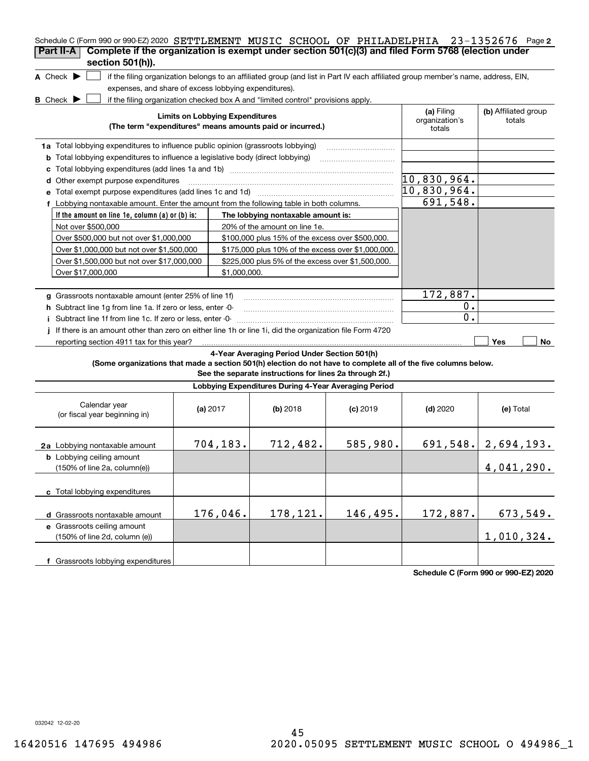| Schedule C (Form 990 or 990-EZ) 2020 SETTLEMENT MUSIC SCHOOL OF PHILADELPHIA 23-1352676 Page 2                                                                         |                                        |                                                                                  |            |                                                                                                                                   |                                |
|------------------------------------------------------------------------------------------------------------------------------------------------------------------------|----------------------------------------|----------------------------------------------------------------------------------|------------|-----------------------------------------------------------------------------------------------------------------------------------|--------------------------------|
| Complete if the organization is exempt under section 501(c)(3) and filed Form 5768 (election under<br>Part II-A                                                        |                                        |                                                                                  |            |                                                                                                                                   |                                |
| section 501(h)).                                                                                                                                                       |                                        |                                                                                  |            |                                                                                                                                   |                                |
| A Check $\blacktriangleright$                                                                                                                                          |                                        |                                                                                  |            | if the filing organization belongs to an affiliated group (and list in Part IV each affiliated group member's name, address, EIN, |                                |
| expenses, and share of excess lobbying expenditures).                                                                                                                  |                                        |                                                                                  |            |                                                                                                                                   |                                |
| <b>B</b> Check <b>D</b>                                                                                                                                                |                                        | if the filing organization checked box A and "limited control" provisions apply. |            |                                                                                                                                   |                                |
|                                                                                                                                                                        | <b>Limits on Lobbying Expenditures</b> | (The term "expenditures" means amounts paid or incurred.)                        |            | (a) Filing<br>organization's                                                                                                      | (b) Affiliated group<br>totals |
|                                                                                                                                                                        |                                        |                                                                                  |            | totals                                                                                                                            |                                |
| 1a Total lobbying expenditures to influence public opinion (grassroots lobbying)                                                                                       |                                        |                                                                                  |            |                                                                                                                                   |                                |
| Total lobbying expenditures to influence a legislative body (direct lobbying)<br>b                                                                                     |                                        |                                                                                  |            |                                                                                                                                   |                                |
| c                                                                                                                                                                      |                                        |                                                                                  |            |                                                                                                                                   |                                |
| Other exempt purpose expenditures<br>d                                                                                                                                 |                                        |                                                                                  |            | $\overline{10}$ ,830,964.                                                                                                         |                                |
| Total exempt purpose expenditures (add lines 1c and 1d)                                                                                                                |                                        |                                                                                  |            | 10,830,964.                                                                                                                       |                                |
| f Lobbying nontaxable amount. Enter the amount from the following table in both columns.                                                                               |                                        |                                                                                  |            | 691,548.                                                                                                                          |                                |
| If the amount on line 1e, column (a) or (b) is:                                                                                                                        |                                        | The lobbying nontaxable amount is:                                               |            |                                                                                                                                   |                                |
| Not over \$500,000                                                                                                                                                     |                                        | 20% of the amount on line 1e.                                                    |            |                                                                                                                                   |                                |
| Over \$500,000 but not over \$1,000,000                                                                                                                                |                                        | \$100,000 plus 15% of the excess over \$500,000.                                 |            |                                                                                                                                   |                                |
| Over \$1,000,000 but not over \$1,500,000                                                                                                                              |                                        | \$175,000 plus 10% of the excess over \$1,000,000.                               |            |                                                                                                                                   |                                |
| Over \$1,500,000 but not over \$17,000,000                                                                                                                             |                                        | \$225,000 plus 5% of the excess over \$1,500,000.                                |            |                                                                                                                                   |                                |
| Over \$17,000,000                                                                                                                                                      | \$1,000,000.                           |                                                                                  |            |                                                                                                                                   |                                |
|                                                                                                                                                                        |                                        |                                                                                  |            | 172,887.                                                                                                                          |                                |
| g Grassroots nontaxable amount (enter 25% of line 1f)                                                                                                                  |                                        |                                                                                  |            | 0.                                                                                                                                |                                |
| h Subtract line 1g from line 1a. If zero or less, enter -0-                                                                                                            |                                        |                                                                                  |            | 0.                                                                                                                                |                                |
| i Subtract line 1f from line 1c. If zero or less, enter -0-<br>If there is an amount other than zero on either line 1h or line 1i, did the organization file Form 4720 |                                        |                                                                                  |            |                                                                                                                                   |                                |
| reporting section 4911 tax for this year?                                                                                                                              |                                        |                                                                                  |            |                                                                                                                                   | Yes<br>No                      |
|                                                                                                                                                                        |                                        | 4-Year Averaging Period Under Section 501(h)                                     |            |                                                                                                                                   |                                |
| (Some organizations that made a section 501(h) election do not have to complete all of the five columns below.                                                         |                                        |                                                                                  |            |                                                                                                                                   |                                |
|                                                                                                                                                                        |                                        | See the separate instructions for lines 2a through 2f.)                          |            |                                                                                                                                   |                                |
|                                                                                                                                                                        |                                        | Lobbying Expenditures During 4-Year Averaging Period                             |            |                                                                                                                                   |                                |
| Calendar year<br>(or fiscal year beginning in)                                                                                                                         | (a) $2017$                             | (b) 2018                                                                         | $(c)$ 2019 | $(d)$ 2020                                                                                                                        | (e) Total                      |
| 2a Lobbying nontaxable amount                                                                                                                                          | 704,183.                               | 712,482.                                                                         | 585,980.   |                                                                                                                                   | $691, 548.$ 2, 694, 193.       |
| <b>b</b> Lobbying ceiling amount<br>(150% of line 2a, column(e))                                                                                                       |                                        |                                                                                  |            |                                                                                                                                   | 4,041,290.                     |
| c Total lobbying expenditures                                                                                                                                          |                                        |                                                                                  |            |                                                                                                                                   |                                |
| d Grassroots nontaxable amount                                                                                                                                         | 176,046.                               | 178,121.                                                                         | 146,495.   | 172,887.                                                                                                                          | 673,549.                       |
| e Grassroots ceiling amount                                                                                                                                            |                                        |                                                                                  |            |                                                                                                                                   |                                |
| (150% of line 2d, column (e))                                                                                                                                          |                                        |                                                                                  |            |                                                                                                                                   | 1,010,324.                     |
|                                                                                                                                                                        |                                        |                                                                                  |            |                                                                                                                                   |                                |
| f Grassroots lobbying expenditures                                                                                                                                     |                                        |                                                                                  |            |                                                                                                                                   |                                |

**Schedule C (Form 990 or 990-EZ) 2020**

032042 12-02-20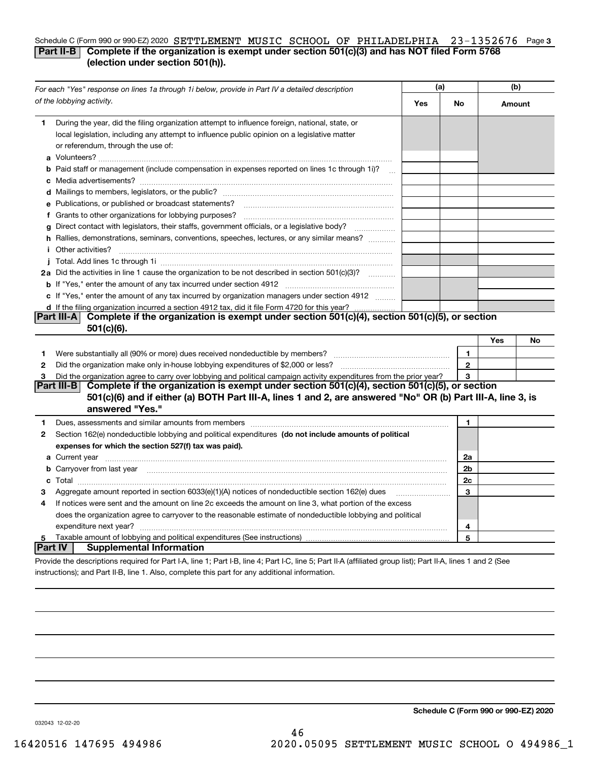# Schedule C (Form 990 or 990-EZ) 2020 SETTLEMENT MUSIC SCHOOL OF PHILADELPHIA 23-1352676 Page 3 **Part II-B** Complete if the organization is exempt under section 501(c)(3) and has NOT filed Form 5768 **(election under section 501(h)).**

|                | (a)<br>For each "Yes" response on lines 1a through 1i below, provide in Part IV a detailed description                                                                                                                                    |     |                |        | (b) |  |
|----------------|-------------------------------------------------------------------------------------------------------------------------------------------------------------------------------------------------------------------------------------------|-----|----------------|--------|-----|--|
|                | of the lobbying activity.                                                                                                                                                                                                                 | Yes | No             | Amount |     |  |
| 1.             | During the year, did the filing organization attempt to influence foreign, national, state, or<br>local legislation, including any attempt to influence public opinion on a legislative matter<br>or referendum, through the use of:      |     |                |        |     |  |
|                | <b>b</b> Paid staff or management (include compensation in expenses reported on lines 1c through 1i)?                                                                                                                                     |     |                |        |     |  |
|                |                                                                                                                                                                                                                                           |     |                |        |     |  |
|                | e Publications, or published or broadcast statements?                                                                                                                                                                                     |     |                |        |     |  |
|                | f Grants to other organizations for lobbying purposes?                                                                                                                                                                                    |     |                |        |     |  |
|                | g Direct contact with legislators, their staffs, government officials, or a legislative body?                                                                                                                                             |     |                |        |     |  |
|                | h Rallies, demonstrations, seminars, conventions, speeches, lectures, or any similar means?                                                                                                                                               |     |                |        |     |  |
|                | <i>i</i> Other activities?                                                                                                                                                                                                                |     |                |        |     |  |
|                |                                                                                                                                                                                                                                           |     |                |        |     |  |
|                | 2a Did the activities in line 1 cause the organization to be not described in section 501(c)(3)?                                                                                                                                          |     |                |        |     |  |
|                |                                                                                                                                                                                                                                           |     |                |        |     |  |
|                | c If "Yes," enter the amount of any tax incurred by organization managers under section 4912                                                                                                                                              |     |                |        |     |  |
|                | d If the filing organization incurred a section 4912 tax, did it file Form 4720 for this year?                                                                                                                                            |     |                |        |     |  |
|                | Part III-A Complete if the organization is exempt under section 501(c)(4), section 501(c)(5), or section                                                                                                                                  |     |                |        |     |  |
|                | $501(c)(6)$ .                                                                                                                                                                                                                             |     |                |        |     |  |
|                |                                                                                                                                                                                                                                           |     |                | Yes    | No  |  |
| 1              | Were substantially all (90% or more) dues received nondeductible by members?                                                                                                                                                              |     | 1              |        |     |  |
| $\mathbf{2}$   | Did the organization make only in house lobbying expenditures of \$2,000 or less?                                                                                                                                                         |     | $\mathbf{2}$   |        |     |  |
| 3              | Did the organization agree to carry over lobbying and political campaign activity expenditures from the prior year?                                                                                                                       |     | 3              |        |     |  |
|                | Complete if the organization is exempt under section 501(c)(4), section 501(c)(5), or section<br>Part III-BI                                                                                                                              |     |                |        |     |  |
|                | 501(c)(6) and if either (a) BOTH Part III-A, lines 1 and 2, are answered "No" OR (b) Part III-A, line 3, is<br>answered "Yes."                                                                                                            |     |                |        |     |  |
|                |                                                                                                                                                                                                                                           |     |                |        |     |  |
| 1              |                                                                                                                                                                                                                                           |     | 1              |        |     |  |
| 2              | Section 162(e) nondeductible lobbying and political expenditures (do not include amounts of political                                                                                                                                     |     |                |        |     |  |
|                | expenses for which the section 527(f) tax was paid).                                                                                                                                                                                      |     |                |        |     |  |
|                | <b>a</b> Current year                                                                                                                                                                                                                     |     | 2a             |        |     |  |
|                | <b>b</b> Carryover from last year <i>maching machine content to content to the content of the content of the content of the content of the content of the content of the content of the content of the content of the content of the </i> |     | 2 <sub>b</sub> |        |     |  |
|                |                                                                                                                                                                                                                                           |     | 2c             |        |     |  |
| з              | Aggregate amount reported in section $6033(e)(1)(A)$ notices of nondeductible section $162(e)$ dues                                                                                                                                       |     | 3              |        |     |  |
| 4              | If notices were sent and the amount on line 2c exceeds the amount on line 3, what portion of the excess                                                                                                                                   |     |                |        |     |  |
|                | does the organization agree to carryover to the reasonable estimate of nondeductible lobbying and political                                                                                                                               |     |                |        |     |  |
|                | expenditure next year?                                                                                                                                                                                                                    |     | 4              |        |     |  |
| 5              |                                                                                                                                                                                                                                           |     | 5              |        |     |  |
| <b>Part IV</b> | <b>Supplemental Information</b>                                                                                                                                                                                                           |     |                |        |     |  |
|                | Provide the descriptions required for Part I-A, line 1; Part I-B, line 4; Part I-C, line 5; Part II-A (affiliated group list); Part II-A, lines 1 and 2 (See                                                                              |     |                |        |     |  |

instructions); and Part II-B, line 1. Also, complete this part for any additional information.

**Schedule C (Form 990 or 990-EZ) 2020**

032043 12-02-20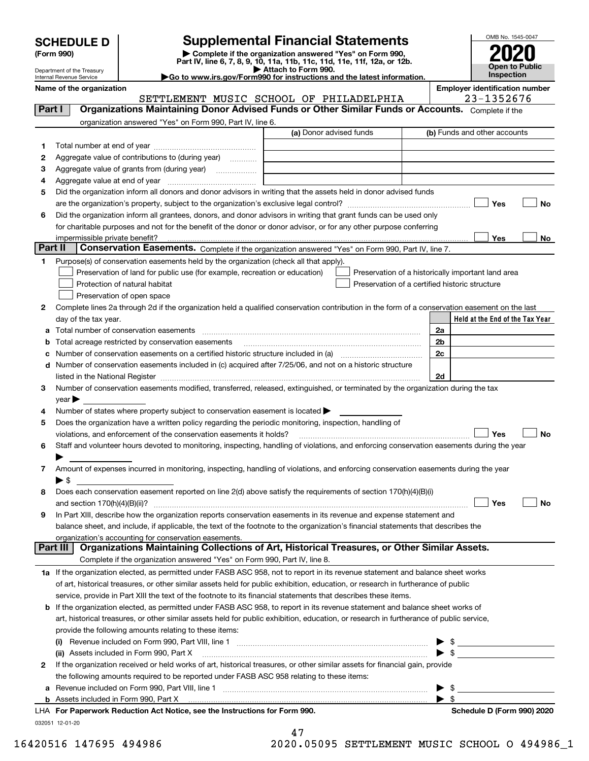|  | <b>SCHEDULE D</b> |  |  |  |
|--|-------------------|--|--|--|
|--|-------------------|--|--|--|

Department of the Treasury Internal Revenue Service

| (Form 990) |  |
|------------|--|
|------------|--|

# **SCHEDULE D Supplemental Financial Statements**

(Form 990)<br>
Pepartment of the Treasury<br>
Department of the Treasury<br>
Department of the Treasury<br>
Department of the Treasury<br> **Co to www.irs.gov/Form990 for instructions and the latest information.**<br> **Co to www.irs.gov/Form9** 



**Name of the organization**<br>
SETTLEMENT MIISTC SCHOOL OF PHILADELPHTA 23-1352676

OMB No. 1545-0047

|         | SETTLEMENT MUSIC SCHOOL OF PHILADELPHIA                                                                                                                                                                                       |                         |                                                | 23-1352676                                         |
|---------|-------------------------------------------------------------------------------------------------------------------------------------------------------------------------------------------------------------------------------|-------------------------|------------------------------------------------|----------------------------------------------------|
| Part I  | Organizations Maintaining Donor Advised Funds or Other Similar Funds or Accounts. Complete if the                                                                                                                             |                         |                                                |                                                    |
|         | organization answered "Yes" on Form 990, Part IV, line 6.                                                                                                                                                                     |                         |                                                |                                                    |
|         |                                                                                                                                                                                                                               | (a) Donor advised funds |                                                | (b) Funds and other accounts                       |
| 1       |                                                                                                                                                                                                                               |                         |                                                |                                                    |
| 2       | Aggregate value of contributions to (during year)                                                                                                                                                                             |                         |                                                |                                                    |
| з       | Aggregate value of grants from (during year) <i>mimimimimial</i>                                                                                                                                                              |                         |                                                |                                                    |
| 4       |                                                                                                                                                                                                                               |                         |                                                |                                                    |
| 5       | Did the organization inform all donors and donor advisors in writing that the assets held in donor advised funds                                                                                                              |                         |                                                |                                                    |
|         |                                                                                                                                                                                                                               |                         |                                                | Yes<br>No                                          |
| 6       | Did the organization inform all grantees, donors, and donor advisors in writing that grant funds can be used only                                                                                                             |                         |                                                |                                                    |
|         | for charitable purposes and not for the benefit of the donor or donor advisor, or for any other purpose conferring                                                                                                            |                         |                                                |                                                    |
|         | impermissible private benefit?                                                                                                                                                                                                |                         |                                                | Yes<br>No                                          |
| Part II | Conservation Easements. Complete if the organization answered "Yes" on Form 990, Part IV, line 7.                                                                                                                             |                         |                                                |                                                    |
| 1.      | Purpose(s) of conservation easements held by the organization (check all that apply).                                                                                                                                         |                         |                                                |                                                    |
|         | Preservation of land for public use (for example, recreation or education)                                                                                                                                                    |                         |                                                | Preservation of a historically important land area |
|         | Protection of natural habitat                                                                                                                                                                                                 |                         | Preservation of a certified historic structure |                                                    |
|         | Preservation of open space                                                                                                                                                                                                    |                         |                                                |                                                    |
| 2       | Complete lines 2a through 2d if the organization held a qualified conservation contribution in the form of a conservation easement on the last                                                                                |                         |                                                |                                                    |
|         | day of the tax year.                                                                                                                                                                                                          |                         |                                                | Held at the End of the Tax Year                    |
|         | a Total number of conservation easements                                                                                                                                                                                      |                         |                                                | 2a                                                 |
|         | Total acreage restricted by conservation easements                                                                                                                                                                            |                         |                                                | 2 <sub>b</sub>                                     |
|         | Number of conservation easements on a certified historic structure included in (a) manufacture included in (a)                                                                                                                |                         |                                                | 2c                                                 |
|         |                                                                                                                                                                                                                               |                         |                                                |                                                    |
|         | d Number of conservation easements included in (c) acquired after 7/25/06, and not on a historic structure                                                                                                                    |                         |                                                | 2d                                                 |
|         | listed in the National Register [111] increases and the National Property of the National Register [11] increases and the National Register [11] increases and the National Register [11] increases and the National Register |                         |                                                |                                                    |
| з       | Number of conservation easements modified, transferred, released, extinguished, or terminated by the organization during the tax                                                                                              |                         |                                                |                                                    |
|         | $\vee$ ear                                                                                                                                                                                                                    |                         |                                                |                                                    |
| 4       | Number of states where property subject to conservation easement is located >                                                                                                                                                 |                         |                                                |                                                    |
| 5       | Does the organization have a written policy regarding the periodic monitoring, inspection, handling of                                                                                                                        |                         |                                                |                                                    |
|         | violations, and enforcement of the conservation easements it holds?                                                                                                                                                           |                         |                                                | Yes<br>No                                          |
| 6       | Staff and volunteer hours devoted to monitoring, inspecting, handling of violations, and enforcing conservation easements during the year                                                                                     |                         |                                                |                                                    |
|         |                                                                                                                                                                                                                               |                         |                                                |                                                    |
| 7       | Amount of expenses incurred in monitoring, inspecting, handling of violations, and enforcing conservation easements during the year                                                                                           |                         |                                                |                                                    |
|         | $\blacktriangleright$ s                                                                                                                                                                                                       |                         |                                                |                                                    |
| 8       | Does each conservation easement reported on line 2(d) above satisfy the requirements of section 170(h)(4)(B)(i)                                                                                                               |                         |                                                |                                                    |
|         | and section $170(h)(4)(B)(ii)?$                                                                                                                                                                                               |                         |                                                | Yes<br>No                                          |
| 9       | In Part XIII, describe how the organization reports conservation easements in its revenue and expense statement and                                                                                                           |                         |                                                |                                                    |
|         | balance sheet, and include, if applicable, the text of the footnote to the organization's financial statements that describes the                                                                                             |                         |                                                |                                                    |
|         | organization's accounting for conservation easements.<br>Organizations Maintaining Collections of Art, Historical Treasures, or Other Similar Assets.                                                                         |                         |                                                |                                                    |
|         | Part III                                                                                                                                                                                                                      |                         |                                                |                                                    |
|         | Complete if the organization answered "Yes" on Form 990, Part IV, line 8.                                                                                                                                                     |                         |                                                |                                                    |
|         | 1a If the organization elected, as permitted under FASB ASC 958, not to report in its revenue statement and balance sheet works                                                                                               |                         |                                                |                                                    |
|         | of art, historical treasures, or other similar assets held for public exhibition, education, or research in furtherance of public                                                                                             |                         |                                                |                                                    |
|         | service, provide in Part XIII the text of the footnote to its financial statements that describes these items.                                                                                                                |                         |                                                |                                                    |
|         | <b>b</b> If the organization elected, as permitted under FASB ASC 958, to report in its revenue statement and balance sheet works of                                                                                          |                         |                                                |                                                    |
|         | art, historical treasures, or other similar assets held for public exhibition, education, or research in furtherance of public service,                                                                                       |                         |                                                |                                                    |
|         | provide the following amounts relating to these items:                                                                                                                                                                        |                         |                                                |                                                    |
|         |                                                                                                                                                                                                                               |                         |                                                | \$                                                 |
|         | (ii) Assets included in Form 990, Part X                                                                                                                                                                                      |                         |                                                | $\blacktriangleright$ s                            |
| 2       | If the organization received or held works of art, historical treasures, or other similar assets for financial gain, provide                                                                                                  |                         |                                                |                                                    |
|         | the following amounts required to be reported under FASB ASC 958 relating to these items:                                                                                                                                     |                         |                                                |                                                    |
|         |                                                                                                                                                                                                                               |                         |                                                | $\blacktriangleright$ \$                           |
|         |                                                                                                                                                                                                                               |                         |                                                | $\blacktriangleright$ s                            |
|         | LHA For Paperwork Reduction Act Notice, see the Instructions for Form 990.                                                                                                                                                    |                         |                                                | Schedule D (Form 990) 2020                         |
|         | 032051 12-01-20                                                                                                                                                                                                               |                         |                                                |                                                    |
|         |                                                                                                                                                                                                                               | 47                      |                                                |                                                    |

16420516 147695 494986 2020.05095 SETTLEMENT MUSIC SCHOOL O 494986\_1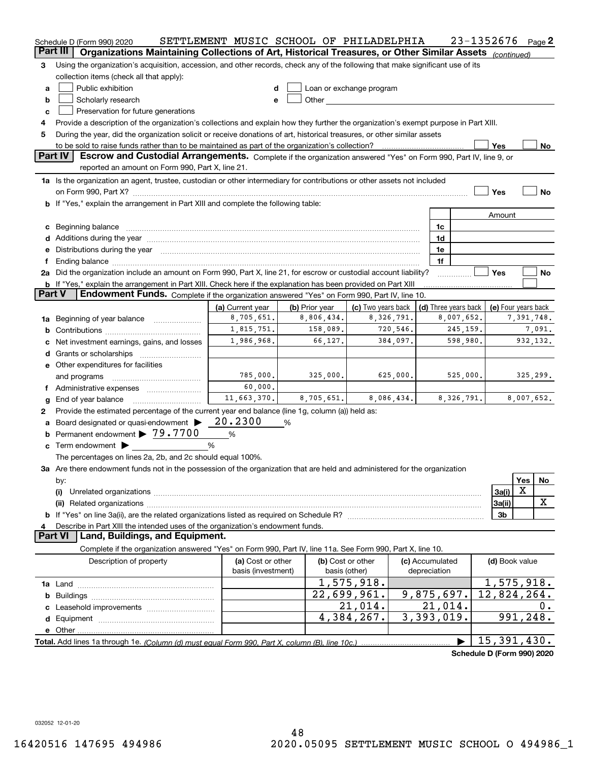|               | Schedule D (Form 990) 2020                                                                                                                                                                                                     | SETTLEMENT MUSIC SCHOOL OF PHILADELPHIA |                                                                                                                                                                                                                                |                          |                                 | 23-1352676                 | Page 2         |
|---------------|--------------------------------------------------------------------------------------------------------------------------------------------------------------------------------------------------------------------------------|-----------------------------------------|--------------------------------------------------------------------------------------------------------------------------------------------------------------------------------------------------------------------------------|--------------------------|---------------------------------|----------------------------|----------------|
|               | Part III<br>Organizations Maintaining Collections of Art, Historical Treasures, or Other Similar Assets (continued)                                                                                                            |                                         |                                                                                                                                                                                                                                |                          |                                 |                            |                |
| 3             | Using the organization's acquisition, accession, and other records, check any of the following that make significant use of its                                                                                                |                                         |                                                                                                                                                                                                                                |                          |                                 |                            |                |
|               | collection items (check all that apply):                                                                                                                                                                                       |                                         |                                                                                                                                                                                                                                |                          |                                 |                            |                |
| a             | Public exhibition                                                                                                                                                                                                              | d                                       |                                                                                                                                                                                                                                | Loan or exchange program |                                 |                            |                |
| b             | Scholarly research                                                                                                                                                                                                             | е                                       | Other the contract of the contract of the contract of the contract of the contract of the contract of the contract of the contract of the contract of the contract of the contract of the contract of the contract of the cont |                          |                                 |                            |                |
| c             | Preservation for future generations                                                                                                                                                                                            |                                         |                                                                                                                                                                                                                                |                          |                                 |                            |                |
| 4             | Provide a description of the organization's collections and explain how they further the organization's exempt purpose in Part XIII.                                                                                           |                                         |                                                                                                                                                                                                                                |                          |                                 |                            |                |
| 5             | During the year, did the organization solicit or receive donations of art, historical treasures, or other similar assets                                                                                                       |                                         |                                                                                                                                                                                                                                |                          |                                 |                            |                |
|               |                                                                                                                                                                                                                                |                                         |                                                                                                                                                                                                                                |                          |                                 | Yes                        | No.            |
|               | <b>Part IV</b><br>Escrow and Custodial Arrangements. Complete if the organization answered "Yes" on Form 990, Part IV, line 9, or                                                                                              |                                         |                                                                                                                                                                                                                                |                          |                                 |                            |                |
|               | reported an amount on Form 990, Part X, line 21.                                                                                                                                                                               |                                         |                                                                                                                                                                                                                                |                          |                                 |                            |                |
|               | 1a Is the organization an agent, trustee, custodian or other intermediary for contributions or other assets not included                                                                                                       |                                         |                                                                                                                                                                                                                                |                          |                                 |                            |                |
|               |                                                                                                                                                                                                                                |                                         |                                                                                                                                                                                                                                |                          |                                 | Yes                        | No             |
|               | b If "Yes," explain the arrangement in Part XIII and complete the following table:                                                                                                                                             |                                         |                                                                                                                                                                                                                                |                          |                                 |                            |                |
|               |                                                                                                                                                                                                                                |                                         |                                                                                                                                                                                                                                |                          |                                 | Amount                     |                |
|               | c Beginning balance measurements and the contract of the contract of the contract of the contract of the contract of the contract of the contract of the contract of the contract of the contract of the contract of the contr |                                         |                                                                                                                                                                                                                                |                          | 1c                              |                            |                |
|               |                                                                                                                                                                                                                                |                                         |                                                                                                                                                                                                                                |                          | 1d                              |                            |                |
| е             | Distributions during the year manufactured and an intervention of the year manufactured and the year                                                                                                                           |                                         |                                                                                                                                                                                                                                |                          | 1e                              |                            |                |
| f             |                                                                                                                                                                                                                                |                                         |                                                                                                                                                                                                                                |                          | 1f                              |                            |                |
|               | 2a Did the organization include an amount on Form 990, Part X, line 21, for escrow or custodial account liability?                                                                                                             |                                         |                                                                                                                                                                                                                                |                          |                                 | Yes                        | No             |
|               | <b>b</b> If "Yes," explain the arrangement in Part XIII. Check here if the explanation has been provided on Part XIII                                                                                                          |                                         |                                                                                                                                                                                                                                |                          |                                 |                            |                |
| <b>Part V</b> | Endowment Funds. Complete if the organization answered "Yes" on Form 990, Part IV, line 10.                                                                                                                                    |                                         |                                                                                                                                                                                                                                |                          |                                 |                            |                |
|               |                                                                                                                                                                                                                                | (a) Current year                        | (b) Prior year                                                                                                                                                                                                                 | (c) Two years back       | (d) Three years back            | (e) Four years back        |                |
|               | 1a Beginning of year balance                                                                                                                                                                                                   | 8,705,651.                              | 8,806,434.                                                                                                                                                                                                                     | 8,326,791.               | 8,007,652.                      |                            | 7,391,748.     |
| b             |                                                                                                                                                                                                                                | 1,815,751.                              | 158,089.                                                                                                                                                                                                                       | 720,546.                 | 245,159.                        |                            | 7,091.         |
|               | Net investment earnings, gains, and losses                                                                                                                                                                                     | 1,986,968.                              | 66,127.                                                                                                                                                                                                                        | 384,097.                 | 598,980.                        |                            | 932,132.       |
|               |                                                                                                                                                                                                                                |                                         |                                                                                                                                                                                                                                |                          |                                 |                            |                |
|               | e Other expenditures for facilities                                                                                                                                                                                            |                                         |                                                                                                                                                                                                                                |                          |                                 |                            |                |
|               | and programs                                                                                                                                                                                                                   | 785,000.                                | 325,000.                                                                                                                                                                                                                       | 625,000.                 | 525,000.                        |                            | 325,299.       |
| Ť.            | Administrative expenses                                                                                                                                                                                                        | 60,000.                                 |                                                                                                                                                                                                                                |                          |                                 |                            |                |
| g             | End of year balance                                                                                                                                                                                                            | 11,663,370.                             | 8,705,651.                                                                                                                                                                                                                     | 8,086,434.               | 8,326,791.                      |                            | 8,007,652.     |
| 2             | Provide the estimated percentage of the current year end balance (line 1g, column (a)) held as:                                                                                                                                |                                         |                                                                                                                                                                                                                                |                          |                                 |                            |                |
| a             | Board designated or quasi-endowment                                                                                                                                                                                            | 20.2300                                 | %                                                                                                                                                                                                                              |                          |                                 |                            |                |
| b             | Permanent endowment > 79.7700                                                                                                                                                                                                  | $\%$                                    |                                                                                                                                                                                                                                |                          |                                 |                            |                |
|               | <b>c</b> Term endowment $\blacktriangleright$                                                                                                                                                                                  | %                                       |                                                                                                                                                                                                                                |                          |                                 |                            |                |
|               | The percentages on lines 2a, 2b, and 2c should equal 100%.                                                                                                                                                                     |                                         |                                                                                                                                                                                                                                |                          |                                 |                            |                |
|               | 3a Are there endowment funds not in the possession of the organization that are held and administered for the organization                                                                                                     |                                         |                                                                                                                                                                                                                                |                          |                                 |                            |                |
|               |                                                                                                                                                                                                                                |                                         |                                                                                                                                                                                                                                |                          |                                 |                            | Yes<br>No      |
|               | by:<br>(i)                                                                                                                                                                                                                     |                                         |                                                                                                                                                                                                                                |                          |                                 | X<br>3a(i)                 |                |
|               | (ii)                                                                                                                                                                                                                           |                                         |                                                                                                                                                                                                                                |                          |                                 | 3a(ii)                     | X              |
|               |                                                                                                                                                                                                                                |                                         |                                                                                                                                                                                                                                |                          |                                 | 3 <sub>b</sub>             |                |
|               |                                                                                                                                                                                                                                |                                         |                                                                                                                                                                                                                                |                          |                                 |                            |                |
|               | Describe in Part XIII the intended uses of the organization's endowment funds.<br>Land, Buildings, and Equipment.<br><b>Part VI</b>                                                                                            |                                         |                                                                                                                                                                                                                                |                          |                                 |                            |                |
|               |                                                                                                                                                                                                                                |                                         |                                                                                                                                                                                                                                |                          |                                 |                            |                |
|               | Complete if the organization answered "Yes" on Form 990, Part IV, line 11a. See Form 990, Part X, line 10.                                                                                                                     |                                         |                                                                                                                                                                                                                                |                          |                                 |                            |                |
|               | Description of property                                                                                                                                                                                                        | (a) Cost or other<br>basis (investment) | (b) Cost or other<br>basis (other)                                                                                                                                                                                             |                          | (c) Accumulated<br>depreciation | (d) Book value             |                |
|               |                                                                                                                                                                                                                                |                                         |                                                                                                                                                                                                                                | 1,575,918.               |                                 | 1,575,918.                 |                |
|               |                                                                                                                                                                                                                                |                                         |                                                                                                                                                                                                                                | 22,699,961.              | 9,875,697.                      | 12,824,264.                |                |
|               |                                                                                                                                                                                                                                |                                         |                                                                                                                                                                                                                                | $\overline{21}$ , 014.   | $\overline{21}$ , 014.          |                            |                |
|               |                                                                                                                                                                                                                                |                                         |                                                                                                                                                                                                                                | 4,384,267.               | 3,393,019.                      |                            | υ.<br>991,248. |
|               |                                                                                                                                                                                                                                |                                         |                                                                                                                                                                                                                                |                          |                                 |                            |                |
|               |                                                                                                                                                                                                                                |                                         |                                                                                                                                                                                                                                |                          |                                 |                            |                |
|               |                                                                                                                                                                                                                                |                                         |                                                                                                                                                                                                                                |                          |                                 | 15,391,430.                |                |
|               |                                                                                                                                                                                                                                |                                         |                                                                                                                                                                                                                                |                          |                                 | Schedule D (Form 990) 2020 |                |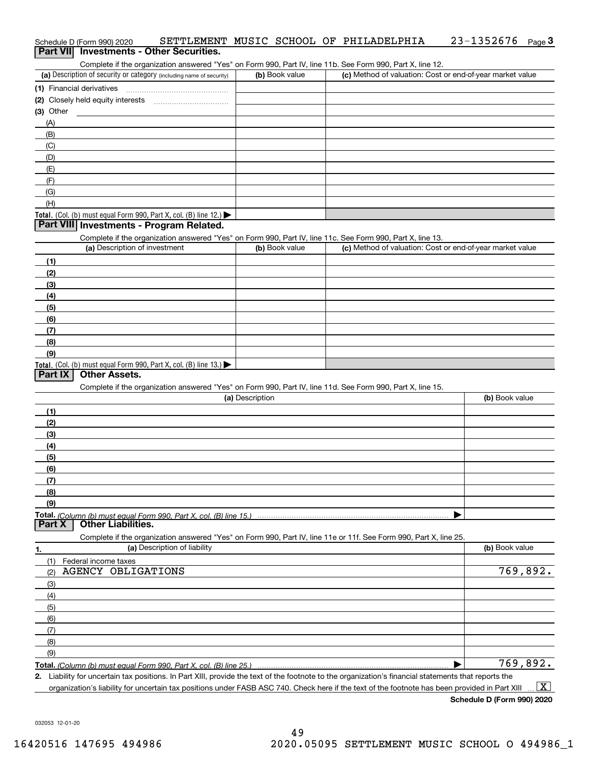| Schedule D (Form 990) 2020 |                                          |  | SETTLEMENT MUSIC SCHOOL OF PHILADELPHIA | $23 - 1352676$ Page 3 |  |
|----------------------------|------------------------------------------|--|-----------------------------------------|-----------------------|--|
|                            | Part VII Investments - Other Securities. |  |                                         |                       |  |

Complete if the organization answered "Yes" on Form 990, Part IV, line 11b. See Form 990, Part X, line 12.

| (a) Description of security or category (including name of security) | (b) Book value | (c) Method of valuation: Cost or end-of-year market value |
|----------------------------------------------------------------------|----------------|-----------------------------------------------------------|
| (1) Financial derivatives                                            |                |                                                           |
| (2) Closely held equity interests<br>                                |                |                                                           |
| $(3)$ Other                                                          |                |                                                           |
| (A)                                                                  |                |                                                           |
| (B)                                                                  |                |                                                           |
| (C)                                                                  |                |                                                           |
| (D)                                                                  |                |                                                           |
| (E)                                                                  |                |                                                           |
| (F)                                                                  |                |                                                           |
| (G)                                                                  |                |                                                           |
| (H)                                                                  |                |                                                           |
| Total. (Col. (b) must equal Form 990, Part X, col. (B) line $12$ .)  |                |                                                           |

## **Part VIII Investments - Program Related.**

Complete if the organization answered "Yes" on Form 990, Part IV, line 11c. See Form 990, Part X, line 13.

| (a) Description of investment                                       | (b) Book value | (c) Method of valuation: Cost or end-of-year market value |
|---------------------------------------------------------------------|----------------|-----------------------------------------------------------|
| (1)                                                                 |                |                                                           |
| (2)                                                                 |                |                                                           |
| $\frac{1}{2}$                                                       |                |                                                           |
| (4)                                                                 |                |                                                           |
| $\left(5\right)$                                                    |                |                                                           |
| (6)                                                                 |                |                                                           |
| (7)                                                                 |                |                                                           |
| (8)                                                                 |                |                                                           |
| (9)                                                                 |                |                                                           |
| Total. (Col. (b) must equal Form 990, Part X, col. (B) line $13.$ ) |                |                                                           |

# **Part IX Other Assets.**

Complete if the organization answered "Yes" on Form 990, Part IV, line 11d. See Form 990, Part X, line 15.

| (a) Description | (b) Book value |
|-----------------|----------------|
|                 |                |
| (2)             |                |
| (3)             |                |
| (4)             |                |
| (5)             |                |
| (6)             |                |
|                 |                |
| (8)             |                |
| (9)             |                |
|                 |                |
|                 |                |

**1. (a)** Description of liability **Book value** Book value Book value Book value Book value **Total.**  *(Column (b) must equal Form 990, Part X, col. (B) line 25.)* Complete if the organization answered "Yes" on Form 990, Part IV, line 11e or 11f. See Form 990, Part X, line 25. (1)Federal income taxes (2)(3)(4)(5) (6)(7)(8)(9) $\blacktriangleright$ AGENCY OBLIGATIONS 769,892. 769,892.

Liability for uncertain tax positions. In Part XIII, provide the text of the footnote to the organization's financial statements that reports the

**2.**organization's liability for uncertain tax positions under FASB ASC 740. Check here if the text of the footnote has been provided in Part XIII  $\boxed{\text{X}}$ 

**Schedule D (Form 990) 2020**

032053 12-01-20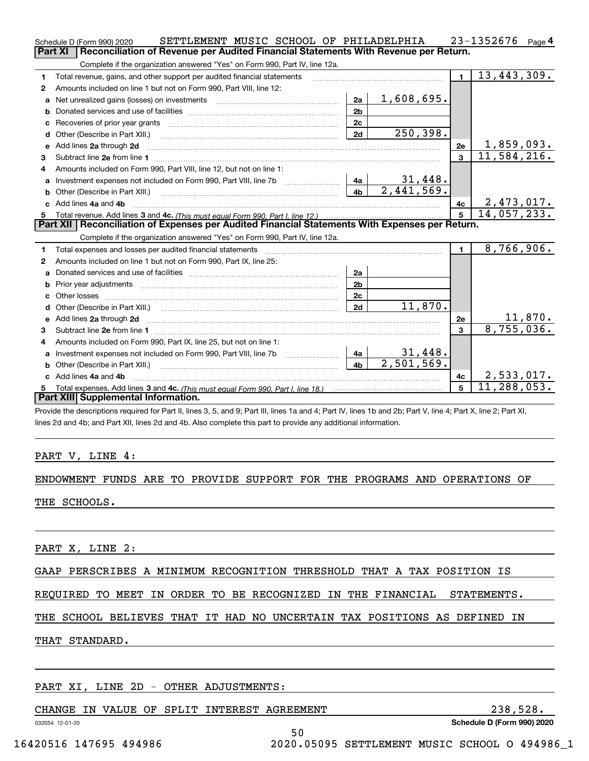|    | SETTLEMENT MUSIC SCHOOL OF PHILADELPHIA<br>Schedule D (Form 990) 2020                                               |                |                              |                | 23-1352676<br>Page 4      |
|----|---------------------------------------------------------------------------------------------------------------------|----------------|------------------------------|----------------|---------------------------|
|    | Part XI<br>Reconciliation of Revenue per Audited Financial Statements With Revenue per Return.                      |                |                              |                |                           |
|    | Complete if the organization answered "Yes" on Form 990, Part IV, line 12a.                                         |                |                              |                |                           |
| 1  | Total revenue, gains, and other support per audited financial statements                                            |                |                              | $\blacksquare$ | 13,443,309.               |
| 2  | Amounts included on line 1 but not on Form 990, Part VIII, line 12:                                                 |                |                              |                |                           |
| a  | Net unrealized gains (losses) on investments [11] matter contracts and the unrealized gains (losses) on investments | 2a             | 1,608,695.                   |                |                           |
|    |                                                                                                                     | 2 <sub>b</sub> |                              |                |                           |
|    |                                                                                                                     | 2 <sub>c</sub> |                              |                |                           |
| d  | Other (Describe in Part XIII.) [100] [2010] [2010] [2010] [2010] [2010] [2010] [2010] [2010] [2010] [2010] [20      | 2d             | 250,398.                     |                |                           |
| е  | Add lines 2a through 2d                                                                                             |                |                              | 2e             | <u>1,859,093.</u>         |
| 3  |                                                                                                                     |                |                              | $\overline{3}$ | 11,584,216.               |
| 4  | Amounts included on Form 990, Part VIII, line 12, but not on line 1:                                                |                |                              |                |                           |
|    | Investment expenses not included on Form 990, Part VIII, line 7b [148]                                              |                | $\frac{31,448}{2,441,569}$ . |                |                           |
|    |                                                                                                                     | 4 <sub>b</sub> |                              |                |                           |
| c. | Add lines 4a and 4b                                                                                                 |                |                              | 4c             | 2, 473, 017.              |
|    |                                                                                                                     |                |                              |                |                           |
|    |                                                                                                                     |                |                              | 5              | 14,057,233.               |
|    | Part XII   Reconciliation of Expenses per Audited Financial Statements With Expenses per Return.                    |                |                              |                |                           |
|    | Complete if the organization answered "Yes" on Form 990, Part IV, line 12a.                                         |                |                              |                |                           |
| 1  |                                                                                                                     |                |                              | $\mathbf{1}$   | 8,766,906.                |
| 2  | Amounts included on line 1 but not on Form 990, Part IX, line 25:                                                   |                |                              |                |                           |
| a  |                                                                                                                     | 2a             |                              |                |                           |
| b  |                                                                                                                     | 2 <sub>b</sub> |                              |                |                           |
| C. |                                                                                                                     | 2c             |                              |                |                           |
|    |                                                                                                                     | 2d             | 11,870.                      |                |                           |
|    |                                                                                                                     |                |                              | 2e             | 11,870.                   |
| 3  |                                                                                                                     |                |                              | $\mathbf{a}$   | 8,755,036.                |
| 4  | Amounts included on Form 990, Part IX, line 25, but not on line 1:                                                  |                |                              |                |                           |
|    | Investment expenses not included on Form 990, Part VIII, line 7b [100] [100] [100] [100]                            |                |                              |                |                           |
| b  | Other (Describe in Part XIII.) <b>Construction Contract Construction</b> [                                          | 4 <sub>b</sub> | $\frac{31,448}{2,501,569}$ . |                |                           |
|    | Add lines 4a and 4b                                                                                                 |                |                              | 4c             | 2,533,017.                |
|    | Part XIII Supplemental Information.                                                                                 |                |                              | 5              | $\overline{11,288,053}$ . |

Provide the descriptions required for Part II, lines 3, 5, and 9; Part III, lines 1a and 4; Part IV, lines 1b and 2b; Part V, line 4; Part X, line 2; Part XI, lines 2d and 4b; and Part XII, lines 2d and 4b. Also complete this part to provide any additional information.

# PART V, LINE 4:

# ENDOWMENT FUNDS ARE TO PROVIDE SUPPORT FOR THE PROGRAMS AND OPERATIONS OF THE SCHOOLS.

PART X, LINE 2:

|  |  |  |  | GAAP PERSCRIBES A MINIMUM RECOGNITION THRESHOLD THAT A TAX POSITION IS |  |  |  |  |  |  |  |
|--|--|--|--|------------------------------------------------------------------------|--|--|--|--|--|--|--|
|--|--|--|--|------------------------------------------------------------------------|--|--|--|--|--|--|--|

REQUIRED TO MEET IN ORDER TO BE RECOGNIZED IN THE FINANCIAL STATEMENTS.

THE SCHOOL BELIEVES THAT IT HAD NO UNCERTAIN TAX POSITIONS AS DEFINED IN

50

THAT STANDARD.

# PART XI, LINE 2D - OTHER ADJUSTMENTS:

# CHANGE IN VALUE OF SPLIT INTEREST AGREEMENT 238,528.

**Schedule D (Form 990) 2020**

032054 12-01-20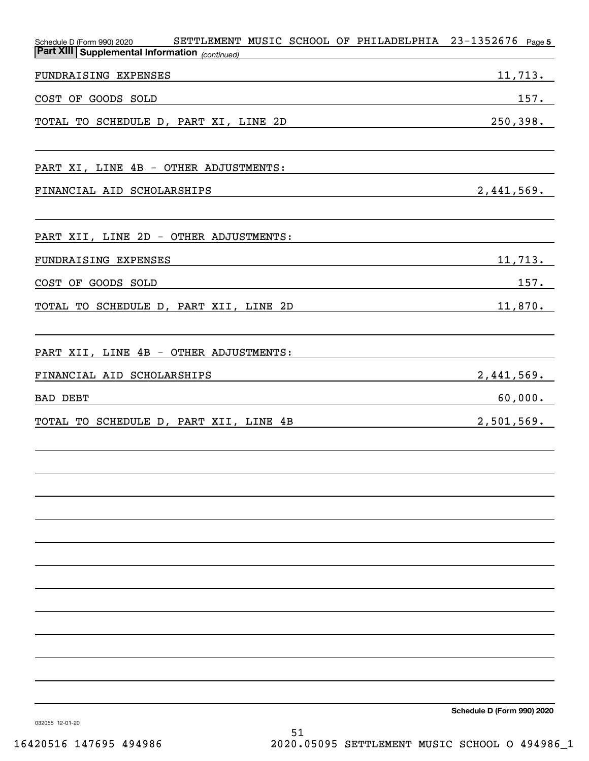| SETTLEMENT MUSIC SCHOOL OF PHILADELPHIA<br>Schedule D (Form 990) 2020<br><b>Part XIII Supplemental Information</b> (continued) | $23 - 1352676$ Page 5 |
|--------------------------------------------------------------------------------------------------------------------------------|-----------------------|
| FUNDRAISING EXPENSES                                                                                                           | 11,713.               |
| COST OF GOODS SOLD                                                                                                             | 157.                  |
| TOTAL TO SCHEDULE D, PART XI, LINE 2D                                                                                          | 250, 398.             |
| PART XI, LINE 4B - OTHER ADJUSTMENTS:                                                                                          |                       |
| FINANCIAL AID SCHOLARSHIPS                                                                                                     | 2,441,569.            |
| PART XII, LINE 2D - OTHER ADJUSTMENTS:                                                                                         |                       |
| FUNDRAISING EXPENSES                                                                                                           | 11,713.               |
| COST OF GOODS SOLD                                                                                                             | 157.                  |
| TOTAL TO SCHEDULE D, PART XII, LINE 2D                                                                                         | 11,870.               |
| PART XII, LINE 4B - OTHER ADJUSTMENTS:                                                                                         |                       |
| FINANCIAL AID SCHOLARSHIPS                                                                                                     | 2,441,569.            |
| BAD DEBT                                                                                                                       | 60,000.               |
| TOTAL TO SCHEDULE D, PART XII, LINE 4B                                                                                         | 2,501,569.            |
|                                                                                                                                |                       |
|                                                                                                                                |                       |
|                                                                                                                                |                       |
|                                                                                                                                |                       |
|                                                                                                                                |                       |
|                                                                                                                                |                       |
|                                                                                                                                |                       |
|                                                                                                                                |                       |

**Schedule D (Form 990) 2020**

032055 12-01-20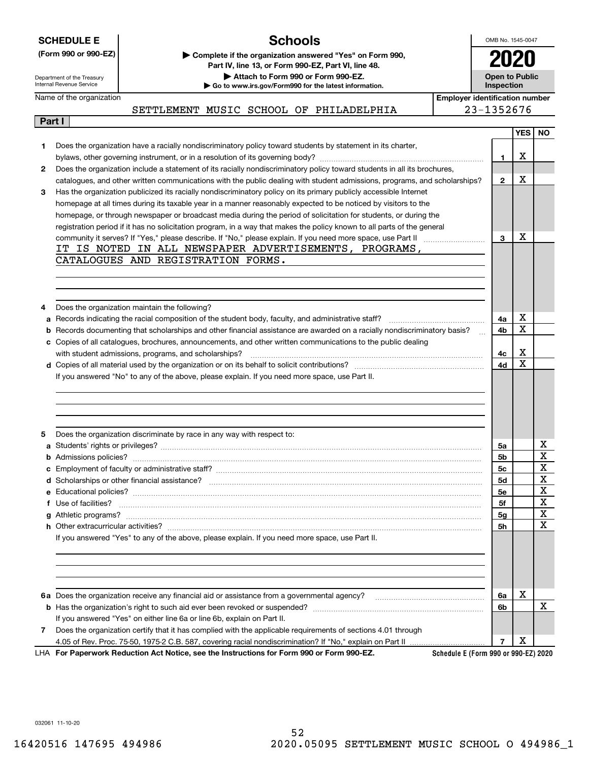| <b>SCHEDULE E</b><br><b>Schools</b>                               |                                                                                                                 |      | OMB No. 1545-0047                   |  |  |
|-------------------------------------------------------------------|-----------------------------------------------------------------------------------------------------------------|------|-------------------------------------|--|--|
| (Form 990 or 990-EZ)                                              | Complete if the organization answered "Yes" on Form 990,<br>Part IV, line 13, or Form 990-EZ, Part VI, line 48. | 2020 |                                     |  |  |
| Department of the Treasury<br>Internal Revenue Service            | Attach to Form 990 or Form 990-EZ.<br>Go to www.irs.gov/Form990 for the latest information.                     |      | Open to Public<br><b>Inspection</b> |  |  |
| Name of the organization<br><b>Employer identification number</b> |                                                                                                                 |      |                                     |  |  |
|                                                                   | MUSIC SCHOOL OF PHILADELPHIA<br>SETTLEMENT                                                                      |      | 23-1352676                          |  |  |

| Part I       |                                                                                                                           |
|--------------|---------------------------------------------------------------------------------------------------------------------------|
|              |                                                                                                                           |
| 1            | Does the organization have a racially nondiscriminatory policy toward students by statement in its charter,               |
|              |                                                                                                                           |
| $\mathbf{2}$ | Does the organization include a statement of its racially nondiscriminatory policy toward students in all its brochures,  |
|              | catalogues, and other written communications with the public dealing with student admissions, programs, and scholarships? |
| 3            | Has the organization publicized its racially nondiscriminatory policy on its primary publicly accessible Internet         |
|              | homepage at all times during its taxable year in a manner reasonably expected to be noticed by visitors to the            |
|              | homepage, or through newspaper or broadcast media during the period of solicitation for students, or during the           |
|              | registration period if it has no solicitation program, in a way that makes the policy known to all parts of the general   |
|              |                                                                                                                           |
|              | IT IS NOTED IN ALL NEWSPAPER ADVERTISEMENTS, PROGRAMS,                                                                    |
|              | CATALOGUES AND REGISTRATION FORMS.                                                                                        |
|              |                                                                                                                           |
|              |                                                                                                                           |
|              |                                                                                                                           |
| 4            | Does the organization maintain the following?                                                                             |
| а            | Records indicating the racial composition of the student body, faculty, and administrative staff?                         |
| b            | Records documenting that scholarships and other financial assistance are awarded on a racially nondiscriminatory basis?   |
| с            | Copies of all catalogues, brochures, announcements, and other written communications to the public dealing                |
|              | with student admissions, programs, and scholarships?                                                                      |
|              | d Copies of all material used by the organization or on its behalf to solicit contributions?                              |
|              | If you answered "No" to any of the above, please explain. If you need more space, use Part II.                            |
|              |                                                                                                                           |
|              |                                                                                                                           |
|              |                                                                                                                           |
|              |                                                                                                                           |
| 5            | Does the organization discriminate by race in any way with respect to:                                                    |

| 5 | Does the organization discriminate by race in any way with respect to:                                       |    |   |   |
|---|--------------------------------------------------------------------------------------------------------------|----|---|---|
|   |                                                                                                              | 5a |   | х |
|   |                                                                                                              | 5b |   | X |
|   |                                                                                                              | 5с |   | X |
|   |                                                                                                              | 5d |   | X |
|   |                                                                                                              | 5e |   | х |
|   |                                                                                                              | 5f |   | X |
|   |                                                                                                              | 5g |   | X |
|   | h Other extracurricular activities?                                                                          | 5h |   | X |
|   | If you answered "Yes" to any of the above, please explain. If you need more space, use Part II.              |    |   |   |
|   |                                                                                                              | 6a | х |   |
|   |                                                                                                              | 6b |   | x |
|   | If you answered "Yes" on either line 6a or line 6b, explain on Part II.                                      |    |   |   |
| 7 | Does the organization certify that it has complied with the applicable requirements of sections 4.01 through |    |   |   |
|   |                                                                                                              |    | х |   |

**For Paperwork Reduction Act Notice, see the Instructions for Form 990 or Form 990-EZ.** LHA

**Schedule E (Form 990 or 990-EZ) 2020**

**YES NO**

X

X

X

X  $\overline{\mathbf{x}}$ 

X X

**1**

**2**

**3**

**4a 4b**

**4c 4d**

032061 11-10-20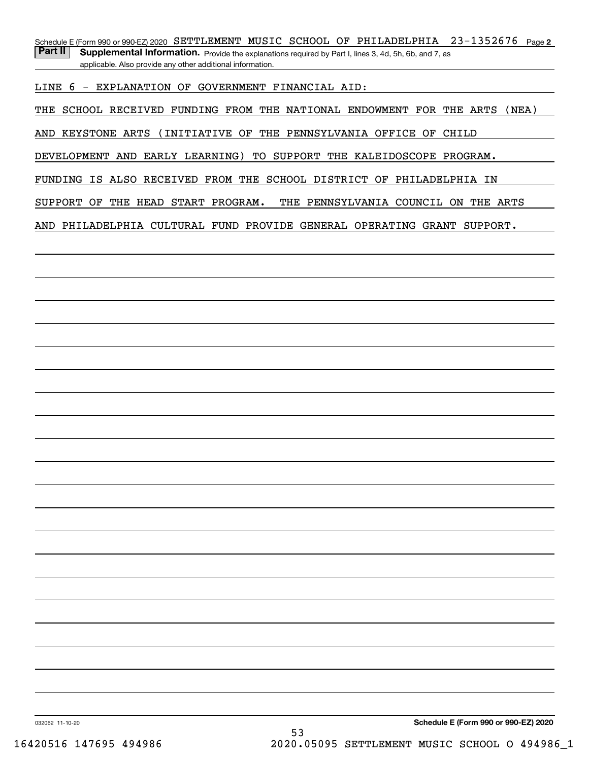Schedule E (Form 990 or 990-EZ) 2020 SETTLEMENT MUSIC SCHOOL OF PHILADELPHIA 23-1352676 Page 2 Part II | Supplemental Information. Provide the explanations required by Part I, lines 3, 4d, 5h, 6b, and 7, as applicable. Also provide any other additional information.

LINE 6 - EXPLANATION OF GOVERNMENT FINANCIAL AID:

THE SCHOOL RECEIVED FUNDING FROM THE NATIONAL ENDOWMENT FOR THE ARTS (NEA)

AND KEYSTONE ARTS (INITIATIVE OF THE PENNSYLVANIA OFFICE OF CHILD

DEVELOPMENT AND EARLY LEARNING) TO SUPPORT THE KALEIDOSCOPE PROGRAM.

FUNDING IS ALSO RECEIVED FROM THE SCHOOL DISTRICT OF PHILADELPHIA IN

SUPPORT OF THE HEAD START PROGRAM. THE PENNSYLVANIA COUNCIL ON THE ARTS

AND PHILADELPHIA CULTURAL FUND PROVIDE GENERAL OPERATING GRANT SUPPORT.

032062 11-10-20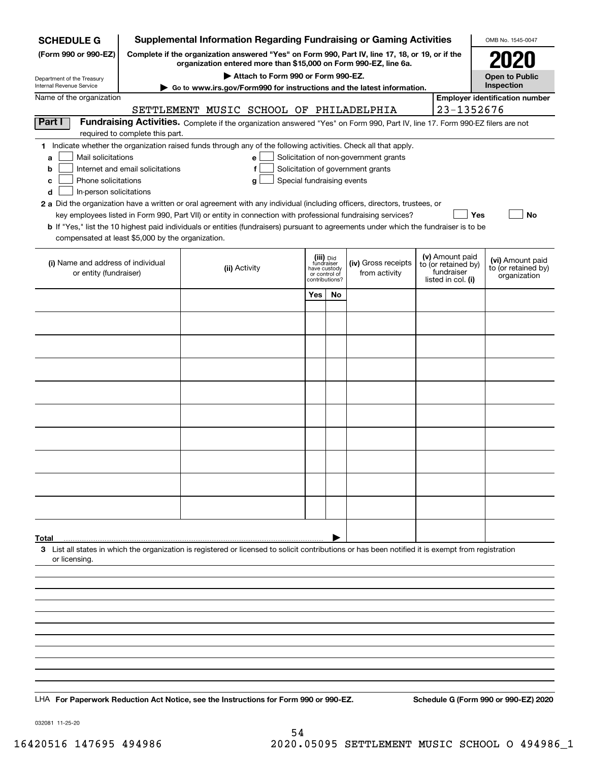| <b>SCHEDULE G</b>                                                                                                                                                   |                                  |                                         |                                    |                               |    | <b>Supplemental Information Regarding Fundraising or Gaming Activities</b>                                                                                          |                                   | OMB No. 1545-0047                     |
|---------------------------------------------------------------------------------------------------------------------------------------------------------------------|----------------------------------|-----------------------------------------|------------------------------------|-------------------------------|----|---------------------------------------------------------------------------------------------------------------------------------------------------------------------|-----------------------------------|---------------------------------------|
| (Form 990 or 990-EZ)                                                                                                                                                |                                  |                                         |                                    |                               |    | Complete if the organization answered "Yes" on Form 990, Part IV, line 17, 18, or 19, or if the<br>organization entered more than \$15,000 on Form 990-EZ, line 6a. |                                   |                                       |
| Department of the Treasury<br>Internal Revenue Service                                                                                                              |                                  |                                         | Attach to Form 990 or Form 990-EZ. |                               |    |                                                                                                                                                                     |                                   | <b>Open to Public</b><br>Inspection   |
| Name of the organization                                                                                                                                            |                                  |                                         |                                    |                               |    | Go to www.irs.gov/Form990 for instructions and the latest information.                                                                                              |                                   | <b>Employer identification number</b> |
|                                                                                                                                                                     |                                  | SETTLEMENT MUSIC SCHOOL OF PHILADELPHIA |                                    |                               |    |                                                                                                                                                                     | 23-1352676                        |                                       |
| Part I                                                                                                                                                              |                                  |                                         |                                    |                               |    | Fundraising Activities. Complete if the organization answered "Yes" on Form 990, Part IV, line 17. Form 990-EZ filers are not                                       |                                   |                                       |
| 1 Indicate whether the organization raised funds through any of the following activities. Check all that apply.                                                     | required to complete this part.  |                                         |                                    |                               |    |                                                                                                                                                                     |                                   |                                       |
| Mail solicitations<br>a                                                                                                                                             |                                  |                                         | e                                  |                               |    | Solicitation of non-government grants                                                                                                                               |                                   |                                       |
| b                                                                                                                                                                   | Internet and email solicitations |                                         | f                                  |                               |    | Solicitation of government grants                                                                                                                                   |                                   |                                       |
| Phone solicitations<br>с                                                                                                                                            |                                  |                                         | Special fundraising events<br>g    |                               |    |                                                                                                                                                                     |                                   |                                       |
| In-person solicitations<br>d                                                                                                                                        |                                  |                                         |                                    |                               |    |                                                                                                                                                                     |                                   |                                       |
| 2 a Did the organization have a written or oral agreement with any individual (including officers, directors, trustees, or                                          |                                  |                                         |                                    |                               |    | key employees listed in Form 990, Part VII) or entity in connection with professional fundraising services?                                                         | Yes                               | <b>No</b>                             |
| b If "Yes," list the 10 highest paid individuals or entities (fundraisers) pursuant to agreements under which the fundraiser is to be                               |                                  |                                         |                                    |                               |    |                                                                                                                                                                     |                                   |                                       |
| compensated at least \$5,000 by the organization.                                                                                                                   |                                  |                                         |                                    |                               |    |                                                                                                                                                                     |                                   |                                       |
|                                                                                                                                                                     |                                  |                                         |                                    | (iii) Did<br>fundraiser       |    |                                                                                                                                                                     | (v) Amount paid                   | (vi) Amount paid                      |
| (i) Name and address of individual<br>or entity (fundraiser)                                                                                                        |                                  | (ii) Activity                           |                                    | have custody<br>or control of |    | (iv) Gross receipts<br>from activity                                                                                                                                | to (or retained by)<br>fundraiser | to (or retained by)                   |
|                                                                                                                                                                     |                                  |                                         |                                    | contributions?                |    |                                                                                                                                                                     | listed in col. (i)                | organization                          |
|                                                                                                                                                                     |                                  |                                         |                                    | Yes                           | No |                                                                                                                                                                     |                                   |                                       |
|                                                                                                                                                                     |                                  |                                         |                                    |                               |    |                                                                                                                                                                     |                                   |                                       |
|                                                                                                                                                                     |                                  |                                         |                                    |                               |    |                                                                                                                                                                     |                                   |                                       |
|                                                                                                                                                                     |                                  |                                         |                                    |                               |    |                                                                                                                                                                     |                                   |                                       |
|                                                                                                                                                                     |                                  |                                         |                                    |                               |    |                                                                                                                                                                     |                                   |                                       |
|                                                                                                                                                                     |                                  |                                         |                                    |                               |    |                                                                                                                                                                     |                                   |                                       |
|                                                                                                                                                                     |                                  |                                         |                                    |                               |    |                                                                                                                                                                     |                                   |                                       |
|                                                                                                                                                                     |                                  |                                         |                                    |                               |    |                                                                                                                                                                     |                                   |                                       |
|                                                                                                                                                                     |                                  |                                         |                                    |                               |    |                                                                                                                                                                     |                                   |                                       |
|                                                                                                                                                                     |                                  |                                         |                                    |                               |    |                                                                                                                                                                     |                                   |                                       |
|                                                                                                                                                                     |                                  |                                         |                                    |                               |    |                                                                                                                                                                     |                                   |                                       |
|                                                                                                                                                                     |                                  |                                         |                                    |                               |    |                                                                                                                                                                     |                                   |                                       |
|                                                                                                                                                                     |                                  |                                         |                                    |                               |    |                                                                                                                                                                     |                                   |                                       |
|                                                                                                                                                                     |                                  |                                         |                                    |                               |    |                                                                                                                                                                     |                                   |                                       |
|                                                                                                                                                                     |                                  |                                         |                                    |                               |    |                                                                                                                                                                     |                                   |                                       |
|                                                                                                                                                                     |                                  |                                         |                                    |                               |    |                                                                                                                                                                     |                                   |                                       |
|                                                                                                                                                                     |                                  |                                         |                                    |                               |    |                                                                                                                                                                     |                                   |                                       |
| Total                                                                                                                                                               |                                  |                                         |                                    |                               |    |                                                                                                                                                                     |                                   |                                       |
| 3 List all states in which the organization is registered or licensed to solicit contributions or has been notified it is exempt from registration<br>or licensing. |                                  |                                         |                                    |                               |    |                                                                                                                                                                     |                                   |                                       |
|                                                                                                                                                                     |                                  |                                         |                                    |                               |    |                                                                                                                                                                     |                                   |                                       |
|                                                                                                                                                                     |                                  |                                         |                                    |                               |    |                                                                                                                                                                     |                                   |                                       |
|                                                                                                                                                                     |                                  |                                         |                                    |                               |    |                                                                                                                                                                     |                                   |                                       |
|                                                                                                                                                                     |                                  |                                         |                                    |                               |    |                                                                                                                                                                     |                                   |                                       |
|                                                                                                                                                                     |                                  |                                         |                                    |                               |    |                                                                                                                                                                     |                                   |                                       |
|                                                                                                                                                                     |                                  |                                         |                                    |                               |    |                                                                                                                                                                     |                                   |                                       |
|                                                                                                                                                                     |                                  |                                         |                                    |                               |    |                                                                                                                                                                     |                                   |                                       |
|                                                                                                                                                                     |                                  |                                         |                                    |                               |    |                                                                                                                                                                     |                                   |                                       |
|                                                                                                                                                                     |                                  |                                         |                                    |                               |    |                                                                                                                                                                     |                                   |                                       |
| LHA For Paperwork Reduction Act Notice, see the Instructions for Form 990 or 990-EZ.                                                                                |                                  |                                         |                                    |                               |    |                                                                                                                                                                     |                                   | Schedule G (Form 990 or 990-EZ) 2020  |

032081 11-25-20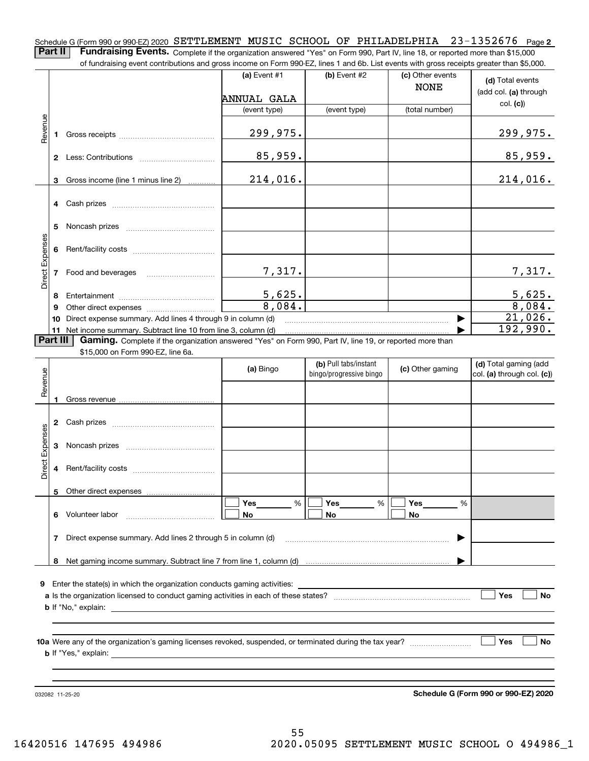Schedule G (Form 990 or 990-EZ) 2020 <code>SETTLEMENT MUSIC</code> <code>SCHOOL OF PHILADELPHIA 23-1352676</code> Page <code>2</code> **Part II** | Fundraising Events. Complete if the organization answered "Yes" on Form 990, Part IV, line 18, or reported more than \$15,000

of fundraising event contributions and gross income on Form 990-EZ, lines 1 and 6b. List events with gross receipts greater than \$5,000. (c) Other events **(a)** Event #1  $\vert$  **(b)** Event #2 **(d)**  Total events NONE (add col. **(a)** through ANNUAL GALA col. **(c)**) (event type) (event type) (total number) Revenue Revenue 299,975. 299,975. **1**Gross receipts ~~~~~~~~~~~~~~ 85,959. 85,959. **2** Less: Contributions ................................ 214,016. 214,016. Gross income (line 1 minus line 2) **3**. . . . . . . . . . . . **4** Cash prizes \_\_\_\_\_\_\_\_\_\_\_\_\_\_\_\_\_\_\_\_\_\_\_\_\_\_\_\_\_\_\_\_ **5** Noncash prizes \_\_\_\_\_\_\_\_\_\_\_\_\_\_\_\_\_\_\_\_\_\_\_\_\_\_\_\_ Direct Expenses Direct Expense **6**Rent/facility costs ~~~~~~~~~~~~ 7,317. 7,317. **7**Food and beverages ~~~~~~~~~~5,625. 5,625. **8**Entertainment ~~~~~~~~~~~~~~ 8,084. 8,084. Other direct expenses ~~~~~~~~~~ **9**21,026.  $\blacktriangleright$ **10** Direct expense summary. Add lines 4 through 9 in column (d) 192,990. …… ▶ **11** Net income summary. Subtract line 10 from line 3, column (d)  $\sqrt{P}$ art III **Part III | Gaming.** Complete if the organization answered "Yes" on Form 990, Part IV, line 19, or reported more than \$15,000 on Form 990-EZ, line 6a. **(b)**  Pull tabs/instant **(d)**  Total gaming (add **(a)**  Revenue Bingo **Contract of Contract Contract Contract Contract Contract Contract Contract Contract Contract Contract Contract Contract Contract Contract Contract Contract Contract Contract Contract Contract Contract Contract Contr** Revenue bingo/progressive bingo col. **(a)** through col. **(c)**) **1**Gross revenue **2** Cash prizes \_\_\_\_\_\_\_\_\_\_\_\_\_\_\_\_\_\_\_\_\_\_\_\_\_\_\_\_\_\_\_\_ Direct Expenses Direct Expenses **3**Noncash prizes <sub>………………………………</sub>… **4**Rent/facility costs ~~~~~~~~~~~~**5**Other direct expenses  $\boxed{\Box}$  Yes \_\_\_\_\_\_\_ %  $\boxed{\Box}$  Yes \_\_\_\_\_\_\_ %  $\boxed{\Box}$  $\mathcal{L}^{\text{max}}$ %**Yes Yes Yes** % %  $\mathcal{L}^{\text{max}}$ **6** Volunteer labor **No No No**  $\overline{\phantom{a}}$ Direct expense summary. Add lines 2 through 5 in column (d) **7** | …… ▶ **8**Net gaming income summary. Subtract line 7 from line 1, column (d) **9**Enter the state(s) in which the organization conducts gaming activities: **Yes**  $\mathcal{L}^{\text{max}}$ **a**Is the organization licensed to conduct gaming activities in each of these states? ~~~~~~~~~~~~~~~~~~~~ **No b**If "No," explain: **Yes No 10a**Were any of the organization's gaming licenses revoked, suspended, or terminated during the tax year? **b** If "Yes," explain:

032082 11-25-20

**Schedule G (Form 990 or 990-EZ) 2020**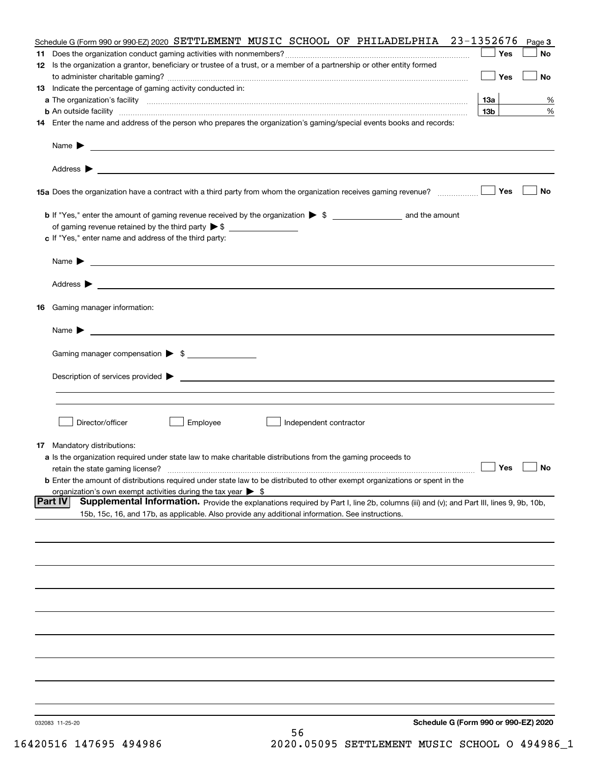|    |                                                                                                                                                                                                                                                              | Yes             | Page 3<br>No |
|----|--------------------------------------------------------------------------------------------------------------------------------------------------------------------------------------------------------------------------------------------------------------|-----------------|--------------|
|    | 12 Is the organization a grantor, beneficiary or trustee of a trust, or a member of a partnership or other entity formed                                                                                                                                     | Yes             | No           |
|    | 13 Indicate the percentage of gaming activity conducted in:                                                                                                                                                                                                  |                 |              |
|    |                                                                                                                                                                                                                                                              | 13а             | %            |
|    | <b>b</b> An outside facility <b>contract and the contract of the contract of the contract of the contract of the contract of the contract of the contract of the contract of the contract of the contract of the contract of the cont</b>                    | 13 <sub>b</sub> | %            |
|    | 14 Enter the name and address of the person who prepares the organization's gaming/special events books and records:                                                                                                                                         |                 |              |
|    | Name $\blacktriangleright$<br><u> 1990 - Johann Stoff, amerikansk politiker (d. 1980)</u>                                                                                                                                                                    |                 |              |
|    |                                                                                                                                                                                                                                                              |                 |              |
|    | 15a Does the organization have a contract with a third party from whom the organization receives gaming revenue?                                                                                                                                             | Yes             | No           |
|    |                                                                                                                                                                                                                                                              |                 |              |
|    | c If "Yes," enter name and address of the third party:                                                                                                                                                                                                       |                 |              |
|    | Name $\blacktriangleright$<br><u> 1989 - Johann Barbara, martin amerikan basar dan berasal dan berasal dalam basar dalam basar dalam basar dala</u>                                                                                                          |                 |              |
|    | Address $\blacktriangleright$<br><u>some started and the started and the started and the started and the started and the started and the started and</u>                                                                                                     |                 |              |
| 16 | Gaming manager information:                                                                                                                                                                                                                                  |                 |              |
|    | Name $\blacktriangleright$                                                                                                                                                                                                                                   |                 |              |
|    | Gaming manager compensation > \$                                                                                                                                                                                                                             |                 |              |
|    | Description of services provided $\blacktriangleright$<br><u> 1989 - Andrea Aonaichte ann an Comhan ann an Comhan ann an t-</u>                                                                                                                              |                 |              |
|    |                                                                                                                                                                                                                                                              |                 |              |
|    | Director/officer<br>Employee<br>Independent contractor                                                                                                                                                                                                       |                 |              |
|    | <b>17</b> Mandatory distributions:                                                                                                                                                                                                                           |                 |              |
|    | a Is the organization required under state law to make charitable distributions from the gaming proceeds to                                                                                                                                                  |                 |              |
|    | retain the state gaming license?                                                                                                                                                                                                                             | $\Box$ Yes      |              |
|    | <b>b</b> Enter the amount of distributions required under state law to be distributed to other exempt organizations or spent in the<br>organization's own exempt activities during the tax year $\triangleright$ \$                                          |                 |              |
|    | <b>Part IV</b><br>Supplemental Information. Provide the explanations required by Part I, line 2b, columns (iii) and (v); and Part III, lines 9, 9b, 10b,<br>15b, 15c, 16, and 17b, as applicable. Also provide any additional information. See instructions. |                 |              |
|    |                                                                                                                                                                                                                                                              |                 |              |
|    |                                                                                                                                                                                                                                                              |                 |              |
|    |                                                                                                                                                                                                                                                              |                 |              |
|    |                                                                                                                                                                                                                                                              |                 |              |
|    |                                                                                                                                                                                                                                                              |                 |              |
|    |                                                                                                                                                                                                                                                              |                 |              |
|    |                                                                                                                                                                                                                                                              |                 |              |
|    |                                                                                                                                                                                                                                                              |                 |              |
|    |                                                                                                                                                                                                                                                              |                 |              |
|    | Schedule G (Form 990 or 990-EZ) 2020<br>032083 11-25-20<br>EC                                                                                                                                                                                                |                 |              |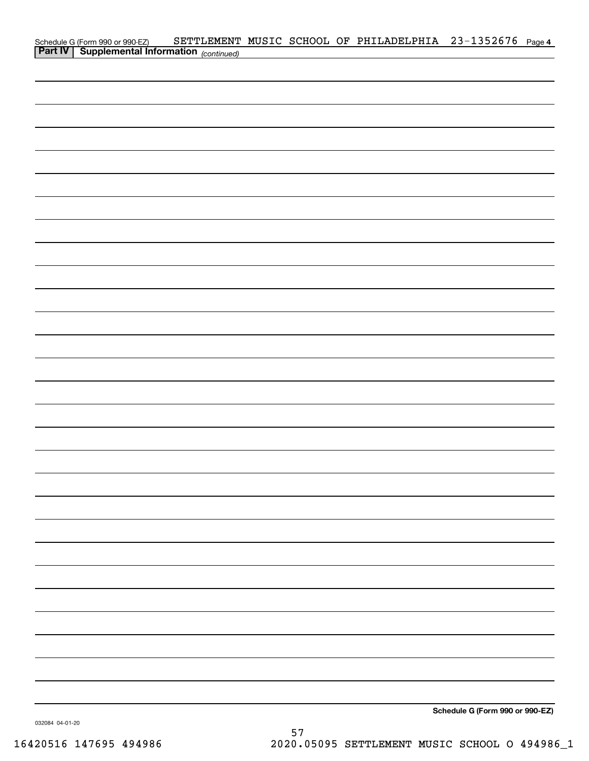| Schedule G (Form 990 or 990-EZ) SETTLEMENT<br><b>Part IV   Supplemental Information</b> (continued) |  | SETTLEMENT MUSIC SCHOOL OF PHILADELPHIA 23-1352676 Page 4 |                                 |  |
|-----------------------------------------------------------------------------------------------------|--|-----------------------------------------------------------|---------------------------------|--|
|                                                                                                     |  |                                                           |                                 |  |
|                                                                                                     |  |                                                           |                                 |  |
|                                                                                                     |  |                                                           |                                 |  |
|                                                                                                     |  |                                                           |                                 |  |
|                                                                                                     |  |                                                           |                                 |  |
|                                                                                                     |  |                                                           |                                 |  |
|                                                                                                     |  |                                                           |                                 |  |
|                                                                                                     |  |                                                           |                                 |  |
|                                                                                                     |  |                                                           |                                 |  |
|                                                                                                     |  |                                                           |                                 |  |
|                                                                                                     |  |                                                           |                                 |  |
|                                                                                                     |  |                                                           |                                 |  |
|                                                                                                     |  |                                                           |                                 |  |
|                                                                                                     |  |                                                           |                                 |  |
|                                                                                                     |  |                                                           |                                 |  |
|                                                                                                     |  |                                                           |                                 |  |
|                                                                                                     |  |                                                           |                                 |  |
|                                                                                                     |  |                                                           |                                 |  |
|                                                                                                     |  |                                                           |                                 |  |
|                                                                                                     |  |                                                           |                                 |  |
|                                                                                                     |  |                                                           |                                 |  |
|                                                                                                     |  |                                                           |                                 |  |
|                                                                                                     |  |                                                           |                                 |  |
|                                                                                                     |  |                                                           |                                 |  |
|                                                                                                     |  |                                                           |                                 |  |
|                                                                                                     |  |                                                           |                                 |  |
|                                                                                                     |  |                                                           |                                 |  |
|                                                                                                     |  |                                                           |                                 |  |
|                                                                                                     |  |                                                           |                                 |  |
|                                                                                                     |  |                                                           |                                 |  |
|                                                                                                     |  |                                                           |                                 |  |
|                                                                                                     |  |                                                           |                                 |  |
|                                                                                                     |  |                                                           |                                 |  |
|                                                                                                     |  |                                                           |                                 |  |
|                                                                                                     |  |                                                           |                                 |  |
|                                                                                                     |  |                                                           |                                 |  |
|                                                                                                     |  |                                                           |                                 |  |
|                                                                                                     |  |                                                           |                                 |  |
|                                                                                                     |  |                                                           |                                 |  |
|                                                                                                     |  |                                                           |                                 |  |
|                                                                                                     |  |                                                           |                                 |  |
|                                                                                                     |  |                                                           |                                 |  |
|                                                                                                     |  |                                                           |                                 |  |
|                                                                                                     |  |                                                           | Schedule G (Form 990 or 990-EZ) |  |

032084 04-01-20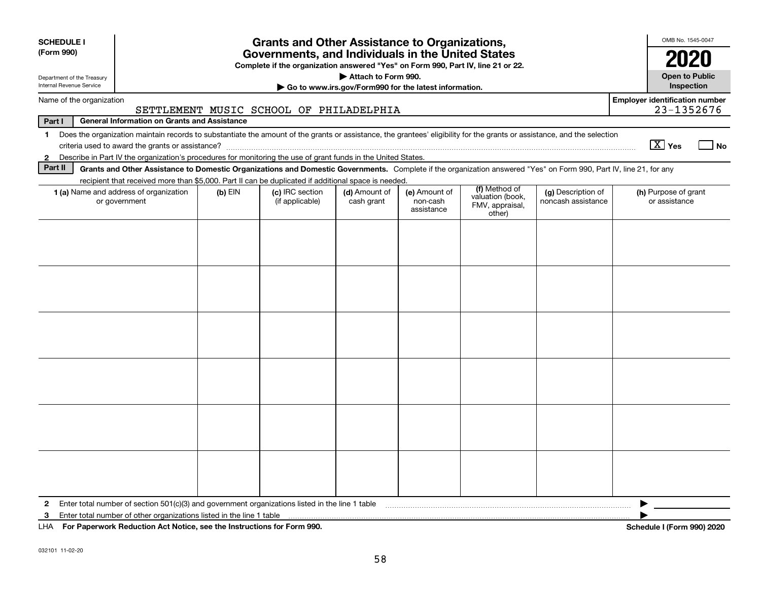| <b>SCHEDULE I</b><br>(Form 990)                                                                                                                                                                                                                                                                          | <b>Grants and Other Assistance to Organizations,</b><br>Governments, and Individuals in the United States                                                          |           |                                         |                             |                                         |                                                                |                                          |  | OMB No. 1545-0047<br>2020                           |      |
|----------------------------------------------------------------------------------------------------------------------------------------------------------------------------------------------------------------------------------------------------------------------------------------------------------|--------------------------------------------------------------------------------------------------------------------------------------------------------------------|-----------|-----------------------------------------|-----------------------------|-----------------------------------------|----------------------------------------------------------------|------------------------------------------|--|-----------------------------------------------------|------|
| Department of the Treasury<br>Internal Revenue Service                                                                                                                                                                                                                                                   | Complete if the organization answered "Yes" on Form 990, Part IV, line 21 or 22.<br>Attach to Form 990.<br>Go to www.irs.gov/Form990 for the latest information.   |           |                                         |                             |                                         |                                                                |                                          |  | <b>Open to Public</b><br>Inspection                 |      |
| Name of the organization                                                                                                                                                                                                                                                                                 |                                                                                                                                                                    |           | SETTLEMENT MUSIC SCHOOL OF PHILADELPHIA |                             |                                         |                                                                |                                          |  | <b>Employer identification number</b><br>23-1352676 |      |
| Part I                                                                                                                                                                                                                                                                                                   | <b>General Information on Grants and Assistance</b>                                                                                                                |           |                                         |                             |                                         |                                                                |                                          |  |                                                     |      |
| Does the organization maintain records to substantiate the amount of the grants or assistance, the grantees' eligibility for the grants or assistance, and the selection<br>$\mathbf 1$<br>Describe in Part IV the organization's procedures for monitoring the use of grant funds in the United States. |                                                                                                                                                                    |           |                                         |                             |                                         |                                                                |                                          |  | $\boxed{\text{X}}$ Yes                              | l No |
| $\mathbf{2}$<br>Part II                                                                                                                                                                                                                                                                                  | Grants and Other Assistance to Domestic Organizations and Domestic Governments. Complete if the organization answered "Yes" on Form 990, Part IV, line 21, for any |           |                                         |                             |                                         |                                                                |                                          |  |                                                     |      |
|                                                                                                                                                                                                                                                                                                          | recipient that received more than \$5,000. Part II can be duplicated if additional space is needed.                                                                |           |                                         |                             |                                         |                                                                |                                          |  |                                                     |      |
|                                                                                                                                                                                                                                                                                                          | 1 (a) Name and address of organization<br>or government                                                                                                            | $(b)$ EIN | (c) IRC section<br>(if applicable)      | (d) Amount of<br>cash grant | (e) Amount of<br>non-cash<br>assistance | (f) Method of<br>valuation (book,<br>FMV, appraisal,<br>other) | (g) Description of<br>noncash assistance |  | (h) Purpose of grant<br>or assistance               |      |
|                                                                                                                                                                                                                                                                                                          |                                                                                                                                                                    |           |                                         |                             |                                         |                                                                |                                          |  |                                                     |      |
|                                                                                                                                                                                                                                                                                                          |                                                                                                                                                                    |           |                                         |                             |                                         |                                                                |                                          |  |                                                     |      |
|                                                                                                                                                                                                                                                                                                          |                                                                                                                                                                    |           |                                         |                             |                                         |                                                                |                                          |  |                                                     |      |
|                                                                                                                                                                                                                                                                                                          |                                                                                                                                                                    |           |                                         |                             |                                         |                                                                |                                          |  |                                                     |      |
|                                                                                                                                                                                                                                                                                                          |                                                                                                                                                                    |           |                                         |                             |                                         |                                                                |                                          |  |                                                     |      |
| $\mathbf{2}$                                                                                                                                                                                                                                                                                             | Enter total number of section $501(c)(3)$ and government organizations listed in the line 1 table                                                                  |           |                                         |                             |                                         |                                                                |                                          |  |                                                     |      |
| 3                                                                                                                                                                                                                                                                                                        | Enter total number of other organizations listed in the line 1 table                                                                                               |           |                                         |                             |                                         |                                                                |                                          |  |                                                     |      |
| LHA For Paperwork Reduction Act Notice, see the Instructions for Form 990.                                                                                                                                                                                                                               |                                                                                                                                                                    |           |                                         |                             |                                         |                                                                |                                          |  | Schedule I (Form 990) 2020                          |      |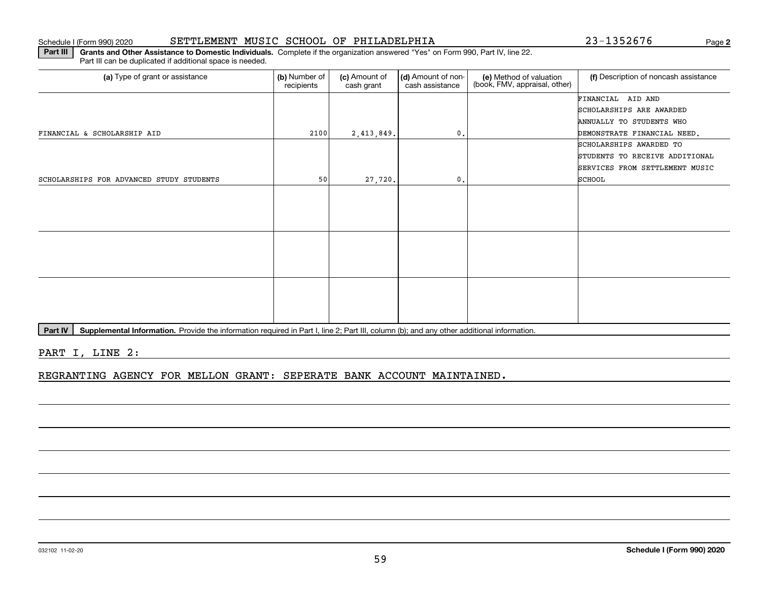|                                          |      |            |                | FINANCIAL AID AND              |
|------------------------------------------|------|------------|----------------|--------------------------------|
|                                          |      |            |                | SCHOLARSHIPS ARE AWARDED       |
|                                          |      |            |                | ANNUALLY TO STUDENTS WHO       |
| FINANCIAL & SCHOLARSHIP AID              | 2100 | 2,413,849. | $\mathbf{0}$ . | DEMONSTRATE FINANCIAL NEED.    |
|                                          |      |            |                | SCHOLARSHIPS AWARDED TO        |
|                                          |      |            |                | STUDENTS TO RECEIVE ADDITIONAL |
|                                          |      |            |                | SERVICES FROM SETTLEMENT MUSIC |
| SCHOLARSHIPS FOR ADVANCED STUDY STUDENTS | 50   | 27,720.    | 0.             | SCHOOL                         |
|                                          |      |            |                |                                |
|                                          |      |            |                |                                |
|                                          |      |            |                |                                |
|                                          |      |            |                |                                |
|                                          |      |            |                |                                |
|                                          |      |            |                |                                |
|                                          |      |            |                |                                |
|                                          |      |            |                |                                |
|                                          |      |            |                |                                |
|                                          |      |            |                |                                |
|                                          |      |            |                |                                |
|                                          |      |            |                |                                |

59

Part IV | Supplemental Information. Provide the information required in Part I, line 2; Part III, column (b); and any other additional information.

PART I, LINE 2:

REGRANTING AGENCY FOR MELLON GRANT: SEPERATE BANK ACCOUNT MAINTAINED.

recipients

(a) Type of grant or assistance **Audity Commet Audio Commet Commet Commet Commet Commet Commet Commet Commet Comme** 

(c) Amount of cash grant

(d) Amount of noncash assistance

**Part III | Grants and Other Assistance to Domestic Individuals. Complete if the organization answered "Yes" on Form 990, Part IV, line 22.** 

**2**Schedule I (Form 990) 2020 **SETTLEMENT MUSIC SCHOOL OF PHILADELPHIA** 2 3-1 3 5 2 6 7 6 Page

(f) Description of noncash assistance

**(e)** Method of valuation<br>(book, FMV, appraisal, other)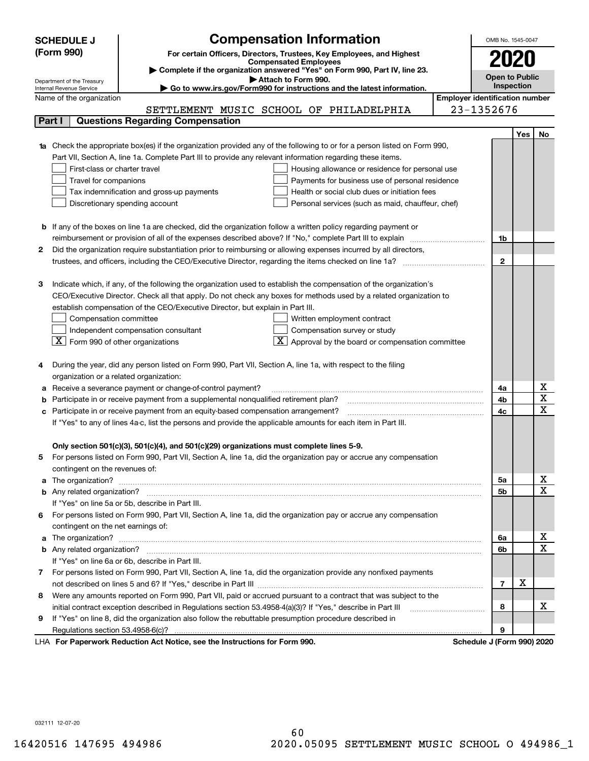| <b>Compensation Information</b><br><b>SCHEDULE J</b> |                                                                                                                                  |                                                                                                                             |                                       |              |     |                                     |  |  |
|------------------------------------------------------|----------------------------------------------------------------------------------------------------------------------------------|-----------------------------------------------------------------------------------------------------------------------------|---------------------------------------|--------------|-----|-------------------------------------|--|--|
|                                                      | (Form 990)                                                                                                                       | For certain Officers, Directors, Trustees, Key Employees, and Highest                                                       |                                       |              |     |                                     |  |  |
|                                                      |                                                                                                                                  | <b>Compensated Employees</b>                                                                                                |                                       |              |     |                                     |  |  |
|                                                      | Complete if the organization answered "Yes" on Form 990, Part IV, line 23.<br>Open to Public<br>Attach to Form 990.              |                                                                                                                             |                                       |              |     |                                     |  |  |
|                                                      | Department of the Treasury<br>Go to www.irs.gov/Form990 for instructions and the latest information.<br>Internal Revenue Service |                                                                                                                             |                                       |              |     |                                     |  |  |
|                                                      | Name of the organization                                                                                                         |                                                                                                                             | <b>Employer identification number</b> |              |     |                                     |  |  |
|                                                      |                                                                                                                                  | SETTLEMENT MUSIC SCHOOL OF PHILADELPHIA                                                                                     |                                       | 23-1352676   |     |                                     |  |  |
|                                                      | Part I                                                                                                                           | <b>Questions Regarding Compensation</b>                                                                                     |                                       |              |     |                                     |  |  |
|                                                      |                                                                                                                                  |                                                                                                                             |                                       |              | Yes | No                                  |  |  |
|                                                      | 1a Check the appropriate box(es) if the organization provided any of the following to or for a person listed on Form 990,        |                                                                                                                             |                                       |              |     |                                     |  |  |
|                                                      |                                                                                                                                  | Part VII, Section A, line 1a. Complete Part III to provide any relevant information regarding these items.                  |                                       |              |     |                                     |  |  |
|                                                      | First-class or charter travel                                                                                                    | Housing allowance or residence for personal use                                                                             |                                       |              |     |                                     |  |  |
|                                                      | Travel for companions                                                                                                            | Payments for business use of personal residence                                                                             |                                       |              |     |                                     |  |  |
|                                                      |                                                                                                                                  | Tax indemnification and gross-up payments<br>Health or social club dues or initiation fees                                  |                                       |              |     |                                     |  |  |
|                                                      |                                                                                                                                  | Discretionary spending account<br>Personal services (such as maid, chauffeur, chef)                                         |                                       |              |     |                                     |  |  |
|                                                      |                                                                                                                                  |                                                                                                                             |                                       |              |     |                                     |  |  |
|                                                      |                                                                                                                                  | <b>b</b> If any of the boxes on line 1a are checked, did the organization follow a written policy regarding payment or      |                                       |              |     |                                     |  |  |
|                                                      |                                                                                                                                  | reimbursement or provision of all of the expenses described above? If "No," complete Part III to explain                    |                                       | 1b           |     |                                     |  |  |
| 2                                                    |                                                                                                                                  | Did the organization require substantiation prior to reimbursing or allowing expenses incurred by all directors,            |                                       |              |     |                                     |  |  |
|                                                      |                                                                                                                                  |                                                                                                                             |                                       | $\mathbf{2}$ |     |                                     |  |  |
|                                                      |                                                                                                                                  |                                                                                                                             |                                       |              |     |                                     |  |  |
| з                                                    |                                                                                                                                  | Indicate which, if any, of the following the organization used to establish the compensation of the organization's          |                                       |              |     |                                     |  |  |
|                                                      |                                                                                                                                  | CEO/Executive Director. Check all that apply. Do not check any boxes for methods used by a related organization to          |                                       |              |     |                                     |  |  |
|                                                      |                                                                                                                                  | establish compensation of the CEO/Executive Director, but explain in Part III.                                              |                                       |              |     |                                     |  |  |
|                                                      | Compensation committee                                                                                                           | Written employment contract                                                                                                 |                                       |              |     |                                     |  |  |
|                                                      |                                                                                                                                  | Compensation survey or study<br>Independent compensation consultant                                                         |                                       |              |     |                                     |  |  |
|                                                      | $\boxed{\textbf{X}}$ Form 990 of other organizations                                                                             | Approval by the board or compensation committee                                                                             |                                       |              |     |                                     |  |  |
|                                                      |                                                                                                                                  |                                                                                                                             |                                       |              |     |                                     |  |  |
|                                                      |                                                                                                                                  | During the year, did any person listed on Form 990, Part VII, Section A, line 1a, with respect to the filing                |                                       |              |     |                                     |  |  |
|                                                      | organization or a related organization:                                                                                          |                                                                                                                             |                                       |              |     |                                     |  |  |
|                                                      |                                                                                                                                  | Receive a severance payment or change-of-control payment?                                                                   |                                       | 4a           |     | $\underline{x}$                     |  |  |
|                                                      |                                                                                                                                  | Participate in or receive payment from a supplemental nonqualified retirement plan?                                         |                                       | 4b           |     | $\overline{\mathtt{x}}$             |  |  |
| c                                                    |                                                                                                                                  | Participate in or receive payment from an equity-based compensation arrangement?                                            |                                       | 4c           |     | $\overline{\text{x}}$               |  |  |
|                                                      |                                                                                                                                  | If "Yes" to any of lines 4a-c, list the persons and provide the applicable amounts for each item in Part III.               |                                       |              |     |                                     |  |  |
|                                                      |                                                                                                                                  |                                                                                                                             |                                       |              |     |                                     |  |  |
|                                                      |                                                                                                                                  | Only section 501(c)(3), 501(c)(4), and 501(c)(29) organizations must complete lines 5-9.                                    |                                       |              |     |                                     |  |  |
| 5                                                    |                                                                                                                                  | For persons listed on Form 990, Part VII, Section A, line 1a, did the organization pay or accrue any compensation           |                                       |              |     |                                     |  |  |
|                                                      | contingent on the revenues of:                                                                                                   |                                                                                                                             |                                       |              |     |                                     |  |  |
|                                                      |                                                                                                                                  | a The organization? <b>Manual Community Community</b> Community Community Community Community Community Community Community |                                       | 5а           |     | $\frac{\text{X}}{\text{X}}$         |  |  |
|                                                      |                                                                                                                                  |                                                                                                                             |                                       | <b>5b</b>    |     |                                     |  |  |
|                                                      |                                                                                                                                  | If "Yes" on line 5a or 5b, describe in Part III.                                                                            |                                       |              |     |                                     |  |  |
| 6.                                                   |                                                                                                                                  | For persons listed on Form 990, Part VII, Section A, line 1a, did the organization pay or accrue any compensation           |                                       |              |     |                                     |  |  |
|                                                      | contingent on the net earnings of:                                                                                               |                                                                                                                             |                                       |              |     |                                     |  |  |
|                                                      |                                                                                                                                  |                                                                                                                             |                                       | 6a           |     | <u>x</u><br>$\overline{\mathtt{x}}$ |  |  |
|                                                      |                                                                                                                                  |                                                                                                                             |                                       | 6b           |     |                                     |  |  |
|                                                      |                                                                                                                                  | If "Yes" on line 6a or 6b, describe in Part III.                                                                            |                                       |              |     |                                     |  |  |
|                                                      |                                                                                                                                  | 7 For persons listed on Form 990, Part VII, Section A, line 1a, did the organization provide any nonfixed payments          |                                       |              | х   |                                     |  |  |
|                                                      |                                                                                                                                  |                                                                                                                             |                                       | 7            |     |                                     |  |  |
| 8                                                    |                                                                                                                                  | Were any amounts reported on Form 990, Part VII, paid or accrued pursuant to a contract that was subject to the             |                                       |              |     |                                     |  |  |
|                                                      |                                                                                                                                  | initial contract exception described in Regulations section 53.4958-4(a)(3)? If "Yes," describe in Part III                 |                                       | 8            |     | x                                   |  |  |
| 9                                                    |                                                                                                                                  | If "Yes" on line 8, did the organization also follow the rebuttable presumption procedure described in                      |                                       |              |     |                                     |  |  |
|                                                      |                                                                                                                                  | Desiration Ast Notice, and the Instructions for Form 000                                                                    |                                       | 9            |     |                                     |  |  |

LHA For Paperwork Reduction Act Notice, see the Instructions for Form 990. Schedule J (Form 990) 2020

032111 12-07-20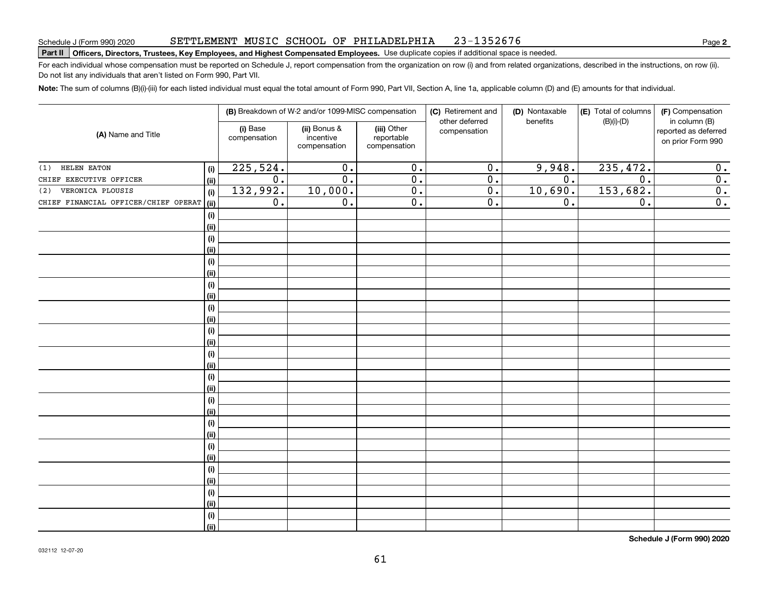### SETTLEMENT MUSIC SCHOOL OF PHILADELPHIA 23-1352676

# **Part II Officers, Directors, Trustees, Key Employees, and Highest Compensated Employees.**  Schedule J (Form 990) 2020 Page Use duplicate copies if additional space is needed.

For each individual whose compensation must be reported on Schedule J, report compensation from the organization on row (i) and from related organizations, described in the instructions, on row (ii). Do not list any individuals that aren't listed on Form 990, Part VII.

**Note:**  The sum of columns (B)(i)-(iii) for each listed individual must equal the total amount of Form 990, Part VII, Section A, line 1a, applicable column (D) and (E) amounts for that individual.

|                                              |                          | (B) Breakdown of W-2 and/or 1099-MISC compensation |                                           | (C) Retirement and<br>other deferred | (D) Nontaxable   | (E) Total of columns | (F) Compensation<br>in column (B)         |  |
|----------------------------------------------|--------------------------|----------------------------------------------------|-------------------------------------------|--------------------------------------|------------------|----------------------|-------------------------------------------|--|
| (A) Name and Title                           | (i) Base<br>compensation | (ii) Bonus &<br>incentive<br>compensation          | (iii) Other<br>reportable<br>compensation | compensation                         | benefits         | $(B)(i)$ - $(D)$     | reported as deferred<br>on prior Form 990 |  |
| <b>HELEN EATON</b><br>(1)<br>(i)             | 225,524.                 | $\overline{0}$ .                                   | $\overline{0}$ .                          | $\overline{0}$ .                     | 9,948.           | 235,472.             | $\overline{0}$ .                          |  |
| CHIEF EXECUTIVE OFFICER<br>(ii)              | $\overline{0}$ .         | $\overline{0}$ .                                   | $\overline{0}$ .                          | $\overline{0}$ .                     | $\overline{0}$ . | $\overline{0}$ .     | $\overline{\mathbf{0}}$ .                 |  |
| VERONICA PLOUSIS<br>(2)<br>(i)               | 132,992.                 | 10,000.                                            | $\overline{0}$ .                          | $\overline{0}$ .                     | 10,690.          | 153,682.             | $\overline{\mathbf{0}}$ .                 |  |
| CHIEF FINANCIAL OFFICER/CHIEF OPERAT<br>(ii) | $\overline{0}$ .         | $\overline{0}$ .                                   | $\overline{0}$ .                          | $\overline{0}$ .                     | 0.               | $\overline{0}$ .     | $\overline{0}$ .                          |  |
| (i)                                          |                          |                                                    |                                           |                                      |                  |                      |                                           |  |
| (ii)                                         |                          |                                                    |                                           |                                      |                  |                      |                                           |  |
| (i)                                          |                          |                                                    |                                           |                                      |                  |                      |                                           |  |
| (ii)                                         |                          |                                                    |                                           |                                      |                  |                      |                                           |  |
| (i)                                          |                          |                                                    |                                           |                                      |                  |                      |                                           |  |
| (ii)                                         |                          |                                                    |                                           |                                      |                  |                      |                                           |  |
| (i)                                          |                          |                                                    |                                           |                                      |                  |                      |                                           |  |
| (ii)                                         |                          |                                                    |                                           |                                      |                  |                      |                                           |  |
| (i)                                          |                          |                                                    |                                           |                                      |                  |                      |                                           |  |
| (ii)                                         |                          |                                                    |                                           |                                      |                  |                      |                                           |  |
| (i)                                          |                          |                                                    |                                           |                                      |                  |                      |                                           |  |
| (ii)                                         |                          |                                                    |                                           |                                      |                  |                      |                                           |  |
| (i)                                          |                          |                                                    |                                           |                                      |                  |                      |                                           |  |
| (ii)                                         |                          |                                                    |                                           |                                      |                  |                      |                                           |  |
| (i)                                          |                          |                                                    |                                           |                                      |                  |                      |                                           |  |
| (ii)                                         |                          |                                                    |                                           |                                      |                  |                      |                                           |  |
| (i)<br>(ii)                                  |                          |                                                    |                                           |                                      |                  |                      |                                           |  |
| (i)                                          |                          |                                                    |                                           |                                      |                  |                      |                                           |  |
| (ii)                                         |                          |                                                    |                                           |                                      |                  |                      |                                           |  |
| (i)                                          |                          |                                                    |                                           |                                      |                  |                      |                                           |  |
| (ii)                                         |                          |                                                    |                                           |                                      |                  |                      |                                           |  |
| (i)                                          |                          |                                                    |                                           |                                      |                  |                      |                                           |  |
| (ii)                                         |                          |                                                    |                                           |                                      |                  |                      |                                           |  |
| (i)                                          |                          |                                                    |                                           |                                      |                  |                      |                                           |  |
| (ii)                                         |                          |                                                    |                                           |                                      |                  |                      |                                           |  |
| (i)                                          |                          |                                                    |                                           |                                      |                  |                      |                                           |  |
| (ii)                                         |                          |                                                    |                                           |                                      |                  |                      |                                           |  |

**Schedule J (Form 990) 2020**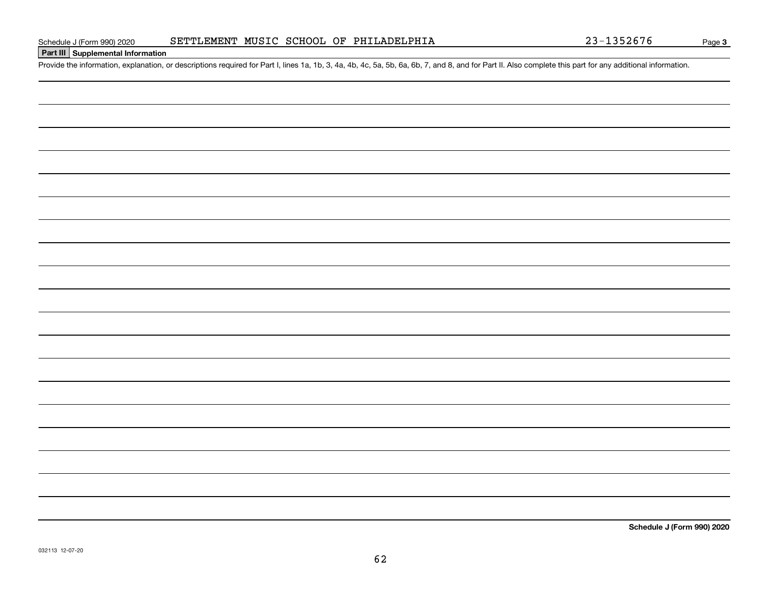# **Part III Supplemental Information**

Schedule J (Form 990) 2020 SETTLEMENT MUSIC SCHOOL OF PHILADELPHIA 23-1352676<br>Part III Supplemental Information<br>Provide the information, explanation, or descriptions required for Part I, lines 1a, 1b, 3, 4a, 4b, 4c, 5a, 5b

**Schedule J (Form 990) 2020**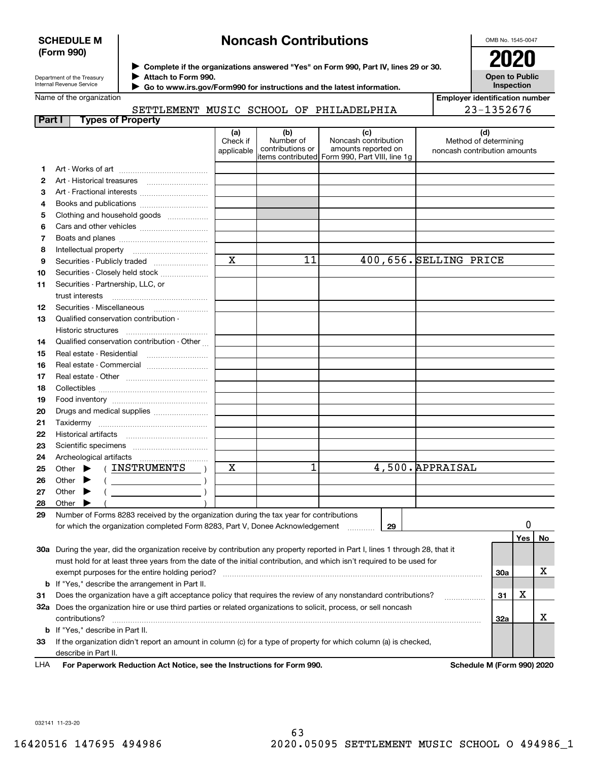# **SCHEDULE M (Form 990)**

# **Noncash Contributions**

OMB No. 1545-0047

| Department of the Treasury |
|----------------------------|
| Internal Revenue Service   |

**Complete if the organizations answered "Yes" on Form 990, Part IV, lines 29 or 30.** <sup>J</sup>**2020 Attach to Form 990.** J

 **Go to www.irs.gov/Form990 for instructions and the latest information.** J

**Open to Public Inspection**

|    | Name of the organization                                                                                                       |                               |                                      |                                                                                                      |  | <b>Employer identification number</b>                 |     |     |    |
|----|--------------------------------------------------------------------------------------------------------------------------------|-------------------------------|--------------------------------------|------------------------------------------------------------------------------------------------------|--|-------------------------------------------------------|-----|-----|----|
|    | 23-1352676<br>SETTLEMENT MUSIC SCHOOL OF PHILADELPHIA                                                                          |                               |                                      |                                                                                                      |  |                                                       |     |     |    |
|    | <b>Types of Property</b><br>Part I                                                                                             |                               |                                      |                                                                                                      |  |                                                       |     |     |    |
|    |                                                                                                                                | (a)<br>Check if<br>applicable | (b)<br>Number of<br>contributions or | (c)<br>Noncash contribution<br>amounts reported on<br>items contributed Form 990, Part VIII, line 1g |  | Method of determining<br>noncash contribution amounts | (d) |     |    |
| 1  |                                                                                                                                |                               |                                      |                                                                                                      |  |                                                       |     |     |    |
| 2  |                                                                                                                                |                               |                                      |                                                                                                      |  |                                                       |     |     |    |
| з  |                                                                                                                                |                               |                                      |                                                                                                      |  |                                                       |     |     |    |
| 4  | Books and publications                                                                                                         |                               |                                      |                                                                                                      |  |                                                       |     |     |    |
| 5  | Clothing and household goods                                                                                                   |                               |                                      |                                                                                                      |  |                                                       |     |     |    |
| 6  |                                                                                                                                |                               |                                      |                                                                                                      |  |                                                       |     |     |    |
| 7  |                                                                                                                                |                               |                                      |                                                                                                      |  |                                                       |     |     |    |
| 8  |                                                                                                                                |                               |                                      |                                                                                                      |  |                                                       |     |     |    |
| 9  | Securities - Publicly traded                                                                                                   | $\overline{\mathbf{x}}$       | 11                                   | 400,656. SELLING PRICE                                                                               |  |                                                       |     |     |    |
| 10 | Securities - Closely held stock                                                                                                |                               |                                      |                                                                                                      |  |                                                       |     |     |    |
| 11 | Securities - Partnership, LLC, or                                                                                              |                               |                                      |                                                                                                      |  |                                                       |     |     |    |
|    | trust interests                                                                                                                |                               |                                      |                                                                                                      |  |                                                       |     |     |    |
| 12 |                                                                                                                                |                               |                                      |                                                                                                      |  |                                                       |     |     |    |
| 13 | Qualified conservation contribution -                                                                                          |                               |                                      |                                                                                                      |  |                                                       |     |     |    |
|    |                                                                                                                                |                               |                                      |                                                                                                      |  |                                                       |     |     |    |
| 14 | Qualified conservation contribution - Other                                                                                    |                               |                                      |                                                                                                      |  |                                                       |     |     |    |
| 15 |                                                                                                                                |                               |                                      |                                                                                                      |  |                                                       |     |     |    |
| 16 | Real estate - Commercial                                                                                                       |                               |                                      |                                                                                                      |  |                                                       |     |     |    |
| 17 |                                                                                                                                |                               |                                      |                                                                                                      |  |                                                       |     |     |    |
| 18 |                                                                                                                                |                               |                                      |                                                                                                      |  |                                                       |     |     |    |
| 19 |                                                                                                                                |                               |                                      |                                                                                                      |  |                                                       |     |     |    |
| 20 | Drugs and medical supplies                                                                                                     |                               |                                      |                                                                                                      |  |                                                       |     |     |    |
| 21 |                                                                                                                                |                               |                                      |                                                                                                      |  |                                                       |     |     |    |
| 22 |                                                                                                                                |                               |                                      |                                                                                                      |  |                                                       |     |     |    |
| 23 |                                                                                                                                |                               |                                      |                                                                                                      |  |                                                       |     |     |    |
| 24 |                                                                                                                                |                               |                                      |                                                                                                      |  |                                                       |     |     |    |
| 25 | (INSTRUMENTS<br>Other $\blacktriangleright$                                                                                    | X                             | 1                                    |                                                                                                      |  | 4,500. APPRAISAL                                      |     |     |    |
| 26 | Other $\blacktriangleright$<br><u> 1990 - Johann Barbara, martin a</u>                                                         |                               |                                      |                                                                                                      |  |                                                       |     |     |    |
| 27 | Other $\blacktriangleright$                                                                                                    |                               |                                      |                                                                                                      |  |                                                       |     |     |    |
| 28 | Other                                                                                                                          |                               |                                      |                                                                                                      |  |                                                       |     |     |    |
| 29 | Number of Forms 8283 received by the organization during the tax year for contributions                                        |                               |                                      |                                                                                                      |  |                                                       |     |     |    |
|    | for which the organization completed Form 8283, Part V, Donee Acknowledgement                                                  |                               |                                      | 29                                                                                                   |  |                                                       |     | 0   |    |
|    |                                                                                                                                |                               |                                      |                                                                                                      |  |                                                       |     | Yes | No |
|    | 30a During the year, did the organization receive by contribution any property reported in Part I, lines 1 through 28, that it |                               |                                      |                                                                                                      |  |                                                       |     |     |    |
|    | must hold for at least three years from the date of the initial contribution, and which isn't required to be used for          |                               |                                      |                                                                                                      |  |                                                       |     |     |    |
|    | exempt purposes for the entire holding period?                                                                                 |                               |                                      |                                                                                                      |  |                                                       | 30a |     | х  |
|    | <b>b</b> If "Yes," describe the arrangement in Part II.                                                                        |                               |                                      |                                                                                                      |  |                                                       |     |     |    |
| 31 | Does the organization have a gift acceptance policy that requires the review of any nonstandard contributions?                 |                               |                                      |                                                                                                      |  | .                                                     | 31  | х   |    |
|    | 32a Does the organization hire or use third parties or related organizations to solicit, process, or sell noncash              |                               |                                      |                                                                                                      |  |                                                       |     |     |    |
|    | contributions?                                                                                                                 |                               |                                      |                                                                                                      |  |                                                       | 32a |     | x  |

**33**If the organization didn't report an amount in column (c) for a type of property for which column (a) is checked, describe in Part II.

**b**If "Yes," describe in Part II.

**For Paperwork Reduction Act Notice, see the Instructions for Form 990. Schedule M (Form 990) 2020** LHA

032141 11-23-20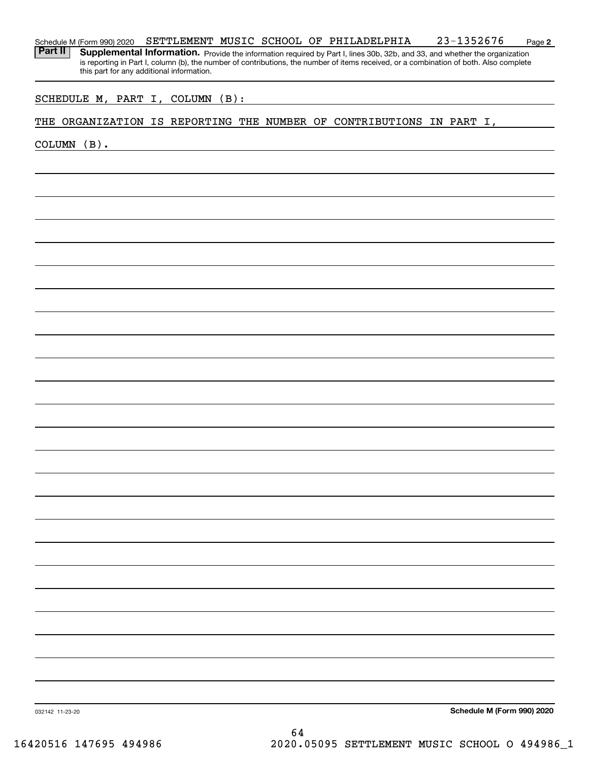### **2** Schedule M (Form 990) 2020 **SETTLEMENT MUSIC SCHOOL OF PHILADELPHIA** 23-1352676 Page

Part II | Supplemental Information. Provide the information required by Part I, lines 30b, 32b, and 33, and whether the organization is reporting in Part I, column (b), the number of contributions, the number of items received, or a combination of both. Also complete this part for any additional information.

# SCHEDULE M, PART I, COLUMN (B):

# THE ORGANIZATION IS REPORTING THE NUMBER OF CONTRIBUTIONS IN PART I,

COLUMN (B).

**Schedule M (Form 990) 2020**

032142 11-23-20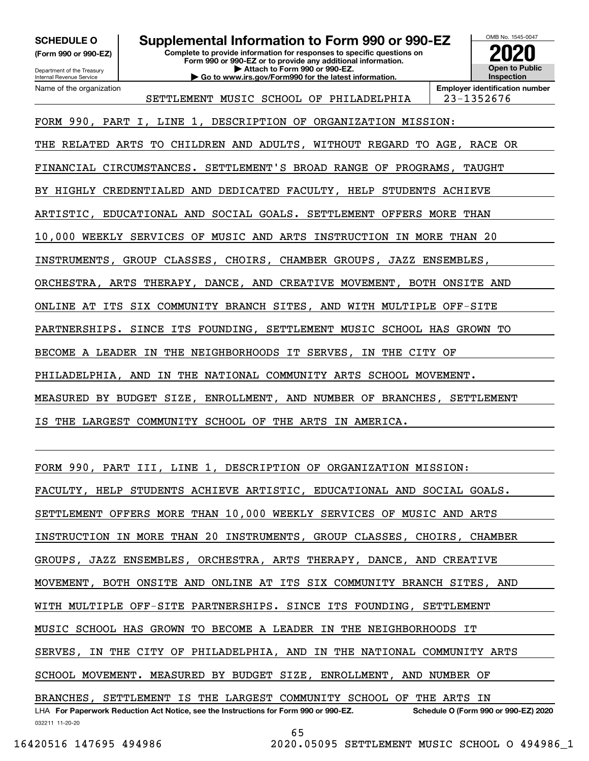**SCHEDULE O Supplemental Information to Form 990 or 990-EZ**

**(Form 990 or 990-EZ)**

Department of the Treasury Internal Revenue Service

Name of the organization

**Complete to provide information for responses to specific questions on Form 990 or 990-EZ or to provide any additional information. | Attach to Form 990 or 990-EZ. | Go to www.irs.gov/Form990 for the latest information.**



SETTLEMENT MUSIC SCHOOL OF PHILADELPHIA 23-1352676

**Employer identification number**

FORM 990, PART I, LINE 1, DESCRIPTION OF ORGANIZATION MISSION: THE RELATED ARTS TO CHILDREN AND ADULTS, WITHOUT REGARD TO AGE, RACE OR FINANCIAL CIRCUMSTANCES. SETTLEMENT'S BROAD RANGE OF PROGRAMS, TAUGHT BY HIGHLY CREDENTIALED AND DEDICATED FACULTY, HELP STUDENTS ACHIEVE ARTISTIC, EDUCATIONAL AND SOCIAL GOALS. SETTLEMENT OFFERS MORE THAN 10,000 WEEKLY SERVICES OF MUSIC AND ARTS INSTRUCTION IN MORE THAN 20 INSTRUMENTS, GROUP CLASSES, CHOIRS, CHAMBER GROUPS, JAZZ ENSEMBLES, ORCHESTRA, ARTS THERAPY, DANCE, AND CREATIVE MOVEMENT, BOTH ONSITE AND

ONLINE AT ITS SIX COMMUNITY BRANCH SITES, AND WITH MULTIPLE OFF-SITE

PARTNERSHIPS. SINCE ITS FOUNDING, SETTLEMENT MUSIC SCHOOL HAS GROWN TO

BECOME A LEADER IN THE NEIGHBORHOODS IT SERVES, IN THE CITY OF

PHILADELPHIA, AND IN THE NATIONAL COMMUNITY ARTS SCHOOL MOVEMENT.

MEASURED BY BUDGET SIZE, ENROLLMENT, AND NUMBER OF BRANCHES, SETTLEMENT

IS THE LARGEST COMMUNITY SCHOOL OF THE ARTS IN AMERICA.

032211 11-20-20 LHA For Paperwork Reduction Act Notice, see the Instructions for Form 990 or 990-EZ. Schedule O (Form 990 or 990-EZ) 2020 FORM 990, PART III, LINE 1, DESCRIPTION OF ORGANIZATION MISSION: FACULTY, HELP STUDENTS ACHIEVE ARTISTIC, EDUCATIONAL AND SOCIAL GOALS. SETTLEMENT OFFERS MORE THAN 10,000 WEEKLY SERVICES OF MUSIC AND ARTS INSTRUCTION IN MORE THAN 20 INSTRUMENTS, GROUP CLASSES, CHOIRS, CHAMBER GROUPS, JAZZ ENSEMBLES, ORCHESTRA, ARTS THERAPY, DANCE, AND CREATIVE MOVEMENT, BOTH ONSITE AND ONLINE AT ITS SIX COMMUNITY BRANCH SITES, AND WITH MULTIPLE OFF-SITE PARTNERSHIPS. SINCE ITS FOUNDING, SETTLEMENT MUSIC SCHOOL HAS GROWN TO BECOME A LEADER IN THE NEIGHBORHOODS IT SERVES, IN THE CITY OF PHILADELPHIA, AND IN THE NATIONAL COMMUNITY ARTS SCHOOL MOVEMENT. MEASURED BY BUDGET SIZE, ENROLLMENT, AND NUMBER OF BRANCHES, SETTLEMENT IS THE LARGEST COMMUNITY SCHOOL OF THE ARTS IN

65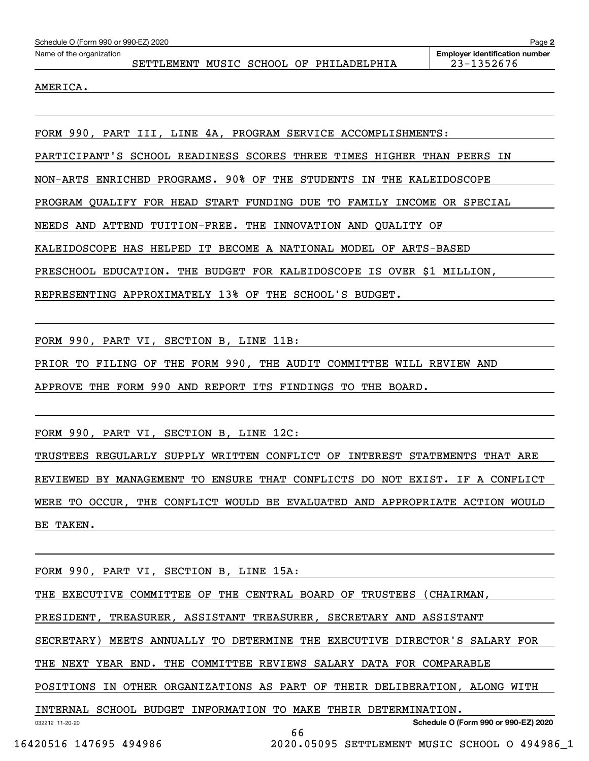| Page 2<br>Schedule O (Form 990 or 990-EZ) 2020 |  |  |                                                               |                                                     |  |  |  |  |
|------------------------------------------------|--|--|---------------------------------------------------------------|-----------------------------------------------------|--|--|--|--|
| Name of the organization                       |  |  | SETTLEMENT MUSIC SCHOOL OF PHILADELPHIA                       | <b>Employer identification number</b><br>23-1352676 |  |  |  |  |
| AMERICA.                                       |  |  |                                                               |                                                     |  |  |  |  |
|                                                |  |  |                                                               |                                                     |  |  |  |  |
|                                                |  |  | FORM 990, PART III, LINE 4A, PROGRAM SERVICE ACCOMPLISHMENTS: |                                                     |  |  |  |  |

PARTICIPANT'S SCHOOL READINESS SCORES THREE TIMES HIGHER THAN PEERS IN

NON-ARTS ENRICHED PROGRAMS. 90% OF THE STUDENTS IN THE KALEIDOSCOPE

PROGRAM QUALIFY FOR HEAD START FUNDING DUE TO FAMILY INCOME OR SPECIAL

NEEDS AND ATTEND TUITION-FREE. THE INNOVATION AND QUALITY OF

KALEIDOSCOPE HAS HELPED IT BECOME A NATIONAL MODEL OF ARTS-BASED

PRESCHOOL EDUCATION. THE BUDGET FOR KALEIDOSCOPE IS OVER \$1 MILLION,

REPRESENTING APPROXIMATELY 13% OF THE SCHOOL'S BUDGET.

FORM 990, PART VI, SECTION B, LINE 11B:

PRIOR TO FILING OF THE FORM 990, THE AUDIT COMMITTEE WILL REVIEW AND

APPROVE THE FORM 990 AND REPORT ITS FINDINGS TO THE BOARD.

FORM 990, PART VI, SECTION B, LINE 12C:

TRUSTEES REGULARLY SUPPLY WRITTEN CONFLICT OF INTEREST STATEMENTS THAT ARE REVIEWED BY MANAGEMENT TO ENSURE THAT CONFLICTS DO NOT EXIST. IF A CONFLICT WERE TO OCCUR, THE CONFLICT WOULD BE EVALUATED AND APPROPRIATE ACTION WOULD BE TAKEN.

FORM 990, PART VI, SECTION B, LINE 15A:

THE EXECUTIVE COMMITTEE OF THE CENTRAL BOARD OF TRUSTEES (CHAIRMAN,

PRESIDENT, TREASURER, ASSISTANT TREASURER, SECRETARY AND ASSISTANT

SECRETARY) MEETS ANNUALLY TO DETERMINE THE EXECUTIVE DIRECTOR'S SALARY FOR

THE NEXT YEAR END. THE COMMITTEE REVIEWS SALARY DATA FOR COMPARABLE

POSITIONS IN OTHER ORGANIZATIONS AS PART OF THEIR DELIBERATION, ALONG WITH

INTERNAL SCHOOL BUDGET INFORMATION TO MAKE THEIR DETERMINATION.

66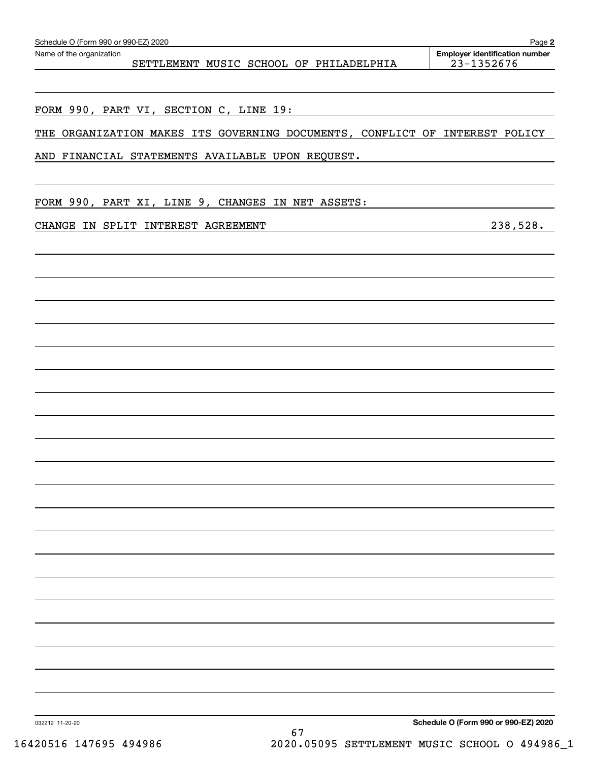| THE ORGANIZATION MAKES ITS GOVERNING DOCUMENTS, CONFLICT OF INTEREST POLICY |                                      |
|-----------------------------------------------------------------------------|--------------------------------------|
| AND FINANCIAL STATEMENTS AVAILABLE UPON REQUEST.                            |                                      |
| FORM 990, PART XI, LINE 9, CHANGES IN NET ASSETS:                           |                                      |
| CHANGE IN SPLIT INTEREST AGREEMENT                                          | 238,528.                             |
|                                                                             |                                      |
|                                                                             |                                      |
|                                                                             |                                      |
|                                                                             |                                      |
|                                                                             |                                      |
|                                                                             |                                      |
|                                                                             |                                      |
|                                                                             |                                      |
|                                                                             |                                      |
|                                                                             |                                      |
|                                                                             |                                      |
|                                                                             |                                      |
|                                                                             |                                      |
|                                                                             |                                      |
|                                                                             |                                      |
|                                                                             |                                      |
| 032212 11-20-20                                                             | Schedule O (Form 990 or 990-EZ) 2020 |

SETTLEMENT MUSIC SCHOOL OF PHILADELPHIA | 23-1352676

**2** Echedule O (Form 990 or 990-EZ) 2020<br>Name of the organization **number** Name of the organization **number**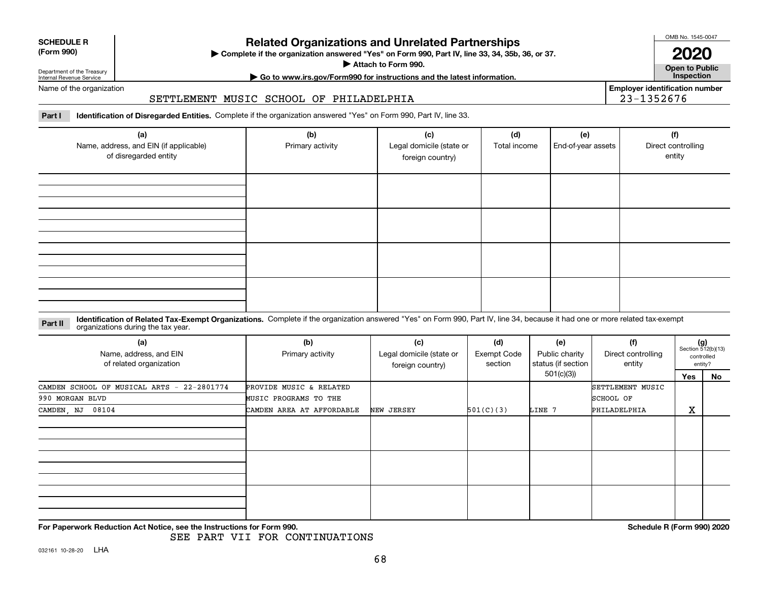| <b>SCHEDULE R</b>   |  |
|---------------------|--|
| $T_{\rm{num}}$ 000) |  |

### **(Form 990)**

# **Related Organizations and Unrelated Partnerships**

**Complete if the organization answered "Yes" on Form 990, Part IV, line 33, 34, 35b, 36, or 37.** |

**Attach to Form 990.**  |

OMB No. 1545-0047

**Open to Public 2020**

**Employer identification number**

23-1352676

Internal Revenue Service

Department of the Treasury

# **| Go to www.irs.gov/Form990 for instructions and the latest information. Inspection**

### Name of the organization

# SETTLEMENT MUSIC SCHOOL OF PHILADELPHIA

**Part I Identification of Disregarded Entities.**  Complete if the organization answered "Yes" on Form 990, Part IV, line 33.

| (a)<br>Name, address, and EIN (if applicable)<br>of disregarded entity | (b)<br>Primary activity | (c)<br>Legal domicile (state or<br>foreign country) | (d)<br>Total income | (e)<br>End-of-year assets | (f)<br>Direct controlling<br>entity |
|------------------------------------------------------------------------|-------------------------|-----------------------------------------------------|---------------------|---------------------------|-------------------------------------|
|                                                                        |                         |                                                     |                     |                           |                                     |
|                                                                        |                         |                                                     |                     |                           |                                     |
|                                                                        |                         |                                                     |                     |                           |                                     |
|                                                                        |                         |                                                     |                     |                           |                                     |

### **Identification of Related Tax-Exempt Organizations.** Complete if the organization answered "Yes" on Form 990, Part IV, line 34, because it had one or more related tax-exempt **Part II** organizations during the tax year.

| (a)<br>Name, address, and EIN<br>of related organization | (b)<br>Primary activity   | (c)<br>Legal domicile (state or<br>foreign country) | (d)<br>Exempt Code<br>section | (e)<br>Public charity<br>status (if section | (f)<br>Direct controlling<br>entity |                   | $(g)$<br>Section 512(b)(13)<br>controlled<br>entity? |
|----------------------------------------------------------|---------------------------|-----------------------------------------------------|-------------------------------|---------------------------------------------|-------------------------------------|-------------------|------------------------------------------------------|
|                                                          |                           |                                                     |                               | 501(c)(3))                                  |                                     | Yes               | No                                                   |
| CAMDEN SCHOOL OF MUSICAL ARTS - 22-2801774               | PROVIDE MUSIC & RELATED   |                                                     |                               |                                             | SETTLEMENT MUSIC                    |                   |                                                      |
| 990 MORGAN BLVD                                          | MUSIC PROGRAMS TO THE     |                                                     |                               |                                             | SCHOOL OF                           |                   |                                                      |
| 08104<br>CAMDEN, NJ                                      | CAMDEN AREA AT AFFORDABLE | NEW JERSEY                                          | 501(C)(3)                     | LINE 7                                      | PHILADELPHIA                        | $\mathbf{v}$<br>△ |                                                      |
|                                                          |                           |                                                     |                               |                                             |                                     |                   |                                                      |
|                                                          |                           |                                                     |                               |                                             |                                     |                   |                                                      |
|                                                          |                           |                                                     |                               |                                             |                                     |                   |                                                      |

**For Paperwork Reduction Act Notice, see the Instructions for Form 990. Schedule R (Form 990) 2020**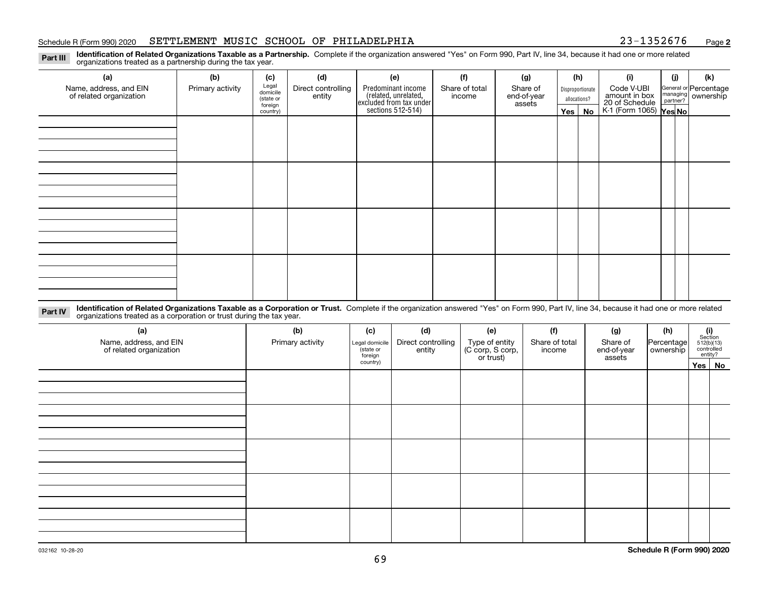### Schedule R (Form 990) 2020 **SETTLEMENT MUSIC SCHOOL OF PHILADELPHIA** 23-1352676 <sub>Page</sub>

**2**

**Identification of Related Organizations Taxable as a Partnership.** Complete if the organization answered "Yes" on Form 990, Part IV, line 34, because it had one or more related **Part III** organizations treated as a partnership during the tax year.

| (a)                                               | (b)              | (c)                  | (d)                          | (e)                                                                 | (f)                      | (g)                     |              | (h)              | (i)                                                              | (j) | (k)                                         |
|---------------------------------------------------|------------------|----------------------|------------------------------|---------------------------------------------------------------------|--------------------------|-------------------------|--------------|------------------|------------------------------------------------------------------|-----|---------------------------------------------|
| Name, address, and EIN<br>of related organization | Primary activity | Legal<br>domicile    | Direct controlling<br>entity | Predominant income                                                  | Share of total<br>income | Share of<br>end-of-year |              | Disproportionate | Code V-UBI                                                       |     | General or Percentage<br>managing ownership |
|                                                   |                  | (state or<br>foreign |                              |                                                                     |                          | assets                  | allocations? |                  |                                                                  |     |                                             |
|                                                   |                  | country)             |                              | related, unrelated,<br>excluded from tax under<br>sections 512-514) |                          |                         |              | Yes   No         | amount in box<br>20 of Schedule<br>K-1 (Form 1065) <b>Yes No</b> |     |                                             |
|                                                   |                  |                      |                              |                                                                     |                          |                         |              |                  |                                                                  |     |                                             |
|                                                   |                  |                      |                              |                                                                     |                          |                         |              |                  |                                                                  |     |                                             |
|                                                   |                  |                      |                              |                                                                     |                          |                         |              |                  |                                                                  |     |                                             |
|                                                   |                  |                      |                              |                                                                     |                          |                         |              |                  |                                                                  |     |                                             |
|                                                   |                  |                      |                              |                                                                     |                          |                         |              |                  |                                                                  |     |                                             |
|                                                   |                  |                      |                              |                                                                     |                          |                         |              |                  |                                                                  |     |                                             |
|                                                   |                  |                      |                              |                                                                     |                          |                         |              |                  |                                                                  |     |                                             |
|                                                   |                  |                      |                              |                                                                     |                          |                         |              |                  |                                                                  |     |                                             |
|                                                   |                  |                      |                              |                                                                     |                          |                         |              |                  |                                                                  |     |                                             |
|                                                   |                  |                      |                              |                                                                     |                          |                         |              |                  |                                                                  |     |                                             |
|                                                   |                  |                      |                              |                                                                     |                          |                         |              |                  |                                                                  |     |                                             |
|                                                   |                  |                      |                              |                                                                     |                          |                         |              |                  |                                                                  |     |                                             |
|                                                   |                  |                      |                              |                                                                     |                          |                         |              |                  |                                                                  |     |                                             |
|                                                   |                  |                      |                              |                                                                     |                          |                         |              |                  |                                                                  |     |                                             |
|                                                   |                  |                      |                              |                                                                     |                          |                         |              |                  |                                                                  |     |                                             |
|                                                   |                  |                      |                              |                                                                     |                          |                         |              |                  |                                                                  |     |                                             |
|                                                   |                  |                      |                              |                                                                     |                          |                         |              |                  |                                                                  |     |                                             |

**Identification of Related Organizations Taxable as a Corporation or Trust.** Complete if the organization answered "Yes" on Form 990, Part IV, line 34, because it had one or more related **Part IV** organizations treated as a corporation or trust during the tax year.

| (a)<br>Name, address, and EIN<br>of related organization | (b)<br>Primary activity | (c)<br>Legal domicile<br>(state or<br>foreign | (d)<br>Direct controlling<br>entity | (e)<br>Type of entity<br>(C corp, S corp,<br>or trust) | (f)<br>Share of total<br>income | (g)<br>Share of<br>end-of-year<br>assets | (h)<br> Percentage <br>ownership | $\begin{array}{c} \textbf{(i)}\\ \text{Section}\\ 512 \text{(b)} \text{(13)}\\ \text{controlled}\end{array}$<br>entity? |  |
|----------------------------------------------------------|-------------------------|-----------------------------------------------|-------------------------------------|--------------------------------------------------------|---------------------------------|------------------------------------------|----------------------------------|-------------------------------------------------------------------------------------------------------------------------|--|
|                                                          |                         | country)                                      |                                     |                                                        |                                 |                                          |                                  | Yes No                                                                                                                  |  |
|                                                          |                         |                                               |                                     |                                                        |                                 |                                          |                                  |                                                                                                                         |  |
|                                                          |                         |                                               |                                     |                                                        |                                 |                                          |                                  |                                                                                                                         |  |
|                                                          |                         |                                               |                                     |                                                        |                                 |                                          |                                  |                                                                                                                         |  |
|                                                          |                         |                                               |                                     |                                                        |                                 |                                          |                                  |                                                                                                                         |  |
|                                                          |                         |                                               |                                     |                                                        |                                 |                                          |                                  |                                                                                                                         |  |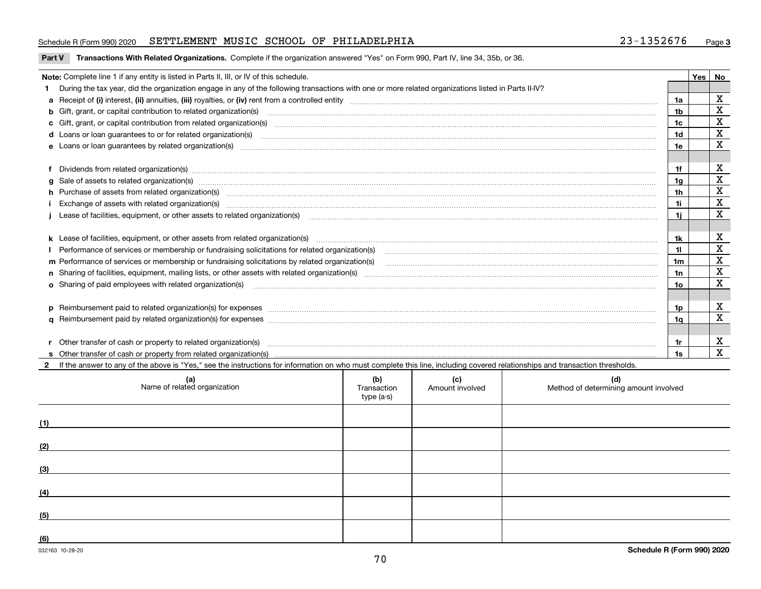## Schedule R (Form 990) 2020 **SETTLEMENT MUSIC SCHOOL OF PHILADELPHIA** 23-1352676 <sub>Page</sub>

### **Part V** T**ransactions With Related Organizations.** Complete if the organization answered "Yes" on Form 990, Part IV, line 34, 35b, or 36.

| Note: Complete line 1 if any entity is listed in Parts II, III, or IV of this schedule.                                                                                                                                        |     | Yes | No          |
|--------------------------------------------------------------------------------------------------------------------------------------------------------------------------------------------------------------------------------|-----|-----|-------------|
| 1 During the tax year, did the organization engage in any of the following transactions with one or more related organizations listed in Parts II-IV?                                                                          |     |     |             |
|                                                                                                                                                                                                                                | 1a  |     | X           |
| b Gift, grant, or capital contribution to related organization(s) material contracts and contribution to related organization(s) material contribution to related organization(s) material contribution (s) and contribution ( | 1b  |     | x           |
| c Gift, grant, or capital contribution from related organization(s)                                                                                                                                                            | 1c  |     | х           |
| <b>d</b> Loans or loan quarantees to or for related organization(s)                                                                                                                                                            | 1d  |     | X           |
| e Loans or loan guarantees by related organization(s) manufactured and content to content the content of the content of the content of the content of the content of the content of the content of the content of the content  | 1e  |     | X           |
|                                                                                                                                                                                                                                |     |     |             |
| f Dividends from related organization(s) manufactured contains and contained a series of the contact of the contact of the contact of the contact of the contact of the contact of the contact of the contact of the contact o | 1f  |     | X           |
| g Sale of assets to related organization(s) manufactured contains and contained a state of assets to related organization(s)                                                                                                   | 1a  |     | X           |
| h Purchase of assets from related organization(s) manufactured and content to the content of the content of the content of the content of the content of the content of the content of the content of the content of the conte | 1h  |     | X           |
| Exchange of assets with related organization(s) www.assettion.com/www.assettion.com/www.assettion.com/www.assettion.com/www.assettion.com/www.assettion.com/www.assettion.com/www.assettion.com/www.assettion.com/www.assettio | 1i  |     | X           |
|                                                                                                                                                                                                                                | 1i. |     | X           |
|                                                                                                                                                                                                                                |     |     |             |
| k Lease of facilities, equipment, or other assets from related organization(s) manufaction content and content to the assets from related organization(s) manufaction content and content and content and content and content  | 1k  |     | х           |
| Performance of services or membership or fundraising solicitations for related organization(s) manufaction.community content and the services or membership or fundraising solicitations for related organization(s) manufacti | 11  |     | X           |
| m Performance of services or membership or fundraising solicitations by related organization(s)                                                                                                                                | 1m  |     | X           |
|                                                                                                                                                                                                                                | 1n  |     | $\mathbf x$ |
| <b>o</b> Sharing of paid employees with related organization(s)                                                                                                                                                                | 1o  |     | X           |
|                                                                                                                                                                                                                                |     |     |             |
| p Reimbursement paid to related organization(s) for expenses [111] resummand content to content the set of the set of the set of the set of the set of the set of the set of the set of the set of the set of the set of the s | 1p. |     | х           |
|                                                                                                                                                                                                                                | 1a  |     | X           |
|                                                                                                                                                                                                                                |     |     |             |
| r Other transfer of cash or property to related organization(s)                                                                                                                                                                | 1r  |     | X           |
|                                                                                                                                                                                                                                | 1s  |     | X           |

**2**If the answer to any of the above is "Yes," see the instructions for information on who must complete this line, including covered relationships and transaction thresholds.

| (a)<br>Name of related organization | (b)<br>Transaction<br>type (a-s) | (c)<br>Amount involved | (d)<br>Method of determining amount involved |
|-------------------------------------|----------------------------------|------------------------|----------------------------------------------|
| (1)                                 |                                  |                        |                                              |
| (2)                                 |                                  |                        |                                              |
| (3)                                 |                                  |                        |                                              |
| (4)                                 |                                  |                        |                                              |
| (5)                                 |                                  |                        |                                              |
| (6)                                 |                                  |                        |                                              |

 $\overline{a}$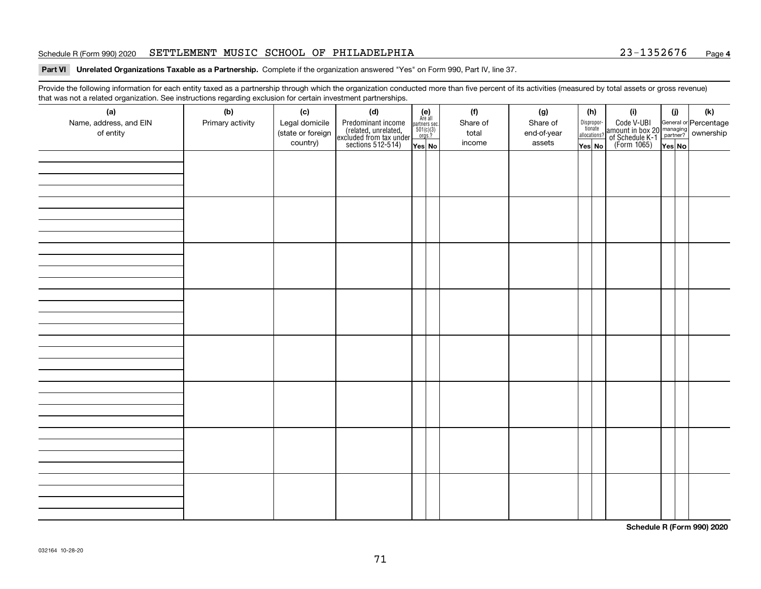### Schedule R (Form 990) 2020 **SETTLEMENT MUSIC SCHOOL OF PHILADELPHIA** 23-1352676 <sub>Page</sub>

## **Part VI Unrelated Organizations Taxable as a Partnership. Complete if the organization answered "Yes" on Form 990, Part IV, line 37.**

Provide the following information for each entity taxed as a partnership through which the organization conducted more than five percent of its activities (measured by total assets or gross revenue) that was not a related organization. See instructions regarding exclusion for certain investment partnerships.

| that was not a related organization. Occ instructions regarding exclusion for certain investment partnerships.<br>(a) | (b)              | (c)                                             | (d)                                                                                        |                                                                                                                            | (f)                         | (g)                               | (h)                                             | (i)                                                                                                                                   | (j)   | (k) |
|-----------------------------------------------------------------------------------------------------------------------|------------------|-------------------------------------------------|--------------------------------------------------------------------------------------------|----------------------------------------------------------------------------------------------------------------------------|-----------------------------|-----------------------------------|-------------------------------------------------|---------------------------------------------------------------------------------------------------------------------------------------|-------|-----|
| Name, address, and EIN<br>of entity                                                                                   | Primary activity | Legal domicile<br>(state or foreign<br>country) | Predominant income<br>(related, unrelated,<br>excluded from tax under<br>sections 512-514) | $\begin{array}{c} \textbf{(e)}\\ \text{Are all} \\ \text{partners sec.}\\ 501(c)(3)\\ \text{orgs.?} \end{array}$<br>Yes No | Share of<br>total<br>income | Share of<br>end-of-year<br>assets | Dispropor-<br>tionate<br>allocations?<br>Yes No | Code V-UBI<br>  amount in box 20 managing<br>  of Schedule K-1 partner? ownership<br>  of Schedule K-1 partner? ownership<br>  Yes No | YesNO |     |
|                                                                                                                       |                  |                                                 |                                                                                            |                                                                                                                            |                             |                                   |                                                 |                                                                                                                                       |       |     |
|                                                                                                                       |                  |                                                 |                                                                                            |                                                                                                                            |                             |                                   |                                                 |                                                                                                                                       |       |     |
|                                                                                                                       |                  |                                                 |                                                                                            |                                                                                                                            |                             |                                   |                                                 |                                                                                                                                       |       |     |
|                                                                                                                       |                  |                                                 |                                                                                            |                                                                                                                            |                             |                                   |                                                 |                                                                                                                                       |       |     |
|                                                                                                                       |                  |                                                 |                                                                                            |                                                                                                                            |                             |                                   |                                                 |                                                                                                                                       |       |     |
|                                                                                                                       |                  |                                                 |                                                                                            |                                                                                                                            |                             |                                   |                                                 |                                                                                                                                       |       |     |
|                                                                                                                       |                  |                                                 |                                                                                            |                                                                                                                            |                             |                                   |                                                 |                                                                                                                                       |       |     |
|                                                                                                                       |                  |                                                 |                                                                                            |                                                                                                                            |                             |                                   |                                                 |                                                                                                                                       |       |     |
|                                                                                                                       |                  |                                                 |                                                                                            |                                                                                                                            |                             |                                   |                                                 |                                                                                                                                       |       |     |
|                                                                                                                       |                  |                                                 |                                                                                            |                                                                                                                            |                             |                                   |                                                 |                                                                                                                                       |       |     |
|                                                                                                                       |                  |                                                 |                                                                                            |                                                                                                                            |                             |                                   |                                                 |                                                                                                                                       |       |     |
|                                                                                                                       |                  |                                                 |                                                                                            |                                                                                                                            |                             |                                   |                                                 |                                                                                                                                       |       |     |
|                                                                                                                       |                  |                                                 |                                                                                            |                                                                                                                            |                             |                                   |                                                 |                                                                                                                                       |       |     |
|                                                                                                                       |                  |                                                 |                                                                                            |                                                                                                                            |                             |                                   |                                                 |                                                                                                                                       |       |     |
|                                                                                                                       |                  |                                                 |                                                                                            |                                                                                                                            |                             |                                   |                                                 |                                                                                                                                       |       |     |
|                                                                                                                       |                  |                                                 |                                                                                            |                                                                                                                            |                             |                                   |                                                 |                                                                                                                                       |       |     |
|                                                                                                                       |                  |                                                 |                                                                                            |                                                                                                                            |                             |                                   |                                                 |                                                                                                                                       |       |     |
|                                                                                                                       |                  |                                                 |                                                                                            |                                                                                                                            |                             |                                   |                                                 |                                                                                                                                       |       |     |
|                                                                                                                       |                  |                                                 |                                                                                            |                                                                                                                            |                             |                                   |                                                 |                                                                                                                                       |       |     |
|                                                                                                                       |                  |                                                 |                                                                                            |                                                                                                                            |                             |                                   |                                                 |                                                                                                                                       |       |     |
|                                                                                                                       |                  |                                                 |                                                                                            |                                                                                                                            |                             |                                   |                                                 |                                                                                                                                       |       |     |
|                                                                                                                       |                  |                                                 |                                                                                            |                                                                                                                            |                             |                                   |                                                 |                                                                                                                                       |       |     |
|                                                                                                                       |                  |                                                 |                                                                                            |                                                                                                                            |                             |                                   |                                                 |                                                                                                                                       |       |     |
|                                                                                                                       |                  |                                                 |                                                                                            |                                                                                                                            |                             |                                   |                                                 |                                                                                                                                       |       |     |
|                                                                                                                       |                  |                                                 |                                                                                            |                                                                                                                            |                             |                                   |                                                 |                                                                                                                                       |       |     |

**Schedule R (Form 990) 2020**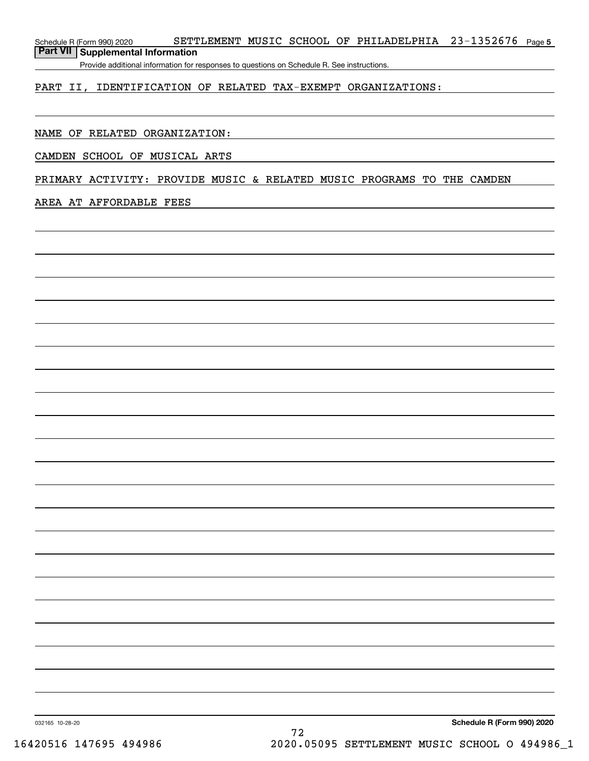Schedule R (Form 990) 2020 SETTLEMENT MUSIC SCHOOL OF PHILADELPHIA 23-1352676 page 5 **Part VII Supplemental Information**

Provide additional information for responses to questions on Schedule R. See instructions.

# PART II, IDENTIFICATION OF RELATED TAX-EXEMPT ORGANIZATIONS:

# NAME OF RELATED ORGANIZATION:

# CAMDEN SCHOOL OF MUSICAL ARTS

# PRIMARY ACTIVITY: PROVIDE MUSIC & RELATED MUSIC PROGRAMS TO THE CAMDEN

## AREA AT AFFORDABLE FEES

**Schedule R (Form 990) 2020**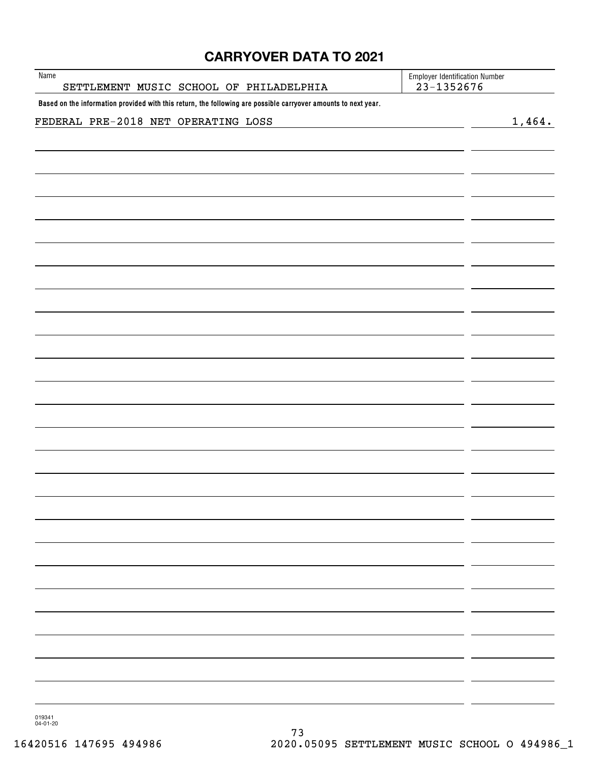# **CARRYOVER DATA TO 2021**

| Name<br>SETTLEMENT MUSIC SCHOOL OF PHILADELPHIA                                                                | <b>Employer Identification Number</b><br>$23 - 1352676$ |        |
|----------------------------------------------------------------------------------------------------------------|---------------------------------------------------------|--------|
| Based on the information provided with this return, the following are possible carryover amounts to next year. |                                                         |        |
| FEDERAL PRE-2018 NET OPERATING LOSS                                                                            |                                                         | 1,464. |
|                                                                                                                |                                                         |        |
|                                                                                                                |                                                         |        |
|                                                                                                                |                                                         |        |
|                                                                                                                |                                                         |        |
|                                                                                                                |                                                         |        |
|                                                                                                                |                                                         |        |
|                                                                                                                |                                                         |        |
|                                                                                                                |                                                         |        |
|                                                                                                                |                                                         |        |
|                                                                                                                |                                                         |        |
|                                                                                                                |                                                         |        |
|                                                                                                                |                                                         |        |
|                                                                                                                |                                                         |        |
|                                                                                                                |                                                         |        |
|                                                                                                                |                                                         |        |
|                                                                                                                |                                                         |        |
|                                                                                                                |                                                         |        |
|                                                                                                                |                                                         |        |
|                                                                                                                |                                                         |        |

019341 04-01-20